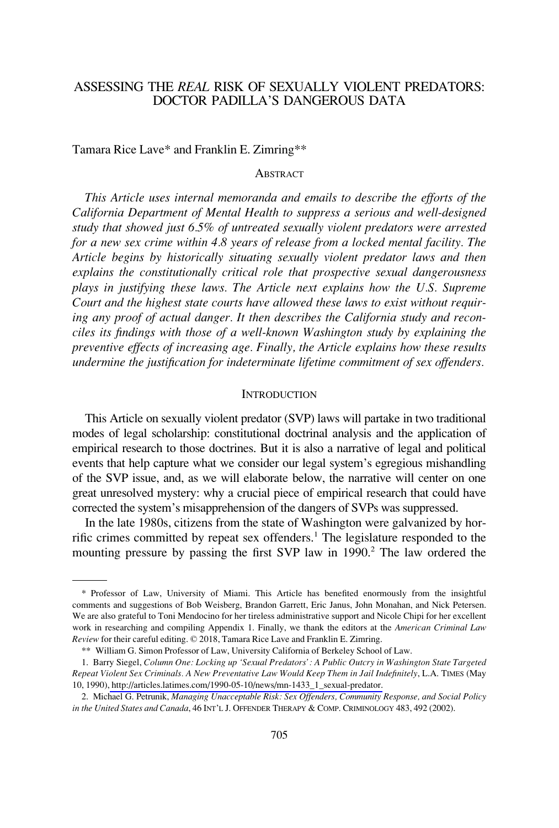# ASSESSING THE *REAL* RISK OF SEXUALLY VIOLENT PREDATORS: DOCTOR PADILLA'S DANGEROUS DATA

Tamara Rice Lave\* and Franklin E. Zimring\*\*

### **ABSTRACT**

*This Article uses internal memoranda and emails to describe the efforts of the California Department of Mental Health to suppress a serious and well-designed study that showed just 6.5% of untreated sexually violent predators were arrested for a new sex crime within 4.8 years of release from a locked mental facility. The Article begins by historically situating sexually violent predator laws and then explains the constitutionally critical role that prospective sexual dangerousness plays in justifying these laws. The Article next explains how the U.S. Supreme Court and the highest state courts have allowed these laws to exist without requiring any proof of actual danger. It then describes the California study and reconciles its findings with those of a well-known Washington study by explaining the preventive effects of increasing age. Finally, the Article explains how these results undermine the justification for indeterminate lifetime commitment of sex offenders.* 

#### **INTRODUCTION**

This Article on sexually violent predator (SVP) laws will partake in two traditional modes of legal scholarship: constitutional doctrinal analysis and the application of empirical research to those doctrines. But it is also a narrative of legal and political events that help capture what we consider our legal system's egregious mishandling of the SVP issue, and, as we will elaborate below, the narrative will center on one great unresolved mystery: why a crucial piece of empirical research that could have corrected the system's misapprehension of the dangers of SVPs was suppressed.

In the late 1980s, citizens from the state of Washington were galvanized by horrific crimes committed by repeat sex offenders.<sup>1</sup> The legislature responded to the mounting pressure by passing the first SVP law in 1990.<sup>2</sup> The law ordered the

<sup>\*</sup> Professor of Law, University of Miami. This Article has benefited enormously from the insightful comments and suggestions of Bob Weisberg, Brandon Garrett, Eric Janus, John Monahan, and Nick Petersen. We are also grateful to Toni Mendocino for her tireless administrative support and Nicole Chipi for her excellent work in researching and compiling Appendix 1. Finally, we thank the editors at the *American Criminal Law Review* for their careful editing. © 2018, Tamara Rice Lave and Franklin E. Zimring.

<sup>\*\*</sup> William G. Simon Professor of Law, University California of Berkeley School of Law.

Barry Siegel, *Column One: Locking up 'Sexual Predators': A Public Outcry in Washington State Targeted*  1. *Repeat Violent Sex Criminals. A New Preventative Law Would Keep Them in Jail Indefinitely*, L.A. TIMES (May 10, 1990)[, http://articles.latimes.com/1990-05-10/news/mn-1433\\_1\\_sexual-predator.](http://articles.latimes.com/1990-05-10/news/mn-1433_1_sexual-predator)

<sup>2.</sup> Michael G. Petrunik, *Managing Unacceptable Risk: Sex Offenders, Community Response, and Social Policy in the United States and Canada*, 46 INT'L J. OFFENDER THERAPY & COMP. CRIMINOLOGY 483, 492 (2002).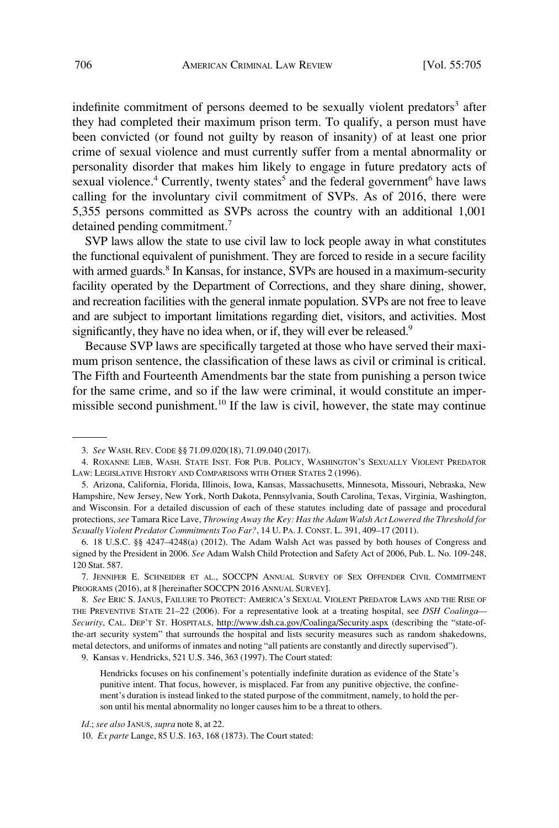indefinite commitment of persons deemed to be sexually violent predators<sup>3</sup> after they had completed their maximum prison term. To qualify, a person must have been convicted (or found not guilty by reason of insanity) of at least one prior crime of sexual violence and must currently suffer from a mental abnormality or personality disorder that makes him likely to engage in future predatory acts of sexual violence.<sup>4</sup> Currently, twenty states<sup>5</sup> and the federal government<sup>6</sup> have laws calling for the involuntary civil commitment of SVPs. As of 2016, there were 5,355 persons committed as SVPs across the country with an additional 1,001 detained pending commitment.7

SVP laws allow the state to use civil law to lock people away in what constitutes the functional equivalent of punishment. They are forced to reside in a secure facility with armed guards.<sup>8</sup> In Kansas, for instance, SVPs are housed in a maximum-security facility operated by the Department of Corrections, and they share dining, shower, and recreation facilities with the general inmate population. SVPs are not free to leave and are subject to important limitations regarding diet, visitors, and activities. Most significantly, they have no idea when, or if, they will ever be released.<sup>9</sup>

Because SVP laws are specifically targeted at those who have served their maximum prison sentence, the classification of these laws as civil or criminal is critical. The Fifth and Fourteenth Amendments bar the state from punishing a person twice for the same crime, and so if the law were criminal, it would constitute an impermissible second punishment.<sup>10</sup> If the law is civil, however, the state may continue

9. Kansas v. Hendricks, 521 U.S. 346, 363 (1997). The Court stated:

Hendricks focuses on his confinement's potentially indefinite duration as evidence of the State's punitive intent. That focus, however, is misplaced. Far from any punitive objective, the confinement's duration is instead linked to the stated purpose of the commitment, namely, to hold the person until his mental abnormality no longer causes him to be a threat to others.

<sup>3.</sup> *See* WASH. REV. CODE §§ 71.09.020(18), 71.09.040 (2017).

<sup>4.</sup> ROXANNE LIEB, WASH. STATE INST. FOR PUB. POLICY, WASHINGTON'S SEXUALLY VIOLENT PREDATOR LAW: LEGISLATIVE HISTORY AND COMPARISONS WITH OTHER STATES 2 (1996).

<sup>5.</sup> Arizona, California, Florida, Illinois, Iowa, Kansas, Massachusetts, Minnesota, Missouri, Nebraska, New Hampshire, New Jersey, New York, North Dakota, Pennsylvania, South Carolina, Texas, Virginia, Washington, and Wisconsin. For a detailed discussion of each of these statutes including date of passage and procedural protections, *see* Tamara Rice Lave, *Throwing Away the Key: Has the Adam Walsh Act Lowered the Threshold for Sexually Violent Predator Commitments Too Far?*, 14 U. PA. J. CONST. L. 391, 409–17 (2011).

<sup>6. 18</sup> U.S.C. §§ 4247–4248(a) (2012). The Adam Walsh Act was passed by both houses of Congress and signed by the President in 2006. *See* Adam Walsh Child Protection and Safety Act of 2006, Pub. L. No. 109-248, 120 Stat. 587.

<sup>7.</sup> JENNIFER E. SCHNEIDER ET AL., SOCCPN ANNUAL SURVEY OF SEX OFFENDER CIVIL COMMITMENT PROGRAMS (2016), at 8 [hereinafter SOCCPN 2016 ANNUAL SURVEY].

*See* ERIC S. JANUS, FAILURE TO PROTECT: AMERICA'S SEXUAL VIOLENT PREDATOR LAWS AND THE RISE OF 8. THE PREVENTIVE STATE 21–22 (2006). For a representative look at a treating hospital, see *DSH Coalinga— Security*, CAL. DEP'T ST. HOSPITALS, <http://www.dsh.ca.gov/Coalinga/Security.aspx>(describing the "state-ofthe-art security system" that surrounds the hospital and lists security measures such as random shakedowns, metal detectors, and uniforms of inmates and noting "all patients are constantly and directly supervised").

*Id.*; *see also* JANUS, *supra* note 8, at 22.

<sup>10.</sup> *Ex parte* Lange, 85 U.S. 163, 168 (1873). The Court stated: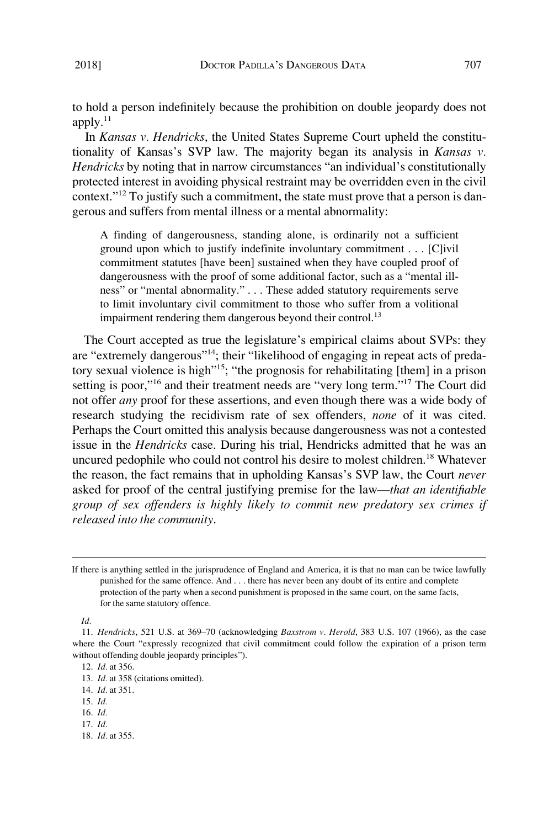to hold a person indefinitely because the prohibition on double jeopardy does not apply. $^{11}$ 

In *Kansas v. Hendricks*, the United States Supreme Court upheld the constitutionality of Kansas's SVP law. The majority began its analysis in *Kansas v. Hendricks* by noting that in narrow circumstances "an individual's constitutionally protected interest in avoiding physical restraint may be overridden even in the civil context."12 To justify such a commitment, the state must prove that a person is dangerous and suffers from mental illness or a mental abnormality:

A finding of dangerousness, standing alone, is ordinarily not a sufficient ground upon which to justify indefinite involuntary commitment . . . [C]ivil commitment statutes [have been] sustained when they have coupled proof of dangerousness with the proof of some additional factor, such as a "mental illness" or "mental abnormality." . . . These added statutory requirements serve to limit involuntary civil commitment to those who suffer from a volitional impairment rendering them dangerous beyond their control.<sup>13</sup>

The Court accepted as true the legislature's empirical claims about SVPs: they are "extremely dangerous"14; their "likelihood of engaging in repeat acts of predatory sexual violence is high"15; "the prognosis for rehabilitating [them] in a prison setting is poor,"<sup>16</sup> and their treatment needs are "very long term."<sup>17</sup> The Court did not offer *any* proof for these assertions, and even though there was a wide body of research studying the recidivism rate of sex offenders, *none* of it was cited. Perhaps the Court omitted this analysis because dangerousness was not a contested issue in the *Hendricks* case. During his trial, Hendricks admitted that he was an uncured pedophile who could not control his desire to molest children.<sup>18</sup> Whatever the reason, the fact remains that in upholding Kansas's SVP law, the Court *never*  asked for proof of the central justifying premise for the law—*that an identifiable group of sex offenders is highly likely to commit new predatory sex crimes if released into the community*.

- 13. *Id.* at 358 (citations omitted).
- 14. *Id.* at 351.
- 15. *Id.*
- 16. *Id.*
- 17. *Id.*
- 18. *Id.* at 355.

If there is anything settled in the jurisprudence of England and America, it is that no man can be twice lawfully punished for the same offence. And . . . there has never been any doubt of its entire and complete protection of the party when a second punishment is proposed in the same court, on the same facts, for the same statutory offence.

*Id.* 

<sup>11.</sup> *Hendricks*, 521 U.S. at 369–70 (acknowledging *Baxstrom v. Herold*, 383 U.S. 107 (1966), as the case where the Court "expressly recognized that civil commitment could follow the expiration of a prison term without offending double jeopardy principles").

<sup>12.</sup> *Id.* at 356.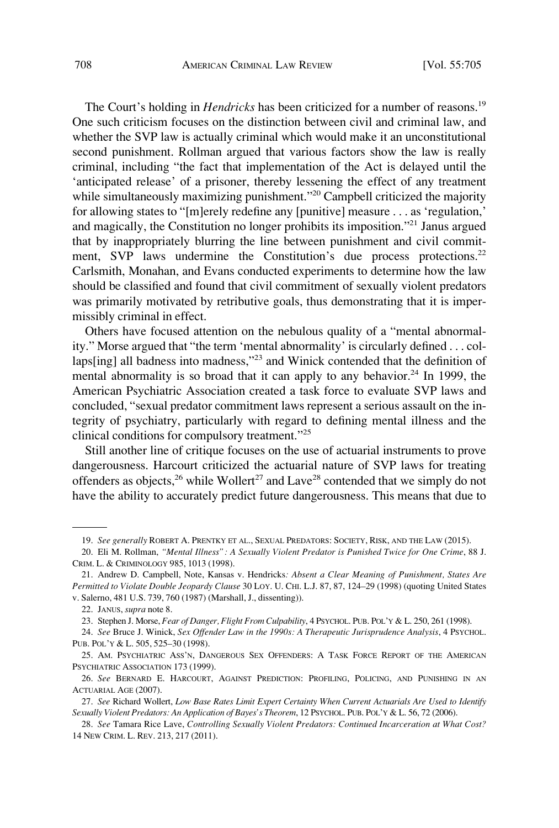The Court's holding in *Hendricks* has been criticized for a number of reasons.<sup>19</sup> One such criticism focuses on the distinction between civil and criminal law, and whether the SVP law is actually criminal which would make it an unconstitutional second punishment. Rollman argued that various factors show the law is really criminal, including "the fact that implementation of the Act is delayed until the 'anticipated release' of a prisoner, thereby lessening the effect of any treatment while simultaneously maximizing punishment."<sup>20</sup> Campbell criticized the majority for allowing states to "[m]erely redefine any [punitive] measure . . . as 'regulation,' and magically, the Constitution no longer prohibits its imposition."21 Janus argued that by inappropriately blurring the line between punishment and civil commitment, SVP laws undermine the Constitution's due process protections.<sup>22</sup> Carlsmith, Monahan, and Evans conducted experiments to determine how the law should be classified and found that civil commitment of sexually violent predators was primarily motivated by retributive goals, thus demonstrating that it is impermissibly criminal in effect.

Others have focused attention on the nebulous quality of a "mental abnormality." Morse argued that "the term 'mental abnormality' is circularly defined . . . collaps[ing] all badness into madness,"<sup>23</sup> and Winick contended that the definition of mental abnormality is so broad that it can apply to any behavior.<sup>24</sup> In 1999, the American Psychiatric Association created a task force to evaluate SVP laws and concluded, "sexual predator commitment laws represent a serious assault on the integrity of psychiatry, particularly with regard to defining mental illness and the clinical conditions for compulsory treatment."<sup>25</sup>

Still another line of critique focuses on the use of actuarial instruments to prove dangerousness. Harcourt criticized the actuarial nature of SVP laws for treating offenders as objects,<sup>26</sup> while Wollert<sup>27</sup> and Lave<sup>28</sup> contended that we simply do not have the ability to accurately predict future dangerousness. This means that due to

<sup>19.</sup> *See generally* ROBERT A. PRENTKY ET AL., SEXUAL PREDATORS: SOCIETY, RISK, AND THE LAW (2015).

<sup>20.</sup> Eli M. Rollman, *"Mental Illness": A Sexually Violent Predator is Punished Twice for One Crime*, 88 J. CRIM. L. & CRIMINOLOGY 985, 1013 (1998).

<sup>21.</sup> Andrew D. Campbell, Note, Kansas v. Hendricks*: Absent a Clear Meaning of Punishment, States Are Permitted to Violate Double Jeopardy Clause* 30 LOY. U. CHI. L.J. 87, 87, 124–29 (1998) (quoting United States v. Salerno, 481 U.S. 739, 760 (1987) (Marshall, J., dissenting)).

<sup>22.</sup> JANUS, *supra* note 8.

<sup>23.</sup> Stephen J. Morse, *Fear of Danger, Flight From Culpability*, 4 PSYCHOL. PUB. POL'Y & L. 250, 261 (1998).

<sup>24.</sup> *See* Bruce J. Winick, *Sex Offender Law in the 1990s: A Therapeutic Jurisprudence Analysis*, 4 PSYCHOL. PUB. POL'Y & L. 505, 525–30 (1998).

<sup>25.</sup> AM. PSYCHIATRIC ASS'N, DANGEROUS SEX OFFENDERS: A TASK FORCE REPORT OF THE AMERICAN PSYCHIATRIC ASSOCIATION 173 (1999).

<sup>26.</sup> *See* BERNARD E. HARCOURT, AGAINST PREDICTION: PROFILING, POLICING, AND PUNISHING IN AN ACTUARIAL AGE (2007).

<sup>27.</sup> *See* Richard Wollert, *Low Base Rates Limit Expert Certainty When Current Actuarials Are Used to Identify Sexually Violent Predators: An Application of Bayes's Theorem*, 12 PSYCHOL. PUB. POL'Y & L. 56, 72 (2006).

<sup>28.</sup> *See* Tamara Rice Lave, *Controlling Sexually Violent Predators: Continued Incarceration at What Cost?*  14 NEW CRIM. L. REV. 213, 217 (2011).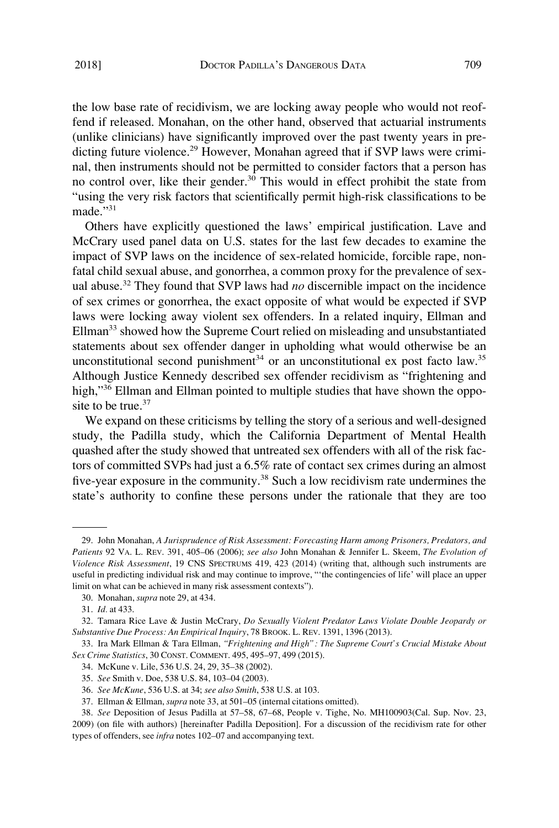the low base rate of recidivism, we are locking away people who would not reoffend if released. Monahan, on the other hand, observed that actuarial instruments (unlike clinicians) have significantly improved over the past twenty years in predicting future violence.<sup>29</sup> However, Monahan agreed that if SVP laws were criminal, then instruments should not be permitted to consider factors that a person has no control over, like their gender. $30$  This would in effect prohibit the state from "using the very risk factors that scientifically permit high-risk classifications to be made."<sup>31</sup>

Others have explicitly questioned the laws' empirical justification. Lave and McCrary used panel data on U.S. states for the last few decades to examine the impact of SVP laws on the incidence of sex-related homicide, forcible rape, nonfatal child sexual abuse, and gonorrhea, a common proxy for the prevalence of sexual abuse.<sup>32</sup> They found that SVP laws had *no* discernible impact on the incidence of sex crimes or gonorrhea, the exact opposite of what would be expected if SVP laws were locking away violent sex offenders. In a related inquiry, Ellman and  $Ellman<sup>33</sup>$  showed how the Supreme Court relied on misleading and unsubstantiated statements about sex offender danger in upholding what would otherwise be an unconstitutional second punishment<sup>34</sup> or an unconstitutional ex post facto law.<sup>35</sup> Although Justice Kennedy described sex offender recidivism as "frightening and high,"<sup>36</sup> Ellman and Ellman pointed to multiple studies that have shown the opposite to be true. $37$ 

We expand on these criticisms by telling the story of a serious and well-designed study, the Padilla study, which the California Department of Mental Health quashed after the study showed that untreated sex offenders with all of the risk factors of committed SVPs had just a 6.5% rate of contact sex crimes during an almost five-year exposure in the community.<sup>38</sup> Such a low recidivism rate undermines the state's authority to confine these persons under the rationale that they are too

- 36. *See McKune*, 536 U.S. at 34; *see also Smith*, 538 U.S. at 103.
- 37. Ellman & Ellman, *supra* note 33, at 501–05 (internal citations omitted).

<sup>29.</sup> John Monahan, *A Jurisprudence of Risk Assessment: Forecasting Harm among Prisoners, Predators, and Patients* 92 VA. L. REV. 391, 405–06 (2006); *see also* John Monahan & Jennifer L. Skeem, *The Evolution of Violence Risk Assessment*, 19 CNS SPECTRUMS 419, 423 (2014) (writing that, although such instruments are useful in predicting individual risk and may continue to improve, "'the contingencies of life' will place an upper limit on what can be achieved in many risk assessment contexts").

<sup>30.</sup> Monahan, *supra* note 29, at 434.

<sup>31.</sup> *Id.* at 433.

<sup>32.</sup> Tamara Rice Lave & Justin McCrary, *Do Sexually Violent Predator Laws Violate Double Jeopardy or Substantive Due Process: An Empirical Inquiry*, 78 BROOK. L. REV. 1391, 1396 (2013).

<sup>33.</sup> Ira Mark Ellman & Tara Ellman, *"Frightening and High": The Supreme Court's Crucial Mistake About Sex Crime Statistics*, 30 CONST. COMMENT. 495, 495–97, 499 (2015).

<sup>34.</sup> McKune v. Lile, 536 U.S. 24, 29, 35–38 (2002).

<sup>35.</sup> *See* Smith v. Doe, 538 U.S. 84, 103–04 (2003).

<sup>38.</sup> *See* Deposition of Jesus Padilla at 57–58, 67–68, People v. Tighe, No. MH100903(Cal. Sup. Nov. 23, 2009) (on file with authors) [hereinafter Padilla Deposition]. For a discussion of the recidivism rate for other types of offenders, see *infra* notes 102–07 and accompanying text.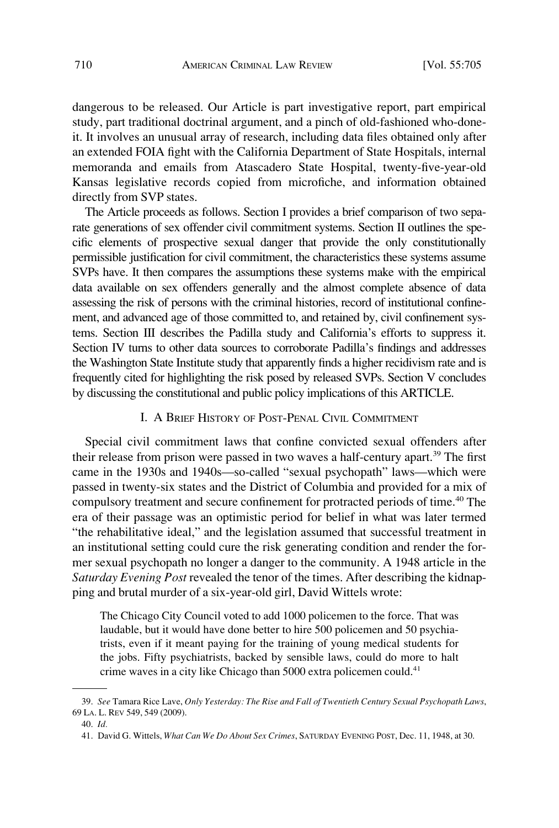dangerous to be released. Our Article is part investigative report, part empirical study, part traditional doctrinal argument, and a pinch of old-fashioned who-doneit. It involves an unusual array of research, including data files obtained only after an extended FOIA fight with the California Department of State Hospitals, internal memoranda and emails from Atascadero State Hospital, twenty-five-year-old Kansas legislative records copied from microfiche, and information obtained directly from SVP states.

The Article proceeds as follows. Section I provides a brief comparison of two separate generations of sex offender civil commitment systems. Section II outlines the specific elements of prospective sexual danger that provide the only constitutionally permissible justification for civil commitment, the characteristics these systems assume SVPs have. It then compares the assumptions these systems make with the empirical data available on sex offenders generally and the almost complete absence of data assessing the risk of persons with the criminal histories, record of institutional confinement, and advanced age of those committed to, and retained by, civil confinement systems. Section III describes the Padilla study and California's efforts to suppress it. Section IV turns to other data sources to corroborate Padilla's findings and addresses the Washington State Institute study that apparently finds a higher recidivism rate and is frequently cited for highlighting the risk posed by released SVPs. Section V concludes by discussing the constitutional and public policy implications of this ARTICLE.

## I. A BRIEF HISTORY OF POST-PENAL CIVIL COMMITMENT

Special civil commitment laws that confine convicted sexual offenders after their release from prison were passed in two waves a half-century apart.<sup>39</sup> The first came in the 1930s and 1940s—so-called "sexual psychopath" laws—which were passed in twenty-six states and the District of Columbia and provided for a mix of compulsory treatment and secure confinement for protracted periods of time.<sup>40</sup> The era of their passage was an optimistic period for belief in what was later termed "the rehabilitative ideal," and the legislation assumed that successful treatment in an institutional setting could cure the risk generating condition and render the former sexual psychopath no longer a danger to the community. A 1948 article in the *Saturday Evening Post* revealed the tenor of the times. After describing the kidnapping and brutal murder of a six-year-old girl, David Wittels wrote:

The Chicago City Council voted to add 1000 policemen to the force. That was laudable, but it would have done better to hire 500 policemen and 50 psychiatrists, even if it meant paying for the training of young medical students for the jobs. Fifty psychiatrists, backed by sensible laws, could do more to halt crime waves in a city like Chicago than 5000 extra policemen could.<sup>41</sup>

<sup>39.</sup> *See* Tamara Rice Lave, *Only Yesterday: The Rise and Fall of Twentieth Century Sexual Psychopath Laws*, 69 LA. L. REV 549, 549 (2009).

<sup>40.</sup> *Id.* 

<sup>41.</sup> David G. Wittels, *What Can We Do About Sex Crimes*, SATURDAY EVENING POST, Dec. 11, 1948, at 30.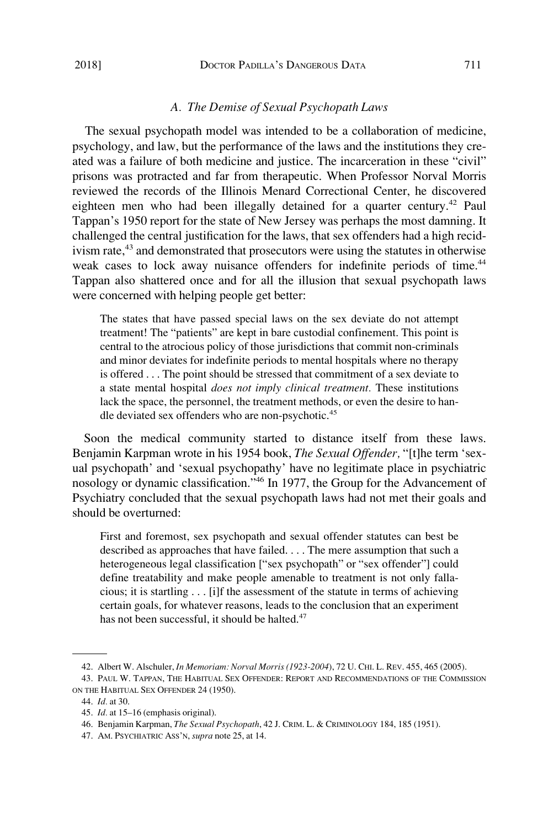### *A. The Demise of Sexual Psychopath Laws*

The sexual psychopath model was intended to be a collaboration of medicine, psychology, and law, but the performance of the laws and the institutions they created was a failure of both medicine and justice. The incarceration in these "civil" prisons was protracted and far from therapeutic. When Professor Norval Morris reviewed the records of the Illinois Menard Correctional Center, he discovered eighteen men who had been illegally detained for a quarter century.<sup>42</sup> Paul Tappan's 1950 report for the state of New Jersey was perhaps the most damning. It challenged the central justification for the laws, that sex offenders had a high recidivism rate,<sup>43</sup> and demonstrated that prosecutors were using the statutes in otherwise weak cases to lock away nuisance offenders for indefinite periods of time.<sup>44</sup> Tappan also shattered once and for all the illusion that sexual psychopath laws were concerned with helping people get better:

The states that have passed special laws on the sex deviate do not attempt treatment! The "patients" are kept in bare custodial confinement. This point is central to the atrocious policy of those jurisdictions that commit non-criminals and minor deviates for indefinite periods to mental hospitals where no therapy is offered . . . The point should be stressed that commitment of a sex deviate to a state mental hospital *does not imply clinical treatment.* These institutions lack the space, the personnel, the treatment methods, or even the desire to handle deviated sex offenders who are non-psychotic.<sup>45</sup>

Soon the medical community started to distance itself from these laws. Benjamin Karpman wrote in his 1954 book, *The Sexual Offender,* "[t]he term 'sexual psychopath' and 'sexual psychopathy' have no legitimate place in psychiatric nosology or dynamic classification."46 In 1977, the Group for the Advancement of Psychiatry concluded that the sexual psychopath laws had not met their goals and should be overturned:

First and foremost, sex psychopath and sexual offender statutes can best be described as approaches that have failed. . . . The mere assumption that such a heterogeneous legal classification ["sex psychopath" or "sex offender"] could define treatability and make people amenable to treatment is not only fallacious; it is startling . . . [i]f the assessment of the statute in terms of achieving certain goals, for whatever reasons, leads to the conclusion that an experiment has not been successful, it should be halted.<sup>47</sup>

<sup>42.</sup> Albert W. Alschuler, *In Memoriam: Norval Morris (1923-2004*), 72 U. CHI. L. REV. 455, 465 (2005).

<sup>43.</sup> PAUL W. TAPPAN, THE HABITUAL SEX OFFENDER: REPORT AND RECOMMENDATIONS OF THE COMMISSION ON THE HABITUAL SEX OFFENDER 24 (1950).

<sup>44.</sup> *Id.* at 30.

<sup>45.</sup> *Id.* at 15–16 (emphasis original).

<sup>46.</sup> Benjamin Karpman, *The Sexual Psychopath*, 42 J. CRIM. L. & CRIMINOLOGY 184, 185 (1951).

<sup>47.</sup> AM. PSYCHIATRIC ASS'N, *supra* note 25, at 14.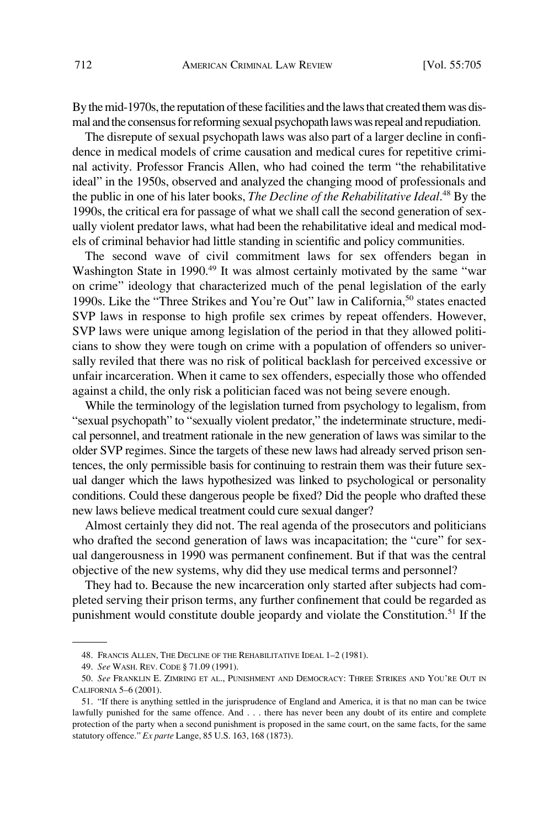By the mid-1970s, the reputation of these facilities and the laws that created them was dismal and the consensus for reforming sexual psychopath laws was repeal and repudiation.

The disrepute of sexual psychopath laws was also part of a larger decline in confidence in medical models of crime causation and medical cures for repetitive criminal activity. Professor Francis Allen, who had coined the term "the rehabilitative ideal" in the 1950s, observed and analyzed the changing mood of professionals and the public in one of his later books, *The Decline of the Rehabilitative Ideal*. 48 By the 1990s, the critical era for passage of what we shall call the second generation of sexually violent predator laws, what had been the rehabilitative ideal and medical models of criminal behavior had little standing in scientific and policy communities.

The second wave of civil commitment laws for sex offenders began in Washington State in 1990.<sup>49</sup> It was almost certainly motivated by the same "war on crime" ideology that characterized much of the penal legislation of the early 1990s. Like the "Three Strikes and You're Out" law in California,50 states enacted SVP laws in response to high profile sex crimes by repeat offenders. However, SVP laws were unique among legislation of the period in that they allowed politicians to show they were tough on crime with a population of offenders so universally reviled that there was no risk of political backlash for perceived excessive or unfair incarceration. When it came to sex offenders, especially those who offended against a child, the only risk a politician faced was not being severe enough.

While the terminology of the legislation turned from psychology to legalism, from "sexual psychopath" to "sexually violent predator," the indeterminate structure, medical personnel, and treatment rationale in the new generation of laws was similar to the older SVP regimes. Since the targets of these new laws had already served prison sentences, the only permissible basis for continuing to restrain them was their future sexual danger which the laws hypothesized was linked to psychological or personality conditions. Could these dangerous people be fixed? Did the people who drafted these new laws believe medical treatment could cure sexual danger?

Almost certainly they did not. The real agenda of the prosecutors and politicians who drafted the second generation of laws was incapacitation; the "cure" for sexual dangerousness in 1990 was permanent confinement. But if that was the central objective of the new systems, why did they use medical terms and personnel?

They had to. Because the new incarceration only started after subjects had completed serving their prison terms, any further confinement that could be regarded as punishment would constitute double jeopardy and violate the Constitution.51 If the

<sup>48.</sup> FRANCIS ALLEN, THE DECLINE OF THE REHABILITATIVE IDEAL 1–2 (1981).

<sup>49.</sup> *See* WASH. REV. CODE § 71.09 (1991).

<sup>50.</sup> *See* FRANKLIN E. ZIMRING ET AL., PUNISHMENT AND DEMOCRACY: THREE STRIKES AND YOU'RE OUT IN CALIFORNIA 5–6 (2001).

<sup>51. &</sup>quot;If there is anything settled in the jurisprudence of England and America, it is that no man can be twice lawfully punished for the same offence. And . . . there has never been any doubt of its entire and complete protection of the party when a second punishment is proposed in the same court, on the same facts, for the same statutory offence." *Ex parte* Lange, 85 U.S. 163, 168 (1873).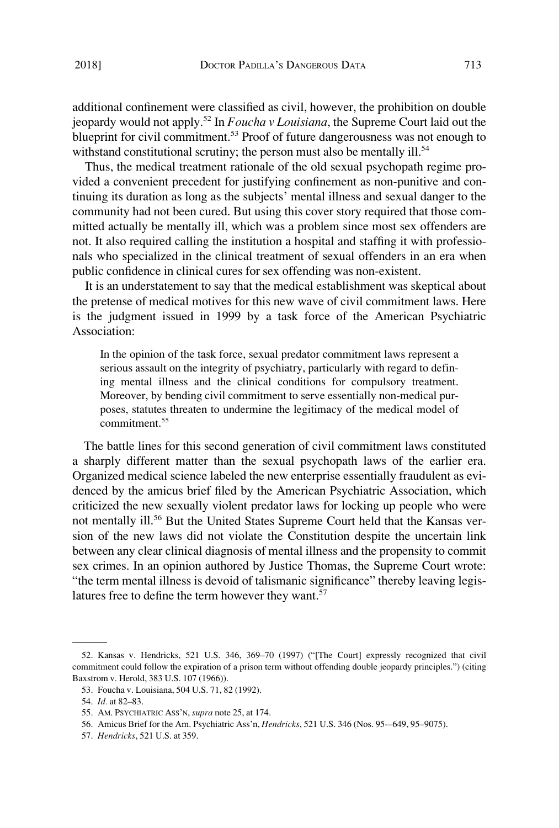additional confinement were classified as civil, however, the prohibition on double jeopardy would not apply.52 In *Foucha v Louisiana*, the Supreme Court laid out the blueprint for civil commitment.<sup>53</sup> Proof of future dangerousness was not enough to withstand constitutional scrutiny; the person must also be mentally ill.<sup>54</sup>

Thus, the medical treatment rationale of the old sexual psychopath regime provided a convenient precedent for justifying confinement as non-punitive and continuing its duration as long as the subjects' mental illness and sexual danger to the community had not been cured. But using this cover story required that those committed actually be mentally ill, which was a problem since most sex offenders are not. It also required calling the institution a hospital and staffing it with professionals who specialized in the clinical treatment of sexual offenders in an era when public confidence in clinical cures for sex offending was non-existent.

It is an understatement to say that the medical establishment was skeptical about the pretense of medical motives for this new wave of civil commitment laws. Here is the judgment issued in 1999 by a task force of the American Psychiatric Association:

In the opinion of the task force, sexual predator commitment laws represent a serious assault on the integrity of psychiatry, particularly with regard to defining mental illness and the clinical conditions for compulsory treatment. Moreover, by bending civil commitment to serve essentially non-medical purposes, statutes threaten to undermine the legitimacy of the medical model of commitment<sup>55</sup>

The battle lines for this second generation of civil commitment laws constituted a sharply different matter than the sexual psychopath laws of the earlier era. Organized medical science labeled the new enterprise essentially fraudulent as evidenced by the amicus brief filed by the American Psychiatric Association, which criticized the new sexually violent predator laws for locking up people who were not mentally ill.<sup>56</sup> But the United States Supreme Court held that the Kansas version of the new laws did not violate the Constitution despite the uncertain link between any clear clinical diagnosis of mental illness and the propensity to commit sex crimes. In an opinion authored by Justice Thomas, the Supreme Court wrote: "the term mental illness is devoid of talismanic significance" thereby leaving legislatures free to define the term however they want.<sup>57</sup>

<sup>52.</sup> Kansas v. Hendricks, 521 U.S. 346, 369–70 (1997) ("[The Court] expressly recognized that civil commitment could follow the expiration of a prison term without offending double jeopardy principles.") (citing Baxstrom v. Herold, 383 U.S. 107 (1966)).

<sup>53.</sup> Foucha v. Louisiana, 504 U.S. 71, 82 (1992).

<sup>54.</sup> *Id.* at 82–83.

<sup>55.</sup> AM. PSYCHIATRIC ASS'N, *supra* note 25, at 174.

<sup>56.</sup> Amicus Brief for the Am. Psychiatric Ass'n, *Hendricks*, 521 U.S. 346 (Nos. 95-–649, 95–9075).

<sup>57.</sup> *Hendricks*, 521 U.S. at 359.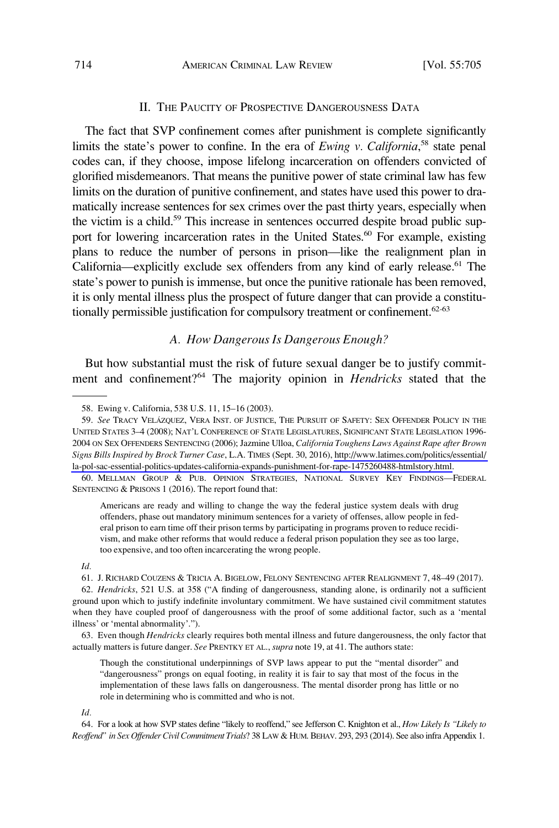#### II. THE PAUCITY OF PROSPECTIVE DANGEROUSNESS DATA

The fact that SVP confinement comes after punishment is complete significantly limits the state's power to confine. In the era of *Ewing v. California*,<sup>58</sup> state penal codes can, if they choose, impose lifelong incarceration on offenders convicted of glorified misdemeanors. That means the punitive power of state criminal law has few limits on the duration of punitive confinement, and states have used this power to dramatically increase sentences for sex crimes over the past thirty years, especially when the victim is a child.<sup>59</sup> This increase in sentences occurred despite broad public support for lowering incarceration rates in the United States.<sup>60</sup> For example, existing plans to reduce the number of persons in prison—like the realignment plan in California—explicitly exclude sex offenders from any kind of early release.<sup>61</sup> The state's power to punish is immense, but once the punitive rationale has been removed, it is only mental illness plus the prospect of future danger that can provide a constitutionally permissible justification for compulsory treatment or confinement.<sup>62-63</sup>

### *A. How Dangerous Is Dangerous Enough?*

But how substantial must the risk of future sexual danger be to justify commitment and confinement?64 The majority opinion in *Hendricks* stated that the

60. MELLMAN GROUP & PUB. OPINION STRATEGIES, NATIONAL SURVEY KEY FINDINGS—FEDERAL SENTENCING & PRISONS 1 (2016). The report found that:

Americans are ready and willing to change the way the federal justice system deals with drug offenders, phase out mandatory minimum sentences for a variety of offenses, allow people in federal prison to earn time off their prison terms by participating in programs proven to reduce recidivism, and make other reforms that would reduce a federal prison population they see as too large, too expensive, and too often incarcerating the wrong people.

*Id.* 

61. J. RICHARD COUZENS & TRICIA A. BIGELOW, FELONY SENTENCING AFTER REALIGNMENT 7, 48–49 (2017).

62. *Hendricks*, 521 U.S. at 358 ("A finding of dangerousness, standing alone, is ordinarily not a sufficient ground upon which to justify indefinite involuntary commitment. We have sustained civil commitment statutes when they have coupled proof of dangerousness with the proof of some additional factor, such as a 'mental illness' or 'mental abnormality'.").

63. Even though *Hendricks* clearly requires both mental illness and future dangerousness, the only factor that actually matters is future danger. *See* PRENTKY ET AL., *supra* note 19, at 41. The authors state:

Though the constitutional underpinnings of SVP laws appear to put the "mental disorder" and "dangerousness" prongs on equal footing, in reality it is fair to say that most of the focus in the implementation of these laws falls on dangerousness. The mental disorder prong has little or no role in determining who is committed and who is not.

#### *Id.*

64. For a look at how SVP states define "likely to reoffend," see Jefferson C. Knighton et al., *How Likely Is "Likely to Reoffend" in Sex Offender Civil Commitment Trials*? 38 LAW & HUM. BEHAV. 293, 293 (2014). See also infra Appendix 1.

<sup>58.</sup> Ewing v. California, 538 U.S. 11, 15–16 (2003).

<sup>59.</sup> See Tracy Velázquez, Vera Inst. of Justice, The Pursuit of Safety: Sex Offender Policy in the UNITED STATES 3–4 (2008); NAT'L CONFERENCE OF STATE LEGISLATURES, SIGNIFICANT STATE LEGISLATION 1996- 2004 ON SEX OFFENDERS SENTENCING (2006); Jazmine Ulloa, *California Toughens Laws Against Rape after Brown Signs Bills Inspired by Brock Turner Case*, L.A. TIMES (Sept. 30, 2016), [http://www.latimes.com/politics/essential/](http://www.latimes.com/politics/essential/la-pol-sac-essential-politics-updates-california-expands-punishment-for-rape-1475260488-htmlstory.html)  [la-pol-sac-essential-politics-updates-california-expands-punishment-for-rape-1475260488-htmlstory.html](http://www.latimes.com/politics/essential/la-pol-sac-essential-politics-updates-california-expands-punishment-for-rape-1475260488-htmlstory.html).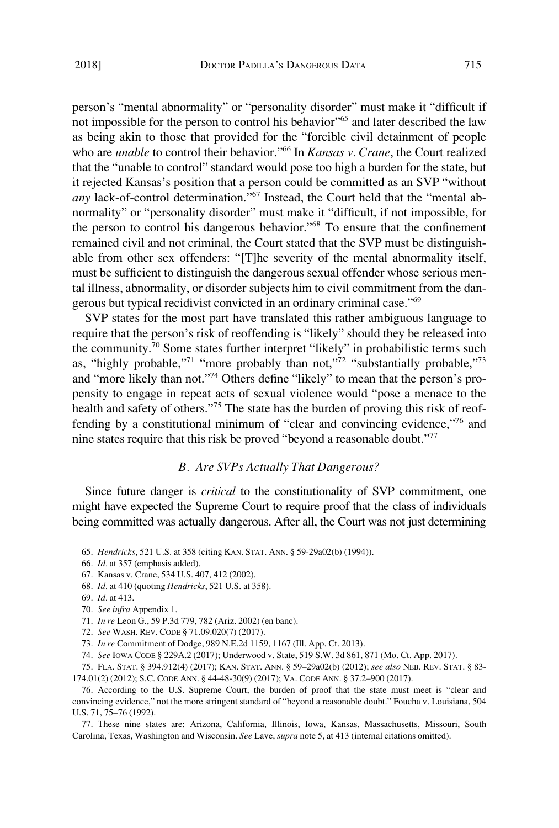person's "mental abnormality" or "personality disorder" must make it "difficult if not impossible for the person to control his behavior"<sup>65</sup> and later described the law as being akin to those that provided for the "forcible civil detainment of people who are *unable* to control their behavior."<sup>66</sup> In *Kansas v. Crane*, the Court realized that the "unable to control" standard would pose too high a burden for the state, but it rejected Kansas's position that a person could be committed as an SVP "without any lack-of-control determination."<sup>67</sup> Instead, the Court held that the "mental abnormality" or "personality disorder" must make it "difficult, if not impossible, for the person to control his dangerous behavior."68 To ensure that the confinement remained civil and not criminal, the Court stated that the SVP must be distinguishable from other sex offenders: "[T]he severity of the mental abnormality itself, must be sufficient to distinguish the dangerous sexual offender whose serious mental illness, abnormality, or disorder subjects him to civil commitment from the dangerous but typical recidivist convicted in an ordinary criminal case."<sup>69</sup>

SVP states for the most part have translated this rather ambiguous language to require that the person's risk of reoffending is "likely" should they be released into the community.<sup>70</sup> Some states further interpret "likely" in probabilistic terms such as, "highly probable,"71 "more probably than not,"72 "substantially probable,"73 and "more likely than not."74 Others define "likely" to mean that the person's propensity to engage in repeat acts of sexual violence would "pose a menace to the health and safety of others."<sup>75</sup> The state has the burden of proving this risk of reoffending by a constitutional minimum of "clear and convincing evidence,"76 and nine states require that this risk be proved "beyond a reasonable doubt."77

#### *B. Are SVPs Actually That Dangerous?*

Since future danger is *critical* to the constitutionality of SVP commitment, one might have expected the Supreme Court to require proof that the class of individuals being committed was actually dangerous. After all, the Court was not just determining

<sup>65.</sup> *Hendricks*, 521 U.S. at 358 (citing KAN. STAT. ANN. § 59-29a02(b) (1994)).

<sup>66.</sup> *Id.* at 357 (emphasis added).

<sup>67.</sup> Kansas v. Crane, 534 U.S. 407, 412 (2002).

<sup>68.</sup> *Id.* at 410 (quoting *Hendricks*, 521 U.S. at 358).

<sup>69.</sup> *Id.* at 413.

<sup>70.</sup> *See infra* Appendix 1.

<sup>71.</sup> *In re* Leon G., 59 P.3d 779, 782 (Ariz. 2002) (en banc).

<sup>72.</sup> *See* WASH. REV. CODE § 71.09.020(7) (2017).

<sup>73.</sup> *In re* Commitment of Dodge, 989 N.E.2d 1159, 1167 (Ill. App. Ct. 2013).

<sup>74.</sup> *See* IOWA CODE § 229A.2 (2017); Underwood v. State, 519 S.W. 3d 861, 871 (Mo. Ct. App. 2017).

<sup>75.</sup> FLA. STAT. § 394.912(4) (2017); KAN. STAT. ANN. § 59–29a02(b) (2012); *see also* NEB. REV. STAT. § 83- 174.01(2) (2012); S.C. CODE ANN. § 44-48-30(9) (2017); VA. CODE ANN. § 37.2–900 (2017).

<sup>76.</sup> According to the U.S. Supreme Court, the burden of proof that the state must meet is "clear and convincing evidence," not the more stringent standard of "beyond a reasonable doubt." Foucha v. Louisiana, 504 U.S. 71, 75–76 (1992).

<sup>77.</sup> These nine states are: Arizona, California, Illinois, Iowa, Kansas, Massachusetts, Missouri, South Carolina, Texas, Washington and Wisconsin. *See* Lave, *supra* note 5, at 413 (internal citations omitted).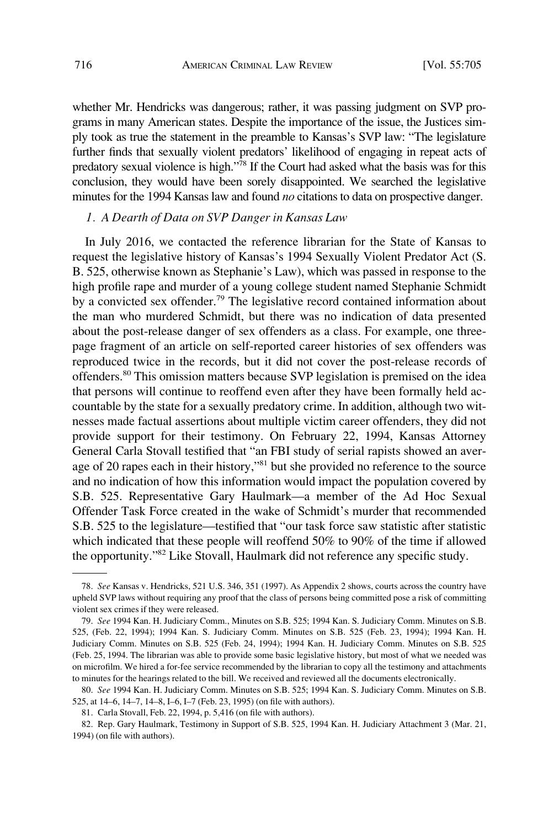whether Mr. Hendricks was dangerous; rather, it was passing judgment on SVP programs in many American states. Despite the importance of the issue, the Justices simply took as true the statement in the preamble to Kansas's SVP law: "The legislature further finds that sexually violent predators' likelihood of engaging in repeat acts of predatory sexual violence is high."78 If the Court had asked what the basis was for this conclusion, they would have been sorely disappointed. We searched the legislative minutes for the 1994 Kansas law and found *no* citations to data on prospective danger.

### *1. A Dearth of Data on SVP Danger in Kansas Law*

In July 2016, we contacted the reference librarian for the State of Kansas to request the legislative history of Kansas's 1994 Sexually Violent Predator Act (S. B. 525, otherwise known as Stephanie's Law), which was passed in response to the high profile rape and murder of a young college student named Stephanie Schmidt by a convicted sex offender.<sup>79</sup> The legislative record contained information about the man who murdered Schmidt, but there was no indication of data presented about the post-release danger of sex offenders as a class. For example, one threepage fragment of an article on self-reported career histories of sex offenders was reproduced twice in the records, but it did not cover the post-release records of offenders.80 This omission matters because SVP legislation is premised on the idea that persons will continue to reoffend even after they have been formally held accountable by the state for a sexually predatory crime. In addition, although two witnesses made factual assertions about multiple victim career offenders, they did not provide support for their testimony. On February 22, 1994, Kansas Attorney General Carla Stovall testified that "an FBI study of serial rapists showed an average of 20 rapes each in their history,"<sup>81</sup> but she provided no reference to the source and no indication of how this information would impact the population covered by S.B. 525. Representative Gary Haulmark—a member of the Ad Hoc Sexual Offender Task Force created in the wake of Schmidt's murder that recommended S.B. 525 to the legislature—testified that "our task force saw statistic after statistic which indicated that these people will reoffend 50% to 90% of the time if allowed the opportunity."82 Like Stovall, Haulmark did not reference any specific study.

<sup>78.</sup> *See* Kansas v. Hendricks, 521 U.S. 346, 351 (1997). As Appendix 2 shows, courts across the country have upheld SVP laws without requiring any proof that the class of persons being committed pose a risk of committing violent sex crimes if they were released.

<sup>79.</sup> *See* 1994 Kan. H. Judiciary Comm., Minutes on S.B. 525; 1994 Kan. S. Judiciary Comm. Minutes on S.B. 525, (Feb. 22, 1994); 1994 Kan. S. Judiciary Comm. Minutes on S.B. 525 (Feb. 23, 1994); 1994 Kan. H. Judiciary Comm. Minutes on S.B. 525 (Feb. 24, 1994); 1994 Kan. H. Judiciary Comm. Minutes on S.B. 525 (Feb. 25, 1994. The librarian was able to provide some basic legislative history, but most of what we needed was on microfilm. We hired a for-fee service recommended by the librarian to copy all the testimony and attachments to minutes for the hearings related to the bill. We received and reviewed all the documents electronically.

<sup>80.</sup> *See* 1994 Kan. H. Judiciary Comm. Minutes on S.B. 525; 1994 Kan. S. Judiciary Comm. Minutes on S.B. 525, at 14–6, 14–7, 14–8, I–6, I–7 (Feb. 23, 1995) (on file with authors).

<sup>81.</sup> Carla Stovall, Feb. 22, 1994, p. 5,416 (on file with authors).

<sup>82.</sup> Rep. Gary Haulmark, Testimony in Support of S.B. 525, 1994 Kan. H. Judiciary Attachment 3 (Mar. 21, 1994) (on file with authors).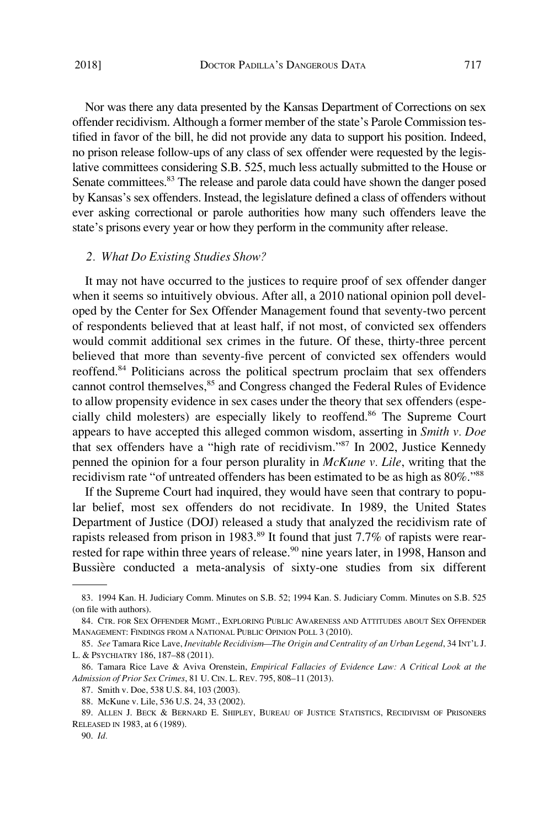Nor was there any data presented by the Kansas Department of Corrections on sex offender recidivism. Although a former member of the state's Parole Commission testified in favor of the bill, he did not provide any data to support his position. Indeed, no prison release follow-ups of any class of sex offender were requested by the legislative committees considering S.B. 525, much less actually submitted to the House or Senate committees.<sup>83</sup> The release and parole data could have shown the danger posed by Kansas's sex offenders. Instead, the legislature defined a class of offenders without ever asking correctional or parole authorities how many such offenders leave the state's prisons every year or how they perform in the community after release.

#### *2. What Do Existing Studies Show?*

It may not have occurred to the justices to require proof of sex offender danger when it seems so intuitively obvious. After all, a 2010 national opinion poll developed by the Center for Sex Offender Management found that seventy-two percent of respondents believed that at least half, if not most, of convicted sex offenders would commit additional sex crimes in the future. Of these, thirty-three percent believed that more than seventy-five percent of convicted sex offenders would reoffend.84 Politicians across the political spectrum proclaim that sex offenders cannot control themselves,<sup>85</sup> and Congress changed the Federal Rules of Evidence to allow propensity evidence in sex cases under the theory that sex offenders (especially child molesters) are especially likely to reoffend.<sup>86</sup> The Supreme Court appears to have accepted this alleged common wisdom, asserting in *Smith v. Doe*  that sex offenders have a "high rate of recidivism."87 In 2002, Justice Kennedy penned the opinion for a four person plurality in *McKune v. Lile*, writing that the recidivism rate "of untreated offenders has been estimated to be as high as 80%."88

If the Supreme Court had inquired, they would have seen that contrary to popular belief, most sex offenders do not recidivate. In 1989, the United States Department of Justice (DOJ) released a study that analyzed the recidivism rate of rapists released from prison in 1983.<sup>89</sup> It found that just 7.7% of rapists were rearrested for rape within three years of release.<sup>90</sup> nine years later, in 1998, Hanson and Bussière conducted a meta-analysis of sixty-one studies from six different

<sup>83. 1994</sup> Kan. H. Judiciary Comm. Minutes on S.B. 52; 1994 Kan. S. Judiciary Comm. Minutes on S.B. 525 (on file with authors).

<sup>84.</sup> CTR. FOR SEX OFFENDER MGMT., EXPLORING PUBLIC AWARENESS AND ATTITUDES ABOUT SEX OFFENDER MANAGEMENT: FINDINGS FROM A NATIONAL PUBLIC OPINION POLL 3 (2010).

<sup>85.</sup> *See* Tamara Rice Lave, *Inevitable Recidivism—The Origin and Centrality of an Urban Legend*, 34 INT'L J. L. & PSYCHIATRY 186, 187–88 (2011).

<sup>86.</sup> Tamara Rice Lave & Aviva Orenstein, *Empirical Fallacies of Evidence Law: A Critical Look at the Admission of Prior Sex Crimes*, 81 U. CIN. L. REV. 795, 808–11 (2013).

<sup>87.</sup> Smith v. Doe, 538 U.S. 84, 103 (2003).

<sup>88.</sup> McKune v. Lile, 536 U.S. 24, 33 (2002).

<sup>89.</sup> ALLEN J. BECK & BERNARD E. SHIPLEY, BUREAU OF JUSTICE STATISTICS, RECIDIVISM OF PRISONERS RELEASED IN 1983, at 6 (1989).

<sup>90.</sup> *Id.*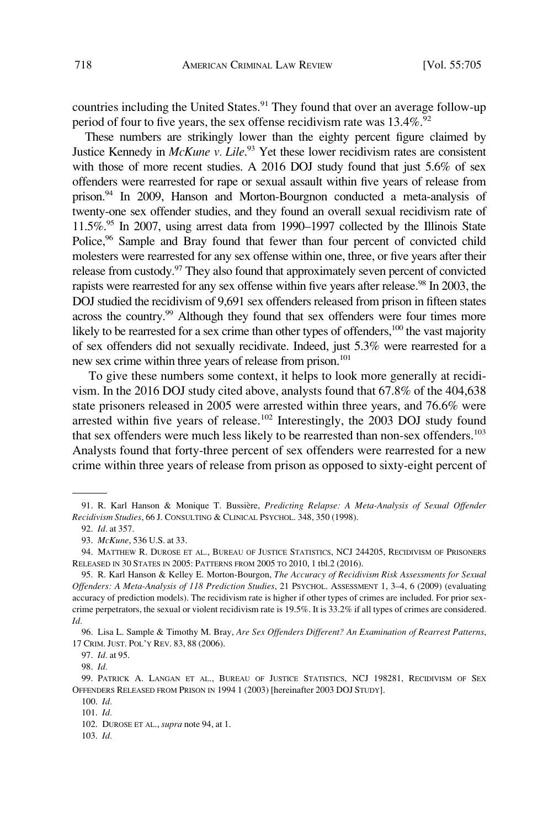countries including the United States.<sup>91</sup> They found that over an average follow-up period of four to five years, the sex offense recidivism rate was  $13.4\%$ .<sup>92</sup>

These numbers are strikingly lower than the eighty percent figure claimed by Justice Kennedy in *McKune v. Lile*. 93 Yet these lower recidivism rates are consistent with those of more recent studies. A 2016 DOJ study found that just 5.6% of sex offenders were rearrested for rape or sexual assault within five years of release from prison.<sup>94</sup> In 2009, Hanson and Morton-Bourgnon conducted a meta-analysis of twenty-one sex offender studies, and they found an overall sexual recidivism rate of  $11.5\%$ <sup>95</sup> In 2007, using arrest data from 1990–1997 collected by the Illinois State Police,<sup>96</sup> Sample and Bray found that fewer than four percent of convicted child molesters were rearrested for any sex offense within one, three, or five years after their release from custody.97 They also found that approximately seven percent of convicted rapists were rearrested for any sex offense within five years after release.<sup>98</sup> In 2003, the DOJ studied the recidivism of 9,691 sex offenders released from prison in fifteen states across the country.<sup>99</sup> Although they found that sex offenders were four times more likely to be rearrested for a sex crime than other types of offenders,<sup>100</sup> the vast majority of sex offenders did not sexually recidivate. Indeed, just 5.3% were rearrested for a new sex crime within three years of release from prison.<sup>101</sup>

To give these numbers some context, it helps to look more generally at recidivism. In the 2016 DOJ study cited above, analysts found that 67.8% of the 404,638 state prisoners released in 2005 were arrested within three years, and 76.6% were arrested within five years of release.<sup>102</sup> Interestingly, the 2003 DOJ study found that sex offenders were much less likely to be rearrested than non-sex offenders.<sup>103</sup> Analysts found that forty-three percent of sex offenders were rearrested for a new crime within three years of release from prison as opposed to sixty-eight percent of

103. *Id.* 

<sup>91.</sup> R. Karl Hanson & Monique T. Bussière, *Predicting Relapse: A Meta-Analysis of Sexual Offender Recidivism Studies*, 66 J. CONSULTING & CLINICAL PSYCHOL. 348, 350 (1998).

<sup>92.</sup> *Id.* at 357.

<sup>93.</sup> *McKune*, 536 U.S. at 33.

<sup>94.</sup> MATTHEW R. DUROSE ET AL., BUREAU OF JUSTICE STATISTICS, NCJ 244205, RECIDIVISM OF PRISONERS RELEASED IN 30 STATES IN 2005: PATTERNS FROM 2005 TO 2010, 1 tbl.2 (2016).

<sup>95.</sup> R. Karl Hanson & Kelley E. Morton-Bourgon, *The Accuracy of Recidivism Risk Assessments for Sexual Offenders: A Meta-Analysis of 118 Prediction Studies*, 21 PSYCHOL. ASSESSMENT 1, 3–4, 6 (2009) (evaluating accuracy of prediction models). The recidivism rate is higher if other types of crimes are included. For prior sexcrime perpetrators, the sexual or violent recidivism rate is 19.5%. It is 33.2% if all types of crimes are considered. *Id.* 

<sup>96.</sup> Lisa L. Sample & Timothy M. Bray, *Are Sex Offenders Different? An Examination of Rearrest Patterns*, 17 CRIM. JUST. POL'Y REV. 83, 88 (2006).

<sup>97.</sup> *Id.* at 95.

<sup>98.</sup> *Id.* 

<sup>99.</sup> PATRICK A. LANGAN ET AL., BUREAU OF JUSTICE STATISTICS, NCJ 198281, RECIDIVISM OF SEX OFFENDERS RELEASED FROM PRISON IN 1994 1 (2003) [hereinafter 2003 DOJ STUDY].

<sup>100.</sup> *Id.* 

<sup>101.</sup> *Id.* 

<sup>102.</sup> DUROSE ET AL., *supra* note 94, at 1.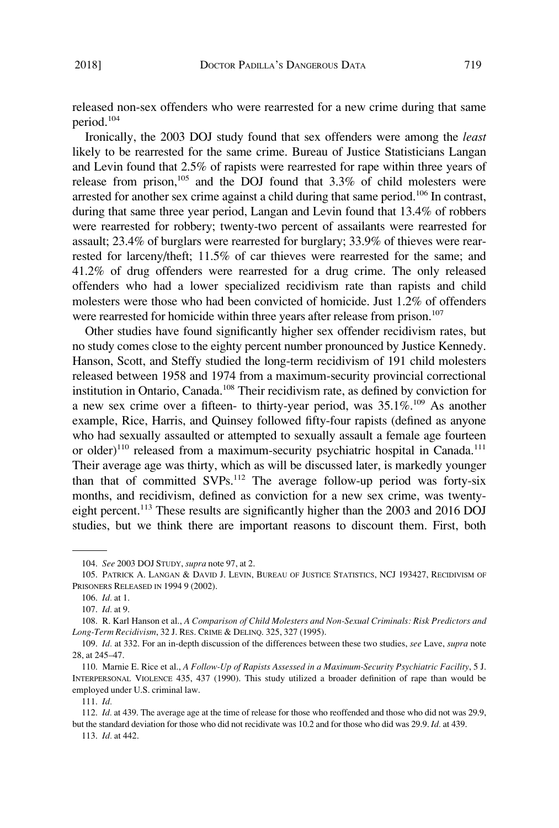released non-sex offenders who were rearrested for a new crime during that same period.104

Ironically, the 2003 DOJ study found that sex offenders were among the *least*  likely to be rearrested for the same crime. Bureau of Justice Statisticians Langan and Levin found that 2.5% of rapists were rearrested for rape within three years of release from prison, $105$  and the DOJ found that 3.3% of child molesters were arrested for another sex crime against a child during that same period.<sup>106</sup> In contrast, during that same three year period, Langan and Levin found that 13.4% of robbers were rearrested for robbery; twenty-two percent of assailants were rearrested for assault; 23.4% of burglars were rearrested for burglary; 33.9% of thieves were rearrested for larceny/theft; 11.5% of car thieves were rearrested for the same; and 41.2% of drug offenders were rearrested for a drug crime. The only released offenders who had a lower specialized recidivism rate than rapists and child molesters were those who had been convicted of homicide. Just 1.2% of offenders were rearrested for homicide within three years after release from prison.<sup>107</sup>

Other studies have found significantly higher sex offender recidivism rates, but no study comes close to the eighty percent number pronounced by Justice Kennedy. Hanson, Scott, and Steffy studied the long-term recidivism of 191 child molesters released between 1958 and 1974 from a maximum-security provincial correctional institution in Ontario, Canada.<sup>108</sup> Their recidivism rate, as defined by conviction for a new sex crime over a fifteen- to thirty-year period, was  $35.1\%$ .<sup>109</sup> As another example, Rice, Harris, and Quinsey followed fifty-four rapists (defined as anyone who had sexually assaulted or attempted to sexually assault a female age fourteen or older)<sup>110</sup> released from a maximum-security psychiatric hospital in Canada.<sup>111</sup> Their average age was thirty, which as will be discussed later, is markedly younger than that of committed SVPs.112 The average follow-up period was forty-six months, and recidivism, defined as conviction for a new sex crime, was twentyeight percent.113 These results are significantly higher than the 2003 and 2016 DOJ studies, but we think there are important reasons to discount them. First, both

<sup>104.</sup> *See* 2003 DOJ STUDY, *supra* note 97, at 2.

<sup>105.</sup> PATRICK A. LANGAN & DAVID J. LEVIN, BUREAU OF JUSTICE STATISTICS, NCJ 193427, RECIDIVISM OF PRISONERS RELEASED IN 1994 9 (2002).

<sup>106.</sup> *Id.* at 1.

<sup>107.</sup> *Id.* at 9.

<sup>108.</sup> R. Karl Hanson et al., *A Comparison of Child Molesters and Non-Sexual Criminals: Risk Predictors and Long-Term Recidivism*, 32 J. RES. CRIME & DELINQ. 325, 327 (1995).

<sup>109.</sup> *Id.* at 332. For an in-depth discussion of the differences between these two studies, *see* Lave, *supra* note 28, at 245–47.

<sup>110.</sup> Marnie E. Rice et al., *A Follow-Up of Rapists Assessed in a Maximum-Security Psychiatric Facility*, 5 J. INTERPERSONAL VIOLENCE 435, 437 (1990). This study utilized a broader definition of rape than would be employed under U.S. criminal law.

<sup>111.</sup> *Id.* 

<sup>112.</sup> *Id.* at 439. The average age at the time of release for those who reoffended and those who did not was 29.9, but the standard deviation for those who did not recidivate was 10.2 and for those who did was 29.9. *Id.* at 439.

<sup>113.</sup> *Id.* at 442.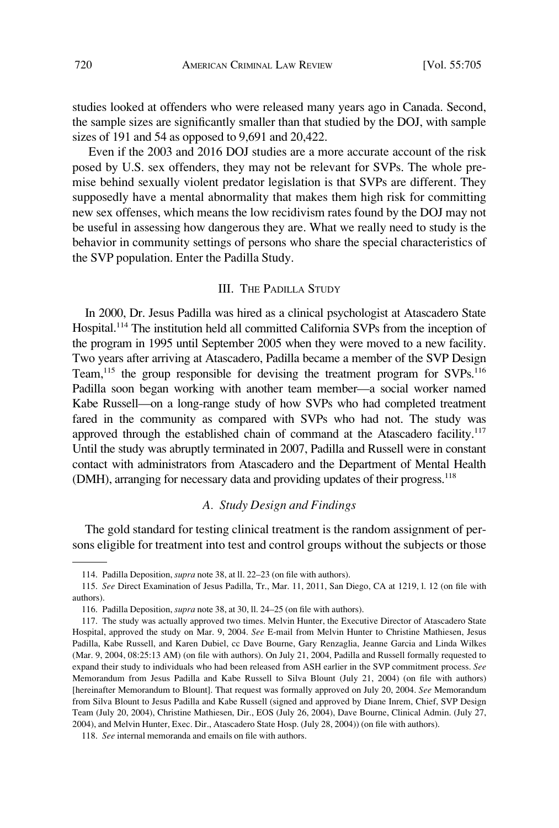studies looked at offenders who were released many years ago in Canada. Second, the sample sizes are significantly smaller than that studied by the DOJ, with sample sizes of 191 and 54 as opposed to 9,691 and 20,422.

Even if the 2003 and 2016 DOJ studies are a more accurate account of the risk posed by U.S. sex offenders, they may not be relevant for SVPs. The whole premise behind sexually violent predator legislation is that SVPs are different. They supposedly have a mental abnormality that makes them high risk for committing new sex offenses, which means the low recidivism rates found by the DOJ may not be useful in assessing how dangerous they are. What we really need to study is the behavior in community settings of persons who share the special characteristics of the SVP population. Enter the Padilla Study.

### III. THE PADILLA STUDY

In 2000, Dr. Jesus Padilla was hired as a clinical psychologist at Atascadero State Hospital.<sup>114</sup> The institution held all committed California SVPs from the inception of the program in 1995 until September 2005 when they were moved to a new facility. Two years after arriving at Atascadero, Padilla became a member of the SVP Design Team,<sup>115</sup> the group responsible for devising the treatment program for SVPs.<sup>116</sup> Padilla soon began working with another team member—a social worker named Kabe Russell—on a long-range study of how SVPs who had completed treatment fared in the community as compared with SVPs who had not. The study was approved through the established chain of command at the Atascadero facility.<sup>117</sup> Until the study was abruptly terminated in 2007, Padilla and Russell were in constant contact with administrators from Atascadero and the Department of Mental Health (DMH), arranging for necessary data and providing updates of their progress.<sup>118</sup>

### *A. Study Design and Findings*

The gold standard for testing clinical treatment is the random assignment of persons eligible for treatment into test and control groups without the subjects or those

<sup>114.</sup> Padilla Deposition, *supra* note 38, at ll. 22–23 (on file with authors).

<sup>115.</sup> *See* Direct Examination of Jesus Padilla, Tr., Mar. 11, 2011, San Diego, CA at 1219, l. 12 (on file with authors).

<sup>116.</sup> Padilla Deposition, *supra* note 38, at 30, ll. 24–25 (on file with authors).

<sup>117.</sup> The study was actually approved two times. Melvin Hunter, the Executive Director of Atascadero State Hospital, approved the study on Mar. 9, 2004. *See* E-mail from Melvin Hunter to Christine Mathiesen, Jesus Padilla, Kabe Russell, and Karen Dubiel, cc Dave Bourne, Gary Renzaglia, Jeanne Garcia and Linda Wilkes (Mar. 9, 2004, 08:25:13 AM) (on file with authors). On July 21, 2004, Padilla and Russell formally requested to expand their study to individuals who had been released from ASH earlier in the SVP commitment process. *See*  Memorandum from Jesus Padilla and Kabe Russell to Silva Blount (July 21, 2004) (on file with authors) [hereinafter Memorandum to Blount]. That request was formally approved on July 20, 2004. *See* Memorandum from Silva Blount to Jesus Padilla and Kabe Russell (signed and approved by Diane Inrem, Chief, SVP Design Team (July 20, 2004), Christine Mathiesen, Dir., EOS (July 26, 2004), Dave Bourne, Clinical Admin. (July 27, 2004), and Melvin Hunter, Exec. Dir., Atascadero State Hosp. (July 28, 2004)) (on file with authors).

<sup>118.</sup> *See* internal memoranda and emails on file with authors.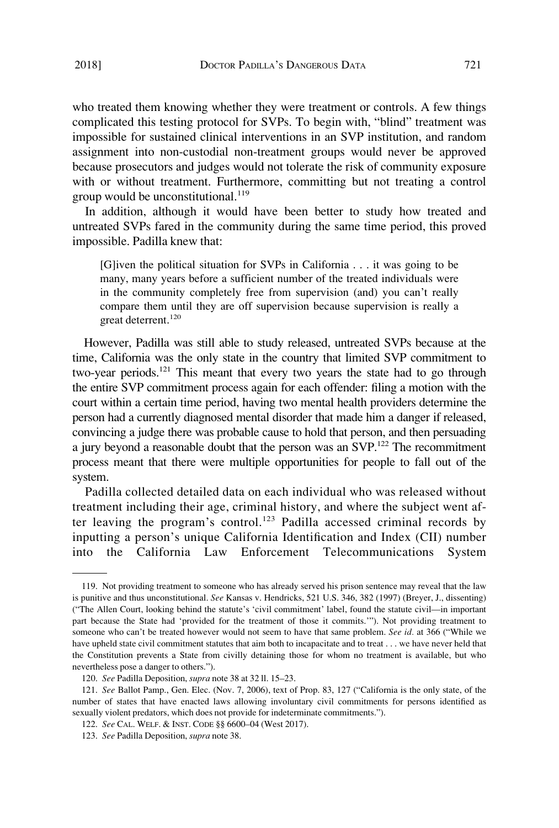who treated them knowing whether they were treatment or controls. A few things complicated this testing protocol for SVPs. To begin with, "blind" treatment was impossible for sustained clinical interventions in an SVP institution, and random assignment into non-custodial non-treatment groups would never be approved because prosecutors and judges would not tolerate the risk of community exposure with or without treatment. Furthermore, committing but not treating a control group would be unconstitutional. $119$ 

In addition, although it would have been better to study how treated and untreated SVPs fared in the community during the same time period, this proved impossible. Padilla knew that:

[G]iven the political situation for SVPs in California . . . it was going to be many, many years before a sufficient number of the treated individuals were in the community completely free from supervision (and) you can't really compare them until they are off supervision because supervision is really a great deterrent.<sup>120</sup>

However, Padilla was still able to study released, untreated SVPs because at the time, California was the only state in the country that limited SVP commitment to two-year periods.<sup>121</sup> This meant that every two years the state had to go through the entire SVP commitment process again for each offender: filing a motion with the court within a certain time period, having two mental health providers determine the person had a currently diagnosed mental disorder that made him a danger if released, convincing a judge there was probable cause to hold that person, and then persuading a jury beyond a reasonable doubt that the person was an SVP.<sup>122</sup> The recommitment process meant that there were multiple opportunities for people to fall out of the system.

Padilla collected detailed data on each individual who was released without treatment including their age, criminal history, and where the subject went after leaving the program's control.123 Padilla accessed criminal records by inputting a person's unique California Identification and Index (CII) number into the California Law Enforcement Telecommunications System

<sup>119.</sup> Not providing treatment to someone who has already served his prison sentence may reveal that the law is punitive and thus unconstitutional. *See* Kansas v. Hendricks, 521 U.S. 346, 382 (1997) (Breyer, J., dissenting) ("The Allen Court, looking behind the statute's 'civil commitment' label, found the statute civil—in important part because the State had 'provided for the treatment of those it commits.'"). Not providing treatment to someone who can't be treated however would not seem to have that same problem. *See id.* at 366 ("While we have upheld state civil commitment statutes that aim both to incapacitate and to treat . . . we have never held that the Constitution prevents a State from civilly detaining those for whom no treatment is available, but who nevertheless pose a danger to others.").

<sup>120.</sup> *See* Padilla Deposition, *supra* note 38 at 32 ll. 15–23.

<sup>121.</sup> *See* Ballot Pamp., Gen. Elec. (Nov. 7, 2006), text of Prop. 83, 127 ("California is the only state, of the number of states that have enacted laws allowing involuntary civil commitments for persons identified as sexually violent predators, which does not provide for indeterminate commitments.").

<sup>122.</sup> *See* CAL. WELF. & INST. CODE §§ 6600–04 (West 2017).

<sup>123.</sup> *See* Padilla Deposition, *supra* note 38.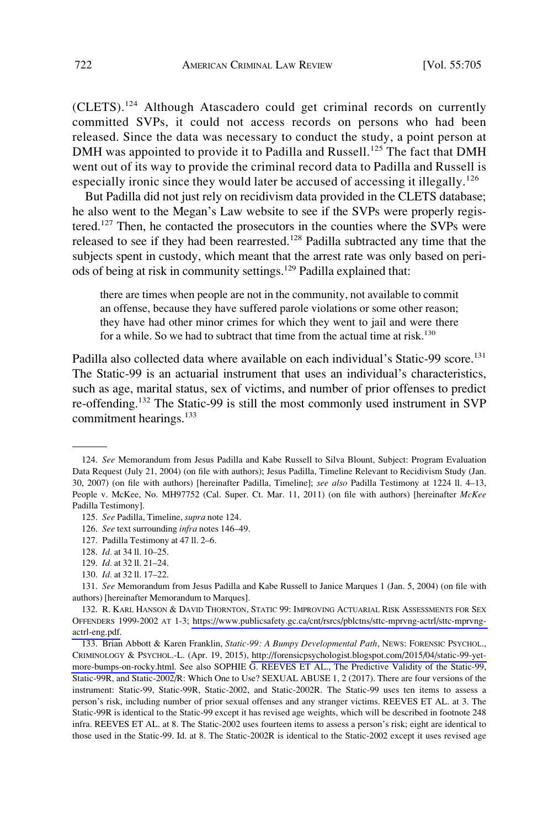(CLETS).124 Although Atascadero could get criminal records on currently committed SVPs, it could not access records on persons who had been released. Since the data was necessary to conduct the study, a point person at DMH was appointed to provide it to Padilla and Russell.<sup>125</sup> The fact that DMH went out of its way to provide the criminal record data to Padilla and Russell is especially ironic since they would later be accused of accessing it illegally.<sup>126</sup>

But Padilla did not just rely on recidivism data provided in the CLETS database; he also went to the Megan's Law website to see if the SVPs were properly registered.127 Then, he contacted the prosecutors in the counties where the SVPs were released to see if they had been rearrested.<sup>128</sup> Padilla subtracted any time that the subjects spent in custody, which meant that the arrest rate was only based on periods of being at risk in community settings.129 Padilla explained that:

there are times when people are not in the community, not available to commit an offense, because they have suffered parole violations or some other reason; they have had other minor crimes for which they went to jail and were there for a while. So we had to subtract that time from the actual time at risk.<sup>130</sup>

Padilla also collected data where available on each individual's Static-99 score.<sup>131</sup> The Static-99 is an actuarial instrument that uses an individual's characteristics, such as age, marital status, sex of victims, and number of prior offenses to predict re-offending.<sup>132</sup> The Static-99 is still the most commonly used instrument in SVP commitment hearings.<sup>133</sup>

129. *Id.* at 32 ll. 21–24.

<sup>124.</sup> *See* Memorandum from Jesus Padilla and Kabe Russell to Silva Blount, Subject: Program Evaluation Data Request (July 21, 2004) (on file with authors); Jesus Padilla, Timeline Relevant to Recidivism Study (Jan. 30, 2007) (on file with authors) [hereinafter Padilla, Timeline]; *see also* Padilla Testimony at 1224 ll. 4–13, People v. McKee, No. MH97752 (Cal. Super. Ct. Mar. 11, 2011) (on file with authors) [hereinafter *McKee*  Padilla Testimony].

<sup>125.</sup> *See* Padilla, Timeline, *supra* note 124.

<sup>126.</sup> *See* text surrounding *infra* notes 146–49.

<sup>127.</sup> Padilla Testimony at 47 ll. 2–6.

<sup>128.</sup> *Id.* at 34 ll. 10–25.

<sup>130.</sup> *Id.* at 32 ll. 17–22.

<sup>131.</sup> *See* Memorandum from Jesus Padilla and Kabe Russell to Janice Marques 1 (Jan. 5, 2004) (on file with authors) [hereinafter Memorandum to Marques].

<sup>132.</sup> R. KARL HANSON & DAVID THORNTON, STATIC 99: IMPROVING ACTUARIAL RISK ASSESSMENTS FOR SEX OFFENDERS 1999-2002 AT 1-3; [https://www.publicsafety.gc.ca/cnt/rsrcs/pblctns/sttc-mprvng-actrl/sttc-mprvng](https://www.publicsafety.gc.ca/cnt/rsrcs/pblctns/sttc-mprvng-actrl/sttc-mprvng-actrl-eng.pdf)[actrl-eng.pdf](https://www.publicsafety.gc.ca/cnt/rsrcs/pblctns/sttc-mprvng-actrl/sttc-mprvng-actrl-eng.pdf).

<sup>133.</sup> Brian Abbott & Karen Franklin, *Static-99: A Bumpy Developmental Path*, NEWS: FORENSIC PSYCHOL., CRIMINOLOGY & PSYCHOL.-L. (Apr. 19, 2015), [http://forensicpsychologist.blogspot.com/2015/04/static-99-yet](http://forensicpsychologist.blogspot.com/2015/04/static-99-yet-more-bumps-on-rocky.html)[more-bumps-on-rocky.html.](http://forensicpsychologist.blogspot.com/2015/04/static-99-yet-more-bumps-on-rocky.html) See also SOPHIE G. REEVES ET AL., The Predictive Validity of the Static-99, Static-99R, and Static-2002/R: Which One to Use? SEXUAL ABUSE 1, 2 (2017). There are four versions of the instrument: Static-99, Static-99R, Static-2002, and Static-2002R. The Static-99 uses ten items to assess a person's risk, including number of prior sexual offenses and any stranger victims. REEVES ET AL. at 3. The Static-99R is identical to the Static-99 except it has revised age weights, which will be described in footnote 248 infra. REEVES ET AL. at 8. The Static-2002 uses fourteen items to assess a person's risk; eight are identical to those used in the Static-99. Id. at 8. The Static-2002R is identical to the Static-2002 except it uses revised age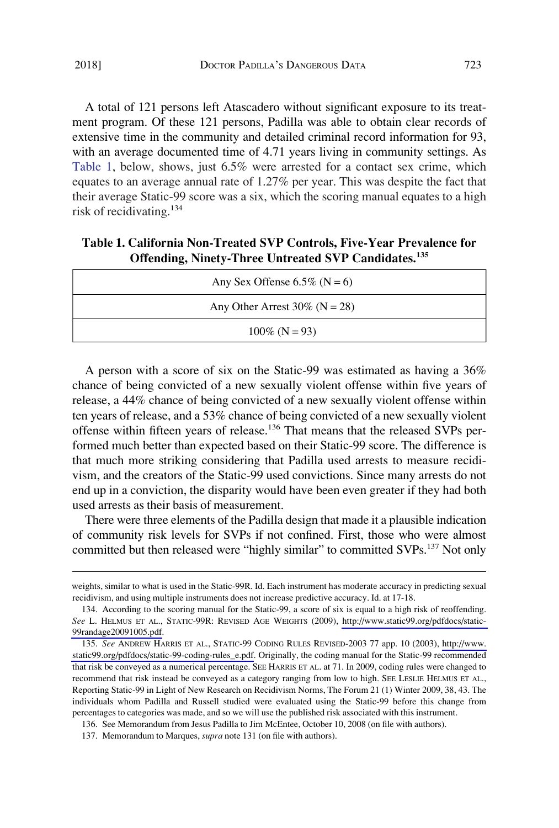A total of 121 persons left Atascadero without significant exposure to its treatment program. Of these 121 persons, Padilla was able to obtain clear records of extensive time in the community and detailed criminal record information for 93, with an average documented time of 4.71 years living in community settings. As Table 1, below, shows, just 6.5% were arrested for a contact sex crime, which equates to an average annual rate of 1.27% per year. This was despite the fact that their average Static-99 score was a six, which the scoring manual equates to a high risk of recidivating.<sup>134</sup>

# **Table 1. California Non-Treated SVP Controls, Five-Year Prevalence for Offending, Ninety-Three Untreated SVP Candidates.<sup>135</sup>**

| Any Sex Offense 6.5% ( $N = 6$ ) |  |  |  |
|----------------------------------|--|--|--|
| Any Other Arrest $30\%$ (N = 28) |  |  |  |
| $100\%$ (N = 93)                 |  |  |  |

A person with a score of six on the Static-99 was estimated as having a 36% chance of being convicted of a new sexually violent offense within five years of release, a 44% chance of being convicted of a new sexually violent offense within ten years of release, and a 53% chance of being convicted of a new sexually violent offense within fifteen years of release.<sup>136</sup> That means that the released SVPs performed much better than expected based on their Static-99 score. The difference is that much more striking considering that Padilla used arrests to measure recidivism, and the creators of the Static-99 used convictions. Since many arrests do not end up in a conviction, the disparity would have been even greater if they had both used arrests as their basis of measurement.

There were three elements of the Padilla design that made it a plausible indication of community risk levels for SVPs if not confined. First, those who were almost committed but then released were "highly similar" to committed SVPs.<sup>137</sup> Not only

weights, similar to what is used in the Static-99R. Id. Each instrument has moderate accuracy in predicting sexual recidivism, and using multiple instruments does not increase predictive accuracy. Id. at 17-18.

<sup>134.</sup> According to the scoring manual for the Static-99, a score of six is equal to a high risk of reoffending. *See* L. HELMUS ET AL., STATIC-99R: REVISED AGE WEIGHTS (2009), [http://www.static99.org/pdfdocs/static-](http://www.static99.org/pdfdocs/static-99randage20091005.pdf)[99randage20091005.pdf.](http://www.static99.org/pdfdocs/static-99randage20091005.pdf)

*See* ANDREW HARRIS ET AL., STATIC-99 CODING RULES REVISED-2003 77 app. 10 (2003), [http://www.](http://www.static99.org/pdfdocs/static-99-coding-rules_e.pdf) 135. [static99.org/pdfdocs/static-99-coding-rules\\_e.pdf.](http://www.static99.org/pdfdocs/static-99-coding-rules_e.pdf) Originally, the coding manual for the Static-99 recommended that risk be conveyed as a numerical percentage. SEE HARRIS ET AL. at 71. In 2009, coding rules were changed to recommend that risk instead be conveyed as a category ranging from low to high. SEE LESLIE HELMUS ET AL., Reporting Static-99 in Light of New Research on Recidivism Norms, The Forum 21 (1) Winter 2009, 38, 43. The individuals whom Padilla and Russell studied were evaluated using the Static-99 before this change from percentages to categories was made, and so we will use the published risk associated with this instrument.

<sup>136.</sup> See Memorandum from Jesus Padilla to Jim McEntee, October 10, 2008 (on file with authors).

<sup>137.</sup> Memorandum to Marques, *supra* note 131 (on file with authors).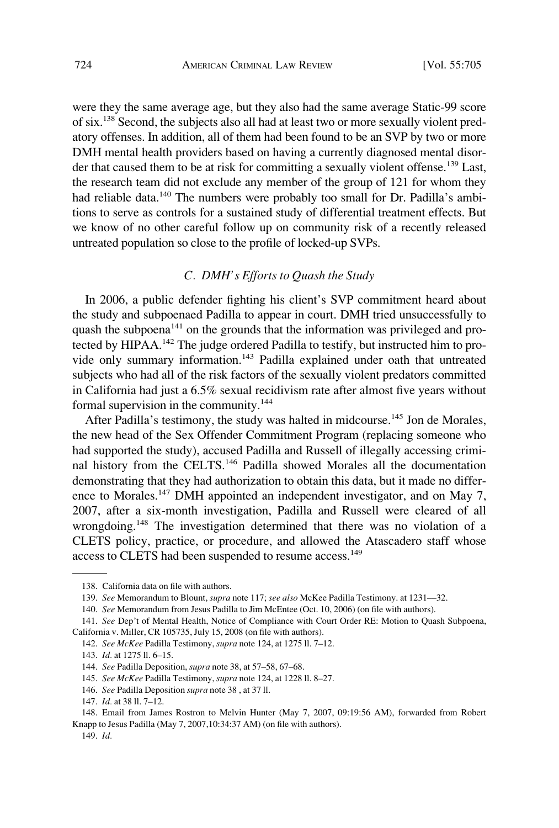were they the same average age, but they also had the same average Static-99 score of six.138 Second, the subjects also all had at least two or more sexually violent predatory offenses. In addition, all of them had been found to be an SVP by two or more DMH mental health providers based on having a currently diagnosed mental disorder that caused them to be at risk for committing a sexually violent offense.<sup>139</sup> Last, the research team did not exclude any member of the group of 121 for whom they had reliable data.<sup>140</sup> The numbers were probably too small for Dr. Padilla's ambitions to serve as controls for a sustained study of differential treatment effects. But we know of no other careful follow up on community risk of a recently released untreated population so close to the profile of locked-up SVPs.

### *C. DMH's Efforts to Quash the Study*

In 2006, a public defender fighting his client's SVP commitment heard about the study and subpoenaed Padilla to appear in court. DMH tried unsuccessfully to quash the subpoena<sup> $141$ </sup> on the grounds that the information was privileged and protected by HIPAA.<sup>142</sup> The judge ordered Padilla to testify, but instructed him to provide only summary information.143 Padilla explained under oath that untreated subjects who had all of the risk factors of the sexually violent predators committed in California had just a 6.5% sexual recidivism rate after almost five years without formal supervision in the community.<sup>144</sup>

After Padilla's testimony, the study was halted in midcourse.<sup>145</sup> Jon de Morales, the new head of the Sex Offender Commitment Program (replacing someone who had supported the study), accused Padilla and Russell of illegally accessing criminal history from the CELTS.146 Padilla showed Morales all the documentation demonstrating that they had authorization to obtain this data, but it made no difference to Morales.<sup>147</sup> DMH appointed an independent investigator, and on May 7, 2007, after a six-month investigation, Padilla and Russell were cleared of all wrongdoing.148 The investigation determined that there was no violation of a CLETS policy, practice, or procedure, and allowed the Atascadero staff whose access to CLETS had been suspended to resume access.<sup>149</sup>

<sup>138.</sup> California data on file with authors.

<sup>139.</sup> *See* Memorandum to Blount, *supra* note 117; *see also* McKee Padilla Testimony. at 1231––32.

<sup>140.</sup> *See* Memorandum from Jesus Padilla to Jim McEntee (Oct. 10, 2006) (on file with authors).

<sup>141.</sup> *See* Dep't of Mental Health, Notice of Compliance with Court Order RE: Motion to Quash Subpoena, California v. Miller, CR 105735, July 15, 2008 (on file with authors).

<sup>142.</sup> *See McKee* Padilla Testimony, *supra* note 124, at 1275 ll. 7–12.

<sup>143.</sup> *Id.* at 1275 ll. 6–15.

<sup>144.</sup> *See* Padilla Deposition, *supra* note 38, at 57–58, 67–68.

<sup>145.</sup> *See McKee* Padilla Testimony, *supra* note 124, at 1228 ll. 8–27.

<sup>146.</sup> *See* Padilla Deposition *supra* note 38 , at 37 ll.

<sup>147.</sup> *Id.* at 38 ll. 7–12.

<sup>148.</sup> Email from James Rostron to Melvin Hunter (May 7, 2007, 09:19:56 AM), forwarded from Robert Knapp to Jesus Padilla (May 7, 2007,10:34:37 AM) (on file with authors).

<sup>149.</sup> *Id.*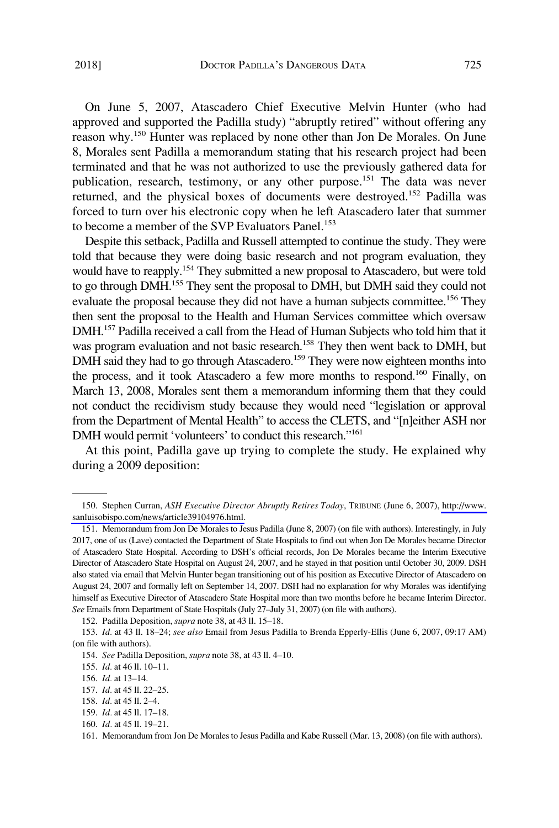On June 5, 2007, Atascadero Chief Executive Melvin Hunter (who had approved and supported the Padilla study) "abruptly retired" without offering any reason why.<sup>150</sup> Hunter was replaced by none other than Jon De Morales. On June 8, Morales sent Padilla a memorandum stating that his research project had been terminated and that he was not authorized to use the previously gathered data for publication, research, testimony, or any other purpose.151 The data was never returned, and the physical boxes of documents were destroyed.152 Padilla was forced to turn over his electronic copy when he left Atascadero later that summer to become a member of the SVP Evaluators Panel.<sup>153</sup>

Despite this setback, Padilla and Russell attempted to continue the study. They were told that because they were doing basic research and not program evaluation, they would have to reapply.<sup>154</sup> They submitted a new proposal to Atascadero, but were told to go through DMH.155 They sent the proposal to DMH, but DMH said they could not evaluate the proposal because they did not have a human subjects committee.<sup>156</sup> They then sent the proposal to the Health and Human Services committee which oversaw DMH.157 Padilla received a call from the Head of Human Subjects who told him that it was program evaluation and not basic research.<sup>158</sup> They then went back to DMH, but DMH said they had to go through Atascadero.<sup>159</sup> They were now eighteen months into the process, and it took Atascadero a few more months to respond.<sup>160</sup> Finally, on March 13, 2008, Morales sent them a memorandum informing them that they could not conduct the recidivism study because they would need "legislation or approval from the Department of Mental Health" to access the CLETS, and "[n]either ASH nor DMH would permit 'volunteers' to conduct this research."161

At this point, Padilla gave up trying to complete the study. He explained why during a 2009 deposition:

<sup>150.</sup> Stephen Curran, *ASH Executive Director Abruptly Retires Today*, TRIBUNE (June 6, 2007), http://www. [sanluisobispo.com/news/article39104976.html.](http://www.sanluisobispo.com/news/article39104976.html)

<sup>151.</sup> Memorandum from Jon De Morales to Jesus Padilla (June 8, 2007) (on file with authors). Interestingly, in July 2017, one of us (Lave) contacted the Department of State Hospitals to find out when Jon De Morales became Director of Atascadero State Hospital. According to DSH's official records, Jon De Morales became the Interim Executive Director of Atascadero State Hospital on August 24, 2007, and he stayed in that position until October 30, 2009. DSH also stated via email that Melvin Hunter began transitioning out of his position as Executive Director of Atascadero on August 24, 2007 and formally left on September 14, 2007. DSH had no explanation for why Morales was identifying himself as Executive Director of Atascadero State Hospital more than two months before he became Interim Director. *See* Emails from Department of State Hospitals (July 27–July 31, 2007) (on file with authors).

<sup>152.</sup> Padilla Deposition, *supra* note 38, at 43 ll. 15–18.

<sup>153.</sup> *Id.* at 43 ll. 18–24; *see also* Email from Jesus Padilla to Brenda Epperly-Ellis (June 6, 2007, 09:17 AM) (on file with authors).

<sup>154.</sup> *See* Padilla Deposition, *supra* note 38, at 43 ll. 4–10.

<sup>155.</sup> *Id.* at 46 ll. 10–11.

<sup>156.</sup> *Id.* at 13–14.

<sup>157.</sup> *Id.* at 45 ll. 22–25.

<sup>158.</sup> *Id.* at 45 ll. 2–4.

<sup>159.</sup> *Id.* at 45 ll. 17–18.

<sup>160.</sup> *Id.* at 45 ll. 19–21.

<sup>161.</sup> Memorandum from Jon De Morales to Jesus Padilla and Kabe Russell (Mar. 13, 2008) (on file with authors).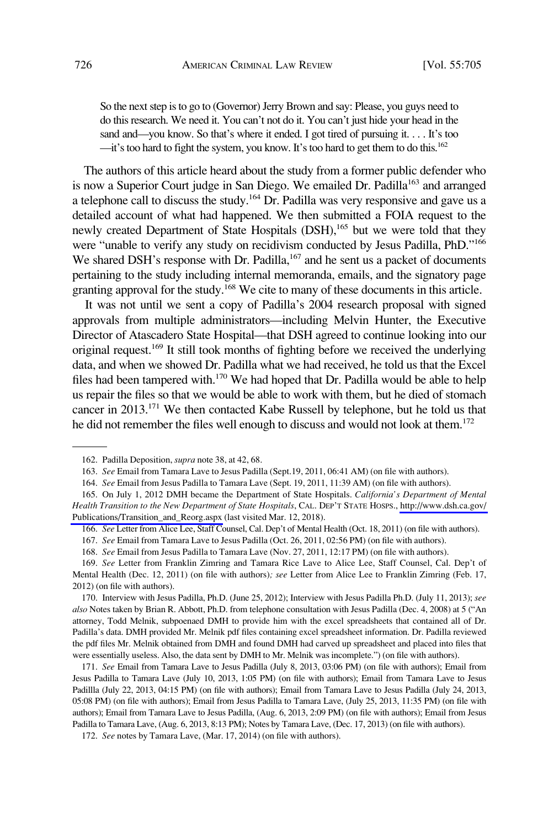So the next step is to go to (Governor) Jerry Brown and say: Please, you guys need to do this research. We need it. You can't not do it. You can't just hide your head in the sand and—you know. So that's where it ended. I got tired of pursuing it. . . . It's too  $\frac{d}{dt}$  it's too hard to fight the system, you know. It's too hard to get them to do this.<sup>162</sup>

The authors of this article heard about the study from a former public defender who is now a Superior Court judge in San Diego. We emailed Dr. Padilla<sup>163</sup> and arranged a telephone call to discuss the study.164 Dr. Padilla was very responsive and gave us a detailed account of what had happened. We then submitted a FOIA request to the newly created Department of State Hospitals (DSH),<sup>165</sup> but we were told that they were "unable to verify any study on recidivism conducted by Jesus Padilla, PhD."<sup>166</sup> We shared DSH's response with Dr. Padilla, $167$  and he sent us a packet of documents pertaining to the study including internal memoranda, emails, and the signatory page granting approval for the study.168 We cite to many of these documents in this article.

It was not until we sent a copy of Padilla's 2004 research proposal with signed approvals from multiple administrators—including Melvin Hunter, the Executive Director of Atascadero State Hospital—that DSH agreed to continue looking into our original request.<sup>169</sup> It still took months of fighting before we received the underlying data, and when we showed Dr. Padilla what we had received, he told us that the Excel files had been tampered with.<sup>170</sup> We had hoped that Dr. Padilla would be able to help us repair the files so that we would be able to work with them, but he died of stomach cancer in 2013.171 We then contacted Kabe Russell by telephone, but he told us that he did not remember the files well enough to discuss and would not look at them.<sup>172</sup>

<sup>162.</sup> Padilla Deposition, *supra* note 38, at 42, 68.

<sup>163.</sup> *See* Email from Tamara Lave to Jesus Padilla (Sept.19, 2011, 06:41 AM) (on file with authors).

<sup>164.</sup> *See* Email from Jesus Padilla to Tamara Lave (Sept. 19, 2011, 11:39 AM) (on file with authors).

<sup>165.</sup> On July 1, 2012 DMH became the Department of State Hospitals. *California's Department of Mental Health Transition to the New Department of State Hospitals*, CAL. DEP'T STATE HOSPS., [http://www.dsh.ca.gov/](http://www.dsh.ca.gov/Publications/Transition_and_Reorg.aspx)  [Publications/Transition\\_and\\_Reorg.aspx](http://www.dsh.ca.gov/Publications/Transition_and_Reorg.aspx) (last visited Mar. 12, 2018).

<sup>166.</sup> *See* Letter from Alice Lee, Staff Counsel, Cal. Dep't of Mental Health (Oct. 18, 2011) (on file with authors).

<sup>167.</sup> *See* Email from Tamara Lave to Jesus Padilla (Oct. 26, 2011, 02:56 PM) (on file with authors).

<sup>168.</sup> *See* Email from Jesus Padilla to Tamara Lave (Nov. 27, 2011, 12:17 PM) (on file with authors).

<sup>169.</sup> *See* Letter from Franklin Zimring and Tamara Rice Lave to Alice Lee, Staff Counsel, Cal. Dep't of Mental Health (Dec. 12, 2011) (on file with authors)*; see* Letter from Alice Lee to Franklin Zimring (Feb. 17, 2012) (on file with authors).

<sup>170.</sup> Interview with Jesus Padilla, Ph.D. (June 25, 2012); Interview with Jesus Padilla Ph.D. (July 11, 2013); *see also* Notes taken by Brian R. Abbott, Ph.D. from telephone consultation with Jesus Padilla (Dec. 4, 2008) at 5 ("An attorney, Todd Melnik, subpoenaed DMH to provide him with the excel spreadsheets that contained all of Dr. Padilla's data. DMH provided Mr. Melnik pdf files containing excel spreadsheet information. Dr. Padilla reviewed the pdf files Mr. Melnik obtained from DMH and found DMH had carved up spreadsheet and placed into files that were essentially useless. Also, the data sent by DMH to Mr. Melnik was incomplete.") (on file with authors).

<sup>171.</sup> *See* Email from Tamara Lave to Jesus Padilla (July 8, 2013, 03:06 PM) (on file with authors); Email from Jesus Padilla to Tamara Lave (July 10, 2013, 1:05 PM) (on file with authors); Email from Tamara Lave to Jesus Padillla (July 22, 2013, 04:15 PM) (on file with authors); Email from Tamara Lave to Jesus Padilla (July 24, 2013, 05:08 PM) (on file with authors); Email from Jesus Padilla to Tamara Lave, (July 25, 2013, 11:35 PM) (on file with authors); Email from Tamara Lave to Jesus Padilla, (Aug. 6, 2013, 2:09 PM) (on file with authors); Email from Jesus Padilla to Tamara Lave, (Aug. 6, 2013, 8:13 PM); Notes by Tamara Lave, (Dec. 17, 2013) (on file with authors).

<sup>172.</sup> *See* notes by Tamara Lave, (Mar. 17, 2014) (on file with authors).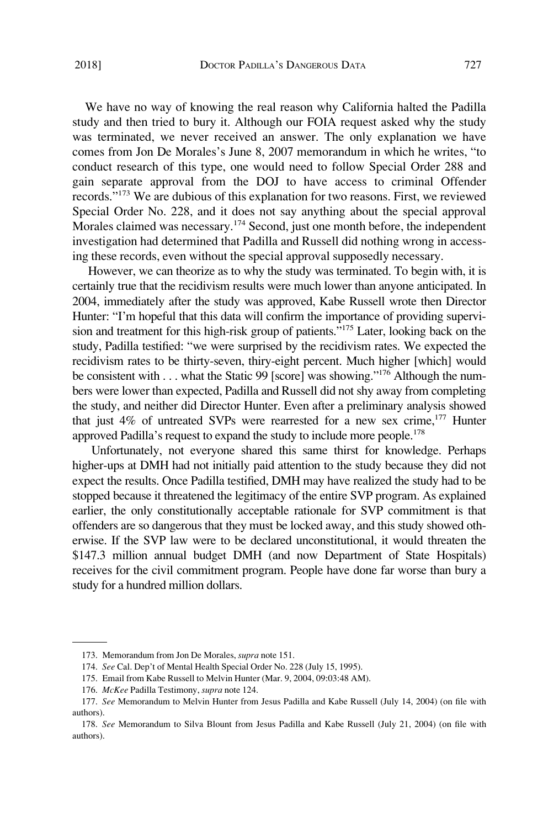We have no way of knowing the real reason why California halted the Padilla study and then tried to bury it. Although our FOIA request asked why the study was terminated, we never received an answer. The only explanation we have comes from Jon De Morales's June 8, 2007 memorandum in which he writes, "to conduct research of this type, one would need to follow Special Order 288 and gain separate approval from the DOJ to have access to criminal Offender records."<sup>173</sup> We are dubious of this explanation for two reasons. First, we reviewed Special Order No. 228, and it does not say anything about the special approval Morales claimed was necessary.<sup>174</sup> Second, just one month before, the independent investigation had determined that Padilla and Russell did nothing wrong in accessing these records, even without the special approval supposedly necessary.

However, we can theorize as to why the study was terminated. To begin with, it is certainly true that the recidivism results were much lower than anyone anticipated. In 2004, immediately after the study was approved, Kabe Russell wrote then Director Hunter: "I'm hopeful that this data will confirm the importance of providing supervision and treatment for this high-risk group of patients."175 Later, looking back on the study, Padilla testified: "we were surprised by the recidivism rates. We expected the recidivism rates to be thirty-seven, thiry-eight percent. Much higher [which] would be consistent with . . . what the Static 99 [score] was showing."176 Although the numbers were lower than expected, Padilla and Russell did not shy away from completing the study, and neither did Director Hunter. Even after a preliminary analysis showed that just  $4\%$  of untreated SVPs were rearrested for a new sex crime,<sup>177</sup> Hunter approved Padilla's request to expand the study to include more people.<sup>178</sup>

Unfortunately, not everyone shared this same thirst for knowledge. Perhaps higher-ups at DMH had not initially paid attention to the study because they did not expect the results. Once Padilla testified, DMH may have realized the study had to be stopped because it threatened the legitimacy of the entire SVP program. As explained earlier, the only constitutionally acceptable rationale for SVP commitment is that offenders are so dangerous that they must be locked away, and this study showed otherwise. If the SVP law were to be declared unconstitutional, it would threaten the \$147.3 million annual budget DMH (and now Department of State Hospitals) receives for the civil commitment program. People have done far worse than bury a study for a hundred million dollars.

<sup>173.</sup> Memorandum from Jon De Morales, *supra* note 151.

<sup>174.</sup> *See* Cal. Dep't of Mental Health Special Order No. 228 (July 15, 1995).

<sup>175.</sup> Email from Kabe Russell to Melvin Hunter (Mar. 9, 2004, 09:03:48 AM).

<sup>176.</sup> *McKee* Padilla Testimony, *supra* note 124.

<sup>177.</sup> *See* Memorandum to Melvin Hunter from Jesus Padilla and Kabe Russell (July 14, 2004) (on file with authors).

<sup>178.</sup> *See* Memorandum to Silva Blount from Jesus Padilla and Kabe Russell (July 21, 2004) (on file with authors).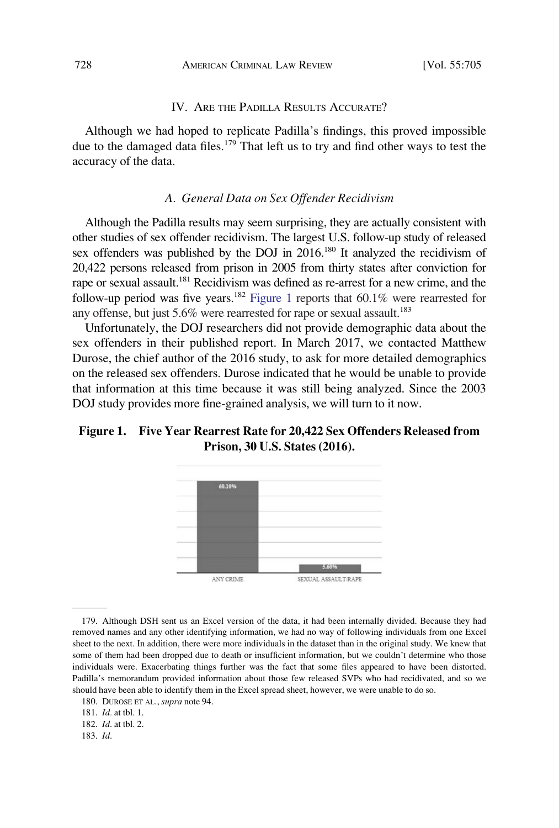### IV. ARE THE PADILLA RESULTS ACCURATE?

Although we had hoped to replicate Padilla's findings, this proved impossible due to the damaged data files.<sup>179</sup> That left us to try and find other ways to test the accuracy of the data.

### *A. General Data on Sex Offender Recidivism*

Although the Padilla results may seem surprising, they are actually consistent with other studies of sex offender recidivism. The largest U.S. follow-up study of released sex offenders was published by the DOJ in 2016.<sup>180</sup> It analyzed the recidivism of 20,422 persons released from prison in 2005 from thirty states after conviction for rape or sexual assault.<sup>181</sup> Recidivism was defined as re-arrest for a new crime, and the follow-up period was five years.<sup>182</sup> Figure 1 reports that 60.1% were rearrested for any offense, but just 5.6% were rearrested for rape or sexual assault.<sup>183</sup>

Unfortunately, the DOJ researchers did not provide demographic data about the sex offenders in their published report. In March 2017, we contacted Matthew Durose, the chief author of the 2016 study, to ask for more detailed demographics on the released sex offenders. Durose indicated that he would be unable to provide that information at this time because it was still being analyzed. Since the 2003 DOJ study provides more fine-grained analysis, we will turn to it now.

# **Figure 1. Five Year Rearrest Rate for 20,422 Sex Offenders Released from Prison, 30 U.S. States (2016).**



179. Although DSH sent us an Excel version of the data, it had been internally divided. Because they had removed names and any other identifying information, we had no way of following individuals from one Excel sheet to the next. In addition, there were more individuals in the dataset than in the original study. We knew that some of them had been dropped due to death or insufficient information, but we couldn't determine who those individuals were. Exacerbating things further was the fact that some files appeared to have been distorted. Padilla's memorandum provided information about those few released SVPs who had recidivated, and so we should have been able to identify them in the Excel spread sheet, however, we were unable to do so.

<sup>180.</sup> DUROSE ET AL., *supra* note 94.

<sup>181.</sup> *Id.* at tbl. 1.

<sup>182.</sup> *Id*. at tbl. 2.

<sup>183.</sup> *Id*.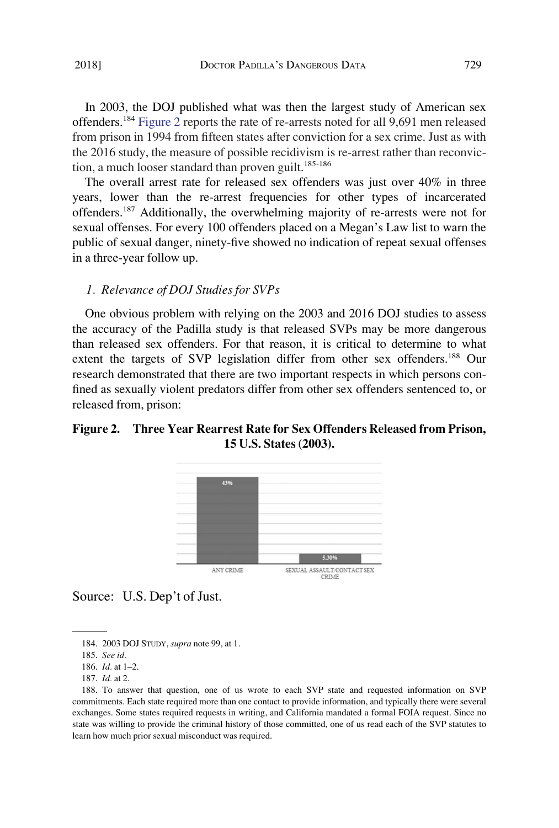In 2003, the DOJ published what was then the largest study of American sex offenders.<sup>184</sup> Figure 2 reports the rate of re-arrests noted for all 9,691 men released from prison in 1994 from fifteen states after conviction for a sex crime. Just as with the 2016 study, the measure of possible recidivism is re-arrest rather than reconviction, a much looser standard than proven guilt. $185-186$ 

The overall arrest rate for released sex offenders was just over 40% in three years, lower than the re-arrest frequencies for other types of incarcerated offenders.<sup>187</sup> Additionally, the overwhelming majority of re-arrests were not for sexual offenses. For every 100 offenders placed on a Megan's Law list to warn the public of sexual danger, ninety-five showed no indication of repeat sexual offenses in a three-year follow up.

### *1. Relevance of DOJ Studies for SVPs*

One obvious problem with relying on the 2003 and 2016 DOJ studies to assess the accuracy of the Padilla study is that released SVPs may be more dangerous than released sex offenders. For that reason, it is critical to determine to what extent the targets of SVP legislation differ from other sex offenders.188 Our research demonstrated that there are two important respects in which persons confined as sexually violent predators differ from other sex offenders sentenced to, or released from, prison:

# **Figure 2. Three Year Rearrest Rate for Sex Offenders Released from Prison, 15 U.S. States (2003).**



Source: U.S. Dep't of Just.

<sup>184. 2003</sup> DOJ STUDY, *supra* note 99, at 1.

<sup>185.</sup> *See id.* 

<sup>186.</sup> *Id.* at 1–2.

<sup>187.</sup> *Id.* at 2.

<sup>188.</sup> To answer that question, one of us wrote to each SVP state and requested information on SVP commitments. Each state required more than one contact to provide information, and typically there were several exchanges. Some states required requests in writing, and California mandated a formal FOIA request. Since no state was willing to provide the criminal history of those committed, one of us read each of the SVP statutes to learn how much prior sexual misconduct was required.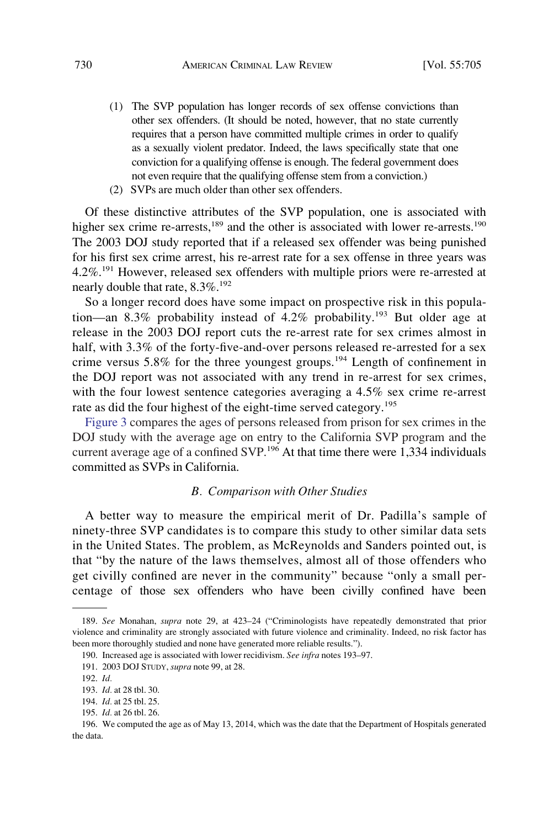- (1) The SVP population has longer records of sex offense convictions than other sex offenders. (It should be noted, however, that no state currently requires that a person have committed multiple crimes in order to qualify as a sexually violent predator. Indeed, the laws specifically state that one conviction for a qualifying offense is enough. The federal government does not even require that the qualifying offense stem from a conviction.)
- (2) SVPs are much older than other sex offenders.

Of these distinctive attributes of the SVP population, one is associated with higher sex crime re-arrests,<sup>189</sup> and the other is associated with lower re-arrests.<sup>190</sup> The 2003 DOJ study reported that if a released sex offender was being punished for his first sex crime arrest, his re-arrest rate for a sex offense in three years was  $4.2\%$ <sup>191</sup> However, released sex offenders with multiple priors were re-arrested at nearly double that rate, 8.3%.<sup>192</sup>

So a longer record does have some impact on prospective risk in this population—an 8.3% probability instead of 4.2% probability.<sup>193</sup> But older age at release in the 2003 DOJ report cuts the re-arrest rate for sex crimes almost in half, with 3.3% of the forty-five-and-over persons released re-arrested for a sex crime versus 5.8% for the three youngest groups.<sup>194</sup> Length of confinement in the DOJ report was not associated with any trend in re-arrest for sex crimes, with the four lowest sentence categories averaging a 4.5% sex crime re-arrest rate as did the four highest of the eight-time served category.<sup>195</sup>

[Figure 3](#page-26-0) compares the ages of persons released from prison for sex crimes in the DOJ study with the average age on entry to the California SVP program and the current average age of a confined SVP.<sup>196</sup> At that time there were 1,334 individuals committed as SVPs in California.

#### *B. Comparison with Other Studies*

A better way to measure the empirical merit of Dr. Padilla's sample of ninety-three SVP candidates is to compare this study to other similar data sets in the United States. The problem, as McReynolds and Sanders pointed out, is that "by the nature of the laws themselves, almost all of those offenders who get civilly confined are never in the community" because "only a small percentage of those sex offenders who have been civilly confined have been

<sup>189.</sup> *See* Monahan, *supra* note 29, at 423–24 ("Criminologists have repeatedly demonstrated that prior violence and criminality are strongly associated with future violence and criminality. Indeed, no risk factor has been more thoroughly studied and none have generated more reliable results.").

<sup>190.</sup> Increased age is associated with lower recidivism. *See infra* notes 193–97.

<sup>191. 2003</sup> DOJ STUDY, *supra* note 99, at 28.

<sup>192.</sup> *Id.* 

<sup>193.</sup> *Id.* at 28 tbl. 30.

<sup>194.</sup> *Id.* at 25 tbl. 25.

<sup>195.</sup> *Id.* at 26 tbl. 26.

<sup>196.</sup> We computed the age as of May 13, 2014, which was the date that the Department of Hospitals generated the data.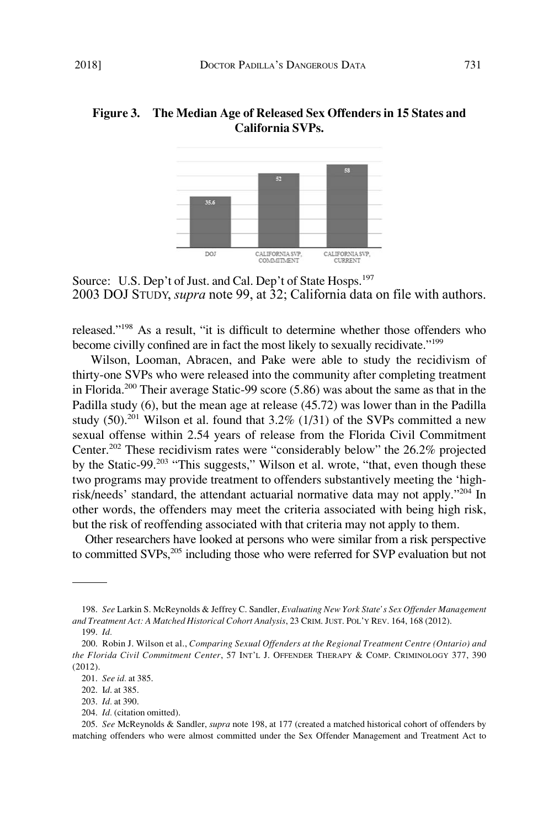# <span id="page-26-0"></span>**Figure 3. The Median Age of Released Sex Offenders in 15 States and California SVPs.**



Source: U.S. Dep't of Just. and Cal. Dep't of State Hosps.<sup>197</sup> 2003 DOJ STUDY, *supra* note 99, at 32; California data on file with authors.

released."198 As a result, "it is difficult to determine whether those offenders who become civilly confined are in fact the most likely to sexually recidivate."<sup>199</sup>

Wilson, Looman, Abracen, and Pake were able to study the recidivism of thirty-one SVPs who were released into the community after completing treatment in Florida.<sup>200</sup> Their average Static-99 score  $(5.86)$  was about the same as that in the Padilla study (6), but the mean age at release (45.72) was lower than in the Padilla study  $(50)^{201}$  Wilson et al. found that 3.2%  $(1/31)$  of the SVPs committed a new sexual offense within 2.54 years of release from the Florida Civil Commitment Center.<sup>202</sup> These recidivism rates were "considerably below" the  $26.2\%$  projected by the Static-99.203 "This suggests," Wilson et al. wrote, "that, even though these two programs may provide treatment to offenders substantively meeting the 'highrisk/needs' standard, the attendant actuarial normative data may not apply."204 In other words, the offenders may meet the criteria associated with being high risk, but the risk of reoffending associated with that criteria may not apply to them.

Other researchers have looked at persons who were similar from a risk perspective to committed SVPs,<sup>205</sup> including those who were referred for SVP evaluation but not

<sup>198.</sup> *See* Larkin S. McReynolds & Jeffrey C. Sandler, *Evaluating New York State's Sex Offender Management and Treatment Act: A Matched Historical Cohort Analysis*, 23 CRIM. JUST. POL'Y REV. 164, 168 (2012).

<sup>199.</sup> *Id.* 

<sup>200.</sup> Robin J. Wilson et al., *Comparing Sexual Offenders at the Regional Treatment Centre (Ontario) and the Florida Civil Commitment Center*, 57 INT'L J. OFFENDER THERAPY & COMP. CRIMINOLOGY 377, 390 (2012).

<sup>201.</sup> *See id.* at 385.

<sup>202.</sup> I*d*. at 385.

<sup>203.</sup> *Id.* at 390.

<sup>204.</sup> *Id.* (citation omitted).

<sup>205.</sup> *See* McReynolds & Sandler, *supra* note 198, at 177 (created a matched historical cohort of offenders by matching offenders who were almost committed under the Sex Offender Management and Treatment Act to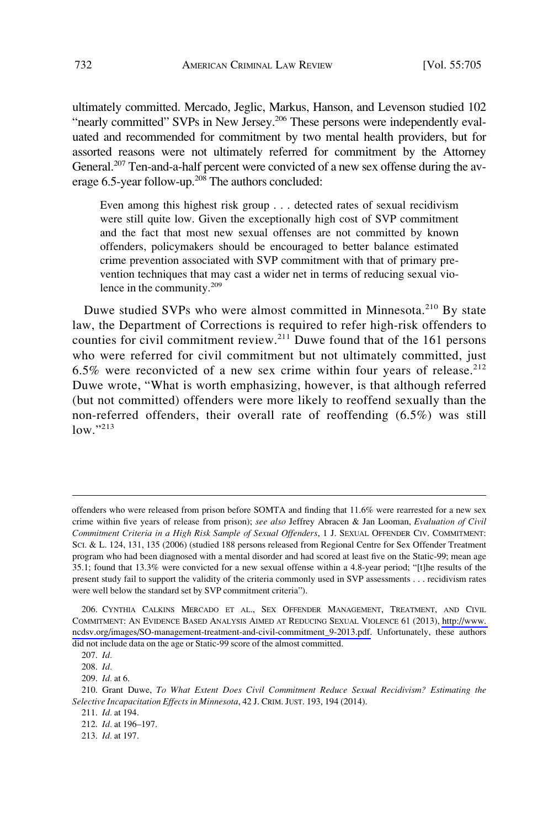ultimately committed. Mercado, Jeglic, Markus, Hanson, and Levenson studied 102 "nearly committed" SVPs in New Jersey.<sup>206</sup> These persons were independently evaluated and recommended for commitment by two mental health providers, but for assorted reasons were not ultimately referred for commitment by the Attorney General.<sup>207</sup> Ten-and-a-half percent were convicted of a new sex offense during the average 6.5-year follow-up.<sup>208</sup> The authors concluded:

Even among this highest risk group . . . detected rates of sexual recidivism were still quite low. Given the exceptionally high cost of SVP commitment and the fact that most new sexual offenses are not committed by known offenders, policymakers should be encouraged to better balance estimated crime prevention associated with SVP commitment with that of primary prevention techniques that may cast a wider net in terms of reducing sexual violence in the community.<sup>209</sup>

Duwe studied SVPs who were almost committed in Minnesota.<sup>210</sup> By state law, the Department of Corrections is required to refer high-risk offenders to counties for civil commitment review.<sup>211</sup> Duwe found that of the 161 persons who were referred for civil commitment but not ultimately committed, just 6.5% were reconvicted of a new sex crime within four years of release. $212$ Duwe wrote, "What is worth emphasizing, however, is that although referred (but not committed) offenders were more likely to reoffend sexually than the non-referred offenders, their overall rate of reoffending (6.5%) was still  $low.^{"213}$ 

offenders who were released from prison before SOMTA and finding that 11.6% were rearrested for a new sex crime within five years of release from prison); *see also* Jeffrey Abracen & Jan Looman, *Evaluation of Civil Commitment Criteria in a High Risk Sample of Sexual Offenders*, 1 J. SEXUAL OFFENDER CIV. COMMITMENT: SCI. & L. 124, 131, 135 (2006) (studied 188 persons released from Regional Centre for Sex Offender Treatment program who had been diagnosed with a mental disorder and had scored at least five on the Static-99; mean age 35.1; found that 13.3% were convicted for a new sexual offense within a 4.8-year period; "[t]he results of the present study fail to support the validity of the criteria commonly used in SVP assessments . . . recidivism rates were well below the standard set by SVP commitment criteria").

<sup>206.</sup> CYNTHIA CALKINS MERCADO ET AL., SEX OFFENDER MANAGEMENT, TREATMENT, AND CIVIL COMMITMENT: AN EVIDENCE BASED ANALYSIS AIMED AT REDUCING SEXUAL VIOLENCE 61 (2013), [http://www.](http://www.ncdsv.org/images/SO-management-treatment-and-civil-commitment_9-2013.pdf)  [ncdsv.org/images/SO-management-treatment-and-civil-commitment\\_9-2013.pdf.](http://www.ncdsv.org/images/SO-management-treatment-and-civil-commitment_9-2013.pdf) Unfortunately, these authors did not include data on the age or Static-99 score of the almost committed.

<sup>207.</sup> *Id.* 

<sup>208.</sup> *Id.* 

<sup>209.</sup> *Id.* at 6.

<sup>210.</sup> Grant Duwe, *To What Extent Does Civil Commitment Reduce Sexual Recidivism? Estimating the Selective Incapacitation Effects in Minnesota*, 42 J. CRIM. JUST. 193, 194 (2014).

<sup>211.</sup> *Id.* at 194.

<sup>212.</sup> *Id.* at 196–197.

<sup>213.</sup> *Id.* at 197.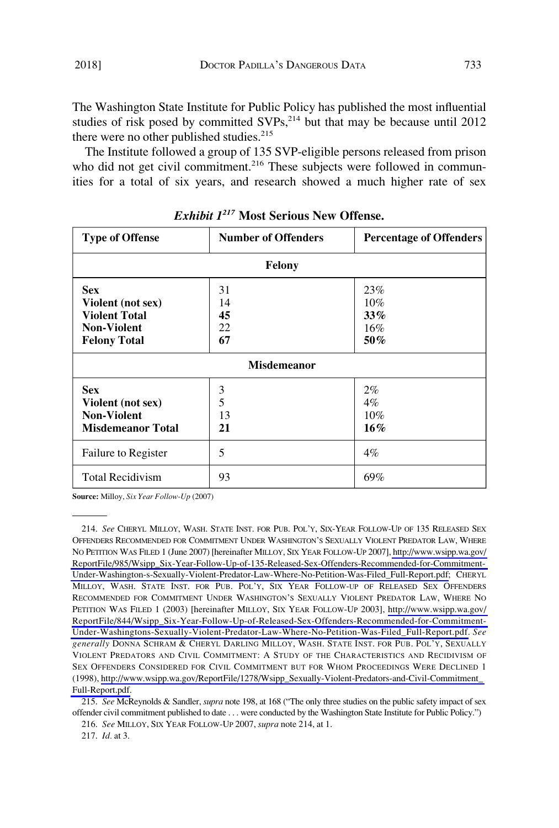The Washington State Institute for Public Policy has published the most influential studies of risk posed by committed  $SVPs$ ,<sup>214</sup> but that may be because until 2012 there were no other published studies.<sup>215</sup>

The Institute followed a group of 135 SVP-eligible persons released from prison who did not get civil commitment.<sup>216</sup> These subjects were followed in communities for a total of six years, and research showed a much higher rate of sex

| <b>Type of Offense</b>                                                                               | <b>Number of Offenders</b> | <b>Percentage of Offenders</b>     |  |
|------------------------------------------------------------------------------------------------------|----------------------------|------------------------------------|--|
| Felony                                                                                               |                            |                                    |  |
| <b>Sex</b><br>Violent (not sex)<br><b>Violent Total</b><br><b>Non-Violent</b><br><b>Felony Total</b> | 31<br>14<br>45<br>22<br>67 | 23%<br>$10\%$<br>33%<br>16%<br>50% |  |
| <b>Misdemeanor</b>                                                                                   |                            |                                    |  |
| <b>Sex</b><br>Violent (not sex)<br><b>Non-Violent</b><br><b>Misdemeanor Total</b>                    | 3<br>5<br>13<br>21         | $2\%$<br>$4\%$<br>$10\%$<br>16%    |  |
| Failure to Register                                                                                  | 5                          | $4\%$                              |  |
| <b>Total Recidivism</b>                                                                              | 93                         | 69%                                |  |

*Exhibit 1217* **Most Serious New Offense.** 

**Source:** Milloy, *Six Year Follow-Up* (2007)

*See* CHERYL MILLOY, WASH. STATE INST. FOR PUB. POL'Y, SIX-YEAR FOLLOW-UP OF 135 RELEASED SEX 214. OFFENDERS RECOMMENDED FOR COMMITMENT UNDER WASHINGTON'S SEXUALLY VIOLENT PREDATOR LAW, WHERE NO PETITION WAS FILED 1 (June 2007) [hereinafter MILLOY, SIX YEAR FOLLOW-UP 2007], [http://www.wsipp.wa.gov/](http://www.wsipp.wa.gov/ReportFile/985/Wsipp_Six-Year-Follow-Up-of-135-Released-Sex-Offenders-Recommended-for-Commitment-Under-Washington-s-Sexually-Violent-Predator-Law-Where-No-Petition-Was-Filed_Full-Report.pdf)  [ReportFile/985/Wsipp\\_Six-Year-Follow-Up-of-135-Released-Sex-Offenders-Recommended-for-Commitment-](http://www.wsipp.wa.gov/ReportFile/985/Wsipp_Six-Year-Follow-Up-of-135-Released-Sex-Offenders-Recommended-for-Commitment-Under-Washington-s-Sexually-Violent-Predator-Law-Where-No-Petition-Was-Filed_Full-Report.pdf)[Under-Washington-s-Sexually-Violent-Predator-Law-Where-No-Petition-Was-Filed\\_Full-Report.pdf;](http://www.wsipp.wa.gov/ReportFile/985/Wsipp_Six-Year-Follow-Up-of-135-Released-Sex-Offenders-Recommended-for-Commitment-Under-Washington-s-Sexually-Violent-Predator-Law-Where-No-Petition-Was-Filed_Full-Report.pdf) CHERYL MILLOY, WASH. STATE INST. FOR PUB. POL'Y, SIX YEAR FOLLOW-UP OF RELEASED SEX OFFENDERS RECOMMENDED FOR COMMITMENT UNDER WASHINGTON'S SEXUALLY VIOLENT PREDATOR LAW, WHERE NO PETITION WAS FILED 1 (2003) [hereinafter MILLOY, SIX YEAR FOLLOW-UP 2003], [http://www.wsipp.wa.gov/](http://www.wsipp.wa.gov/ReportFile/844/Wsipp_Six-Year-Follow-Up-of-Released-Sex-Offenders-Recommended-for-Commitment-Under-Washingtons-Sexually-Violent-Predator-Law-Where-No-Petition-Was-Filed_Full-Report.pdf)  [ReportFile/844/Wsipp\\_Six-Year-Follow-Up-of-Released-Sex-Offenders-Recommended-for-Commitment-](http://www.wsipp.wa.gov/ReportFile/844/Wsipp_Six-Year-Follow-Up-of-Released-Sex-Offenders-Recommended-for-Commitment-Under-Washingtons-Sexually-Violent-Predator-Law-Where-No-Petition-Was-Filed_Full-Report.pdf)[Under-Washingtons-Sexually-Violent-Predator-Law-Where-No-Petition-Was-Filed\\_Full-Report.pdf.](http://www.wsipp.wa.gov/ReportFile/844/Wsipp_Six-Year-Follow-Up-of-Released-Sex-Offenders-Recommended-for-Commitment-Under-Washingtons-Sexually-Violent-Predator-Law-Where-No-Petition-Was-Filed_Full-Report.pdf) *See generally* DONNA SCHRAM & CHERYL DARLING MILLOY, WASH. STATE INST. FOR PUB. POL'Y, SEXUALLY VIOLENT PREDATORS AND CIVIL COMMITMENT: A STUDY OF THE CHARACTERISTICS AND RECIDIVISM OF SEX OFFENDERS CONSIDERED FOR CIVIL COMMITMENT BUT FOR WHOM PROCEEDINGS WERE DECLINED 1 (1998), [http://www.wsipp.wa.gov/ReportFile/1278/Wsipp\\_Sexually-Violent-Predators-and-Civil-Commitment\\_](http://www.wsipp.wa.gov/ReportFile/1278/Wsipp_Sexually-Violent-Predators-and-Civil-Commitment_Full-Report.pdf)  [Full-Report.pdf.](http://www.wsipp.wa.gov/ReportFile/1278/Wsipp_Sexually-Violent-Predators-and-Civil-Commitment_Full-Report.pdf)

215. *See* McReynolds & Sandler, *supra* note 198, at 168 ("The only three studies on the public safety impact of sex offender civil commitment published to date . . . were conducted by the Washington State Institute for Public Policy.")

216. *See* MILLOY, SIX YEAR FOLLOW-UP 2007, *supra* note 214, at 1.

217. *Id.* at 3.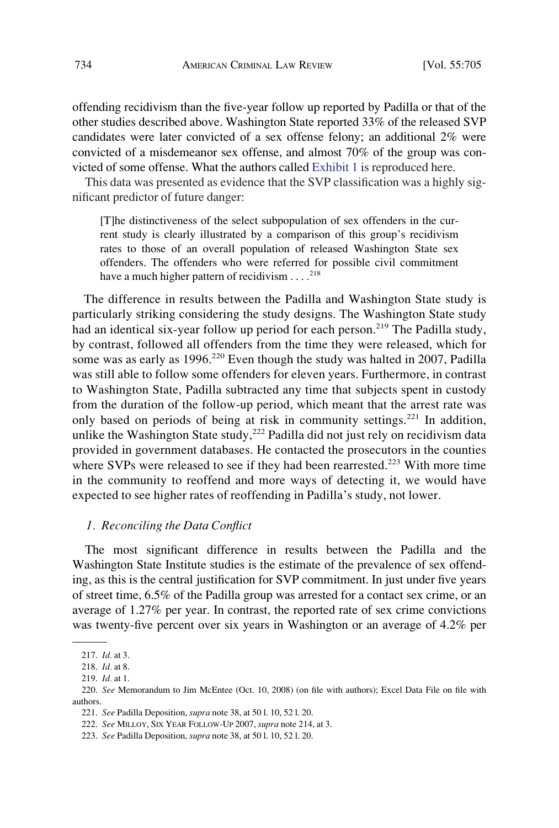offending recidivism than the five-year follow up reported by Padilla or that of the other studies described above. Washington State reported 33% of the released SVP candidates were later convicted of a sex offense felony; an additional 2% were convicted of a misdemeanor sex offense, and almost 70% of the group was convicted of some offense. What the authors called Exhibit 1 is reproduced here.

This data was presented as evidence that the SVP classification was a highly significant predictor of future danger:

[T]he distinctiveness of the select subpopulation of sex offenders in the current study is clearly illustrated by a comparison of this group's recidivism rates to those of an overall population of released Washington State sex offenders. The offenders who were referred for possible civil commitment have a much higher pattern of recidivism  $\dots$ <sup>218</sup>

The difference in results between the Padilla and Washington State study is particularly striking considering the study designs. The Washington State study had an identical six-year follow up period for each person.<sup>219</sup> The Padilla study, by contrast, followed all offenders from the time they were released, which for some was as early as 1996.<sup>220</sup> Even though the study was halted in 2007, Padilla was still able to follow some offenders for eleven years. Furthermore, in contrast to Washington State, Padilla subtracted any time that subjects spent in custody from the duration of the follow-up period, which meant that the arrest rate was only based on periods of being at risk in community settings.<sup>221</sup> In addition, unlike the Washington State study, $222$  Padilla did not just rely on recidivism data provided in government databases. He contacted the prosecutors in the counties where SVPs were released to see if they had been rearrested.<sup>223</sup> With more time in the community to reoffend and more ways of detecting it, we would have expected to see higher rates of reoffending in Padilla's study, not lower.

### *1. Reconciling the Data Conflict*

The most significant difference in results between the Padilla and the Washington State Institute studies is the estimate of the prevalence of sex offending, as this is the central justification for SVP commitment. In just under five years of street time, 6.5% of the Padilla group was arrested for a contact sex crime, or an average of 1.27% per year. In contrast, the reported rate of sex crime convictions was twenty-five percent over six years in Washington or an average of 4.2% per

<sup>217.</sup> *Id.* at 3.

<sup>218.</sup> *Id.* at 8.

<sup>219.</sup> *Id.* at 1.

<sup>220.</sup> *See* Memorandum to Jim McEntee (Oct. 10, 2008) (on file with authors); Excel Data File on file with authors.

<sup>221.</sup> *See* Padilla Deposition, *supra* note 38, at 50 l. 10, 52 l. 20.

<sup>222.</sup> *See* MILLOY, SIX YEAR FOLLOW-UP 2007, *supra* note 214, at 3.

<sup>223.</sup> *See* Padilla Deposition, *supra* note 38, at 50 l. 10, 52 l. 20.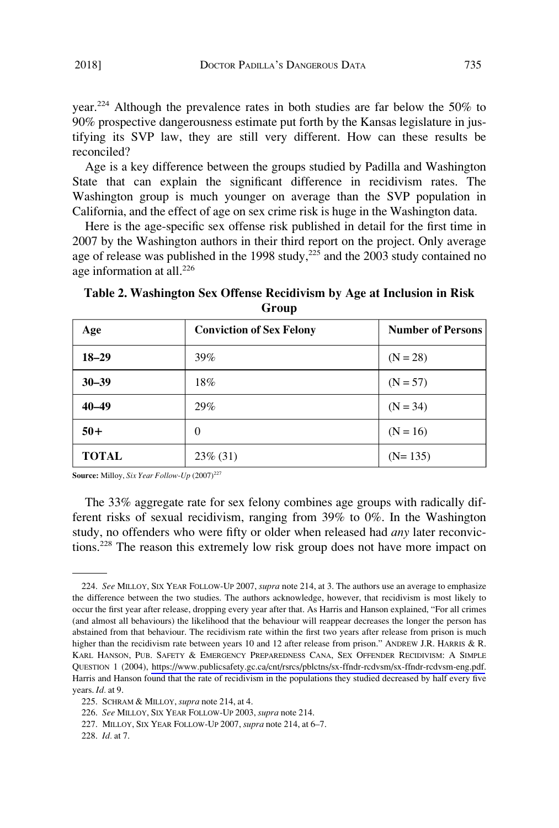<span id="page-30-0"></span>year.<sup>224</sup> Although the prevalence rates in both studies are far below the 50% to 90% prospective dangerousness estimate put forth by the Kansas legislature in justifying its SVP law, they are still very different. How can these results be reconciled?

Age is a key difference between the groups studied by Padilla and Washington State that can explain the significant difference in recidivism rates. The Washington group is much younger on average than the SVP population in California, and the effect of age on sex crime risk is huge in the Washington data.

Here is the age-specific sex offense risk published in detail for the first time in 2007 by the Washington authors in their third report on the project. Only average age of release was published in the 1998 study,  $225$  and the 2003 study contained no age information at all. $^{226}$ 

Age **Conviction of Sex Felony** Number of Persons **18–29**  $\bigg| 39\%$  (N = 28) **30–39**  $18\%$  (N = 57) **40–49** 29% (N = 34)  $50 +$  0  $(N = 16)$ **TOTAL** 23% (31) (N= 135)

**Table 2. Washington Sex Offense Recidivism by Age at Inclusion in Risk Group** 

**Source:** Milloy, *Six Year Follow-Up*  $(2007)^{227}$ 

The 33% aggregate rate for sex felony combines age groups with radically different risks of sexual recidivism, ranging from 39% to 0%. In the Washington study, no offenders who were fifty or older when released had *any* later reconvictions.228 The reason this extremely low risk group does not have more impact on

*See* MILLOY, SIX YEAR FOLLOW-UP 2007, *supra* note 214, at 3. The authors use an average to emphasize 224. the difference between the two studies. The authors acknowledge, however, that recidivism is most likely to occur the first year after release, dropping every year after that. As Harris and Hanson explained, "For all crimes (and almost all behaviours) the likelihood that the behaviour will reappear decreases the longer the person has abstained from that behaviour. The recidivism rate within the first two years after release from prison is much higher than the recidivism rate between years 10 and 12 after release from prison." ANDREW J.R. HARRIS & R. KARL HANSON, PUB. SAFETY & EMERGENCY PREPAREDNESS CANA, SEX OFFENDER RECIDIVISM: A SIMPLE QUESTION 1 (2004), [https://www.publicsafety.gc.ca/cnt/rsrcs/pblctns/sx-ffndr-rcdvsm/sx-ffndr-rcdvsm-eng.pdf.](https://www.publicsafety.gc.ca/cnt/rsrcs/pblctns/sx-ffndr-rcdvsm/sx-ffndr-rcdvsm-eng.pdf) Harris and Hanson found that the rate of recidivism in the populations they studied decreased by half every five years. *Id.* at 9.

<sup>225.</sup> SCHRAM & MILLOY, *supra* note 214, at 4.

<sup>226.</sup> *See* MILLOY, SIX YEAR FOLLOW-UP 2003, *supra* note 214.

<sup>227.</sup> MILLOY, SIX YEAR FOLLOW-UP 2007, *supra* note 214, at 6–7.

<sup>228.</sup> *Id.* at 7.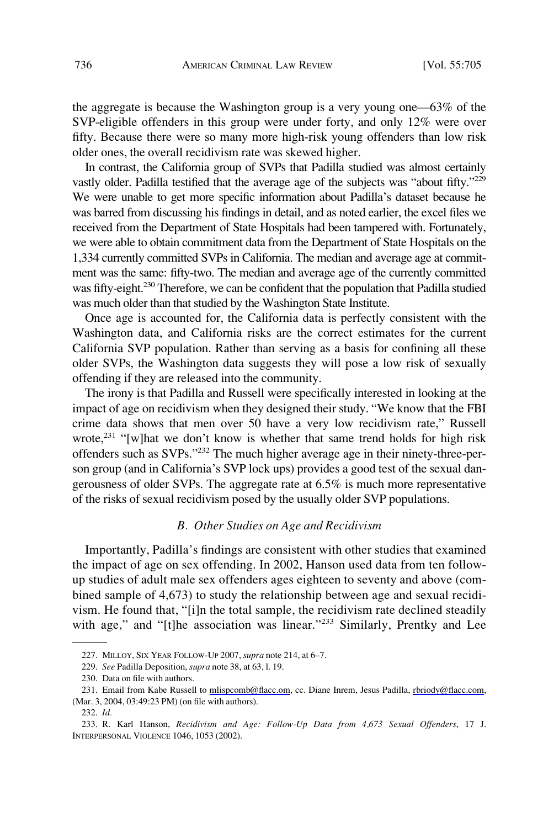the aggregate is because the Washington group is a very young one—63% of the SVP-eligible offenders in this group were under forty, and only 12% were over fifty. Because there were so many more high-risk young offenders than low risk older ones, the overall recidivism rate was skewed higher.

In contrast, the California group of SVPs that Padilla studied was almost certainly vastly older. Padilla testified that the average age of the subjects was "about fifty."<sup>229</sup> We were unable to get more specific information about Padilla's dataset because he was barred from discussing his findings in detail, and as noted earlier, the excel files we received from the Department of State Hospitals had been tampered with. Fortunately, we were able to obtain commitment data from the Department of State Hospitals on the 1,334 currently committed SVPs in California. The median and average age at commitment was the same: fifty-two. The median and average age of the currently committed was fifty-eight.<sup>230</sup> Therefore, we can be confident that the population that Padilla studied was much older than that studied by the Washington State Institute.

Once age is accounted for, the California data is perfectly consistent with the Washington data, and California risks are the correct estimates for the current California SVP population. Rather than serving as a basis for confining all these older SVPs, the Washington data suggests they will pose a low risk of sexually offending if they are released into the community.

The irony is that Padilla and Russell were specifically interested in looking at the impact of age on recidivism when they designed their study. "We know that the FBI crime data shows that men over 50 have a very low recidivism rate," Russell wrote,<sup>231</sup> "[w]hat we don't know is whether that same trend holds for high risk offenders such as SVPs."232 The much higher average age in their ninety-three-person group (and in California's SVP lock ups) provides a good test of the sexual dangerousness of older SVPs. The aggregate rate at 6.5% is much more representative of the risks of sexual recidivism posed by the usually older SVP populations.

#### *B. Other Studies on Age and Recidivism*

Importantly, Padilla's findings are consistent with other studies that examined the impact of age on sex offending. In 2002, Hanson used data from ten followup studies of adult male sex offenders ages eighteen to seventy and above (combined sample of 4,673) to study the relationship between age and sexual recidivism. He found that, "[i]n the total sample, the recidivism rate declined steadily with age," and "[t]he association was linear."<sup>233</sup> Similarly, Prentky and Lee

<sup>227.</sup> MILLOY, SIX YEAR FOLLOW-UP 2007, *supra* note 214, at 6–7.

<sup>229.</sup> *See* Padilla Deposition, *supra* note 38, at 63, l. 19.

<sup>230.</sup> Data on file with authors.

<sup>231.</sup> Email from Kabe Russell to [mlispcomb@flacc.om,](mailto:mlispcomb@flacc.om) cc. Diane Inrem, Jesus Padilla, [rbriody@flacc.com](mailto:rbriody@flacc.com), (Mar. 3, 2004, 03:49:23 PM) (on file with authors).

<sup>232.</sup> *Id.* 

<sup>233.</sup> R. Karl Hanson, *Recidivism and Age: Follow-Up Data from 4,673 Sexual Offenders*, 17 J. INTERPERSONAL VIOLENCE 1046, 1053 (2002).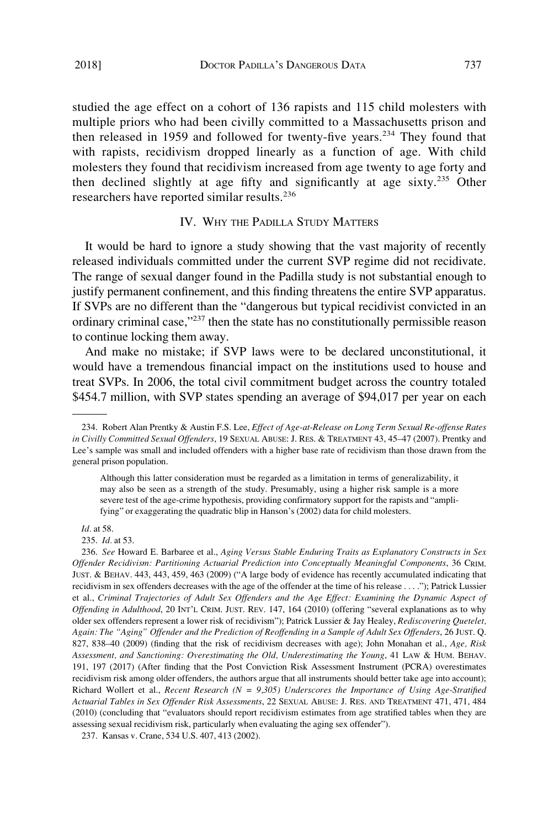studied the age effect on a cohort of 136 rapists and 115 child molesters with multiple priors who had been civilly committed to a Massachusetts prison and then released in 1959 and followed for twenty-five years.<sup>234</sup> They found that with rapists, recidivism dropped linearly as a function of age. With child molesters they found that recidivism increased from age twenty to age forty and then declined slightly at age fifty and significantly at age sixty.<sup>235</sup> Other researchers have reported similar results.<sup>236</sup>

### IV. WHY THE PADILLA STUDY MATTERS

It would be hard to ignore a study showing that the vast majority of recently released individuals committed under the current SVP regime did not recidivate. The range of sexual danger found in the Padilla study is not substantial enough to justify permanent confinement, and this finding threatens the entire SVP apparatus. If SVPs are no different than the "dangerous but typical recidivist convicted in an ordinary criminal case,"237 then the state has no constitutionally permissible reason to continue locking them away.

And make no mistake; if SVP laws were to be declared unconstitutional, it would have a tremendous financial impact on the institutions used to house and treat SVPs. In 2006, the total civil commitment budget across the country totaled \$454.7 million, with SVP states spending an average of \$94,017 per year on each

*Id.* at 58.

235. *Id.* at 53.

<sup>234.</sup> Robert Alan Prentky & Austin F.S. Lee, *Effect of Age-at-Release on Long Term Sexual Re-offense Rates in Civilly Committed Sexual Offenders*, 19 SEXUAL ABUSE: J. RES. & TREATMENT 43, 45–47 (2007). Prentky and Lee's sample was small and included offenders with a higher base rate of recidivism than those drawn from the general prison population.

Although this latter consideration must be regarded as a limitation in terms of generalizability, it may also be seen as a strength of the study. Presumably, using a higher risk sample is a more severe test of the age-crime hypothesis, providing confirmatory support for the rapists and "amplifying" or exaggerating the quadratic blip in Hanson's (2002) data for child molesters.

<sup>236.</sup> *See* Howard E. Barbaree et al., *Aging Versus Stable Enduring Traits as Explanatory Constructs in Sex Offender Recidivism: Partitioning Actuarial Prediction into Conceptually Meaningful Components*, 36 CRIM. JUST. & BEHAV. 443, 443, 459, 463 (2009) ("A large body of evidence has recently accumulated indicating that recidivism in sex offenders decreases with the age of the offender at the time of his release . . . ."); Patrick Lussier et al., *Criminal Trajectories of Adult Sex Offenders and the Age Effect: Examining the Dynamic Aspect of Offending in Adulthood*, 20 INT'L CRIM. JUST. REV. 147, 164 (2010) (offering "several explanations as to why older sex offenders represent a lower risk of recidivism"); Patrick Lussier & Jay Healey, *Rediscovering Quetelet, Again: The "Aging" Offender and the Prediction of Reoffending in a Sample of Adult Sex Offenders*, 26 JUST. Q. 827, 838–40 (2009) (finding that the risk of recidivism decreases with age); John Monahan et al., *Age, Risk Assessment, and Sanctioning: Overestimating the Old, Underestimating the Young*, 41 LAW & HUM. BEHAV. 191, 197 (2017) (After finding that the Post Conviction Risk Assessment Instrument (PCRA) overestimates recidivism risk among older offenders, the authors argue that all instruments should better take age into account); Richard Wollert et al., *Recent Research (N = 9,305) Underscores the Importance of Using Age-Stratified Actuarial Tables in Sex Offender Risk Assessments*, 22 SEXUAL ABUSE: J. RES. AND TREATMENT 471, 471, 484 (2010) (concluding that "evaluators should report recidivism estimates from age stratified tables when they are assessing sexual recidivism risk, particularly when evaluating the aging sex offender").

<sup>237.</sup> Kansas v. Crane, 534 U.S. 407, 413 (2002).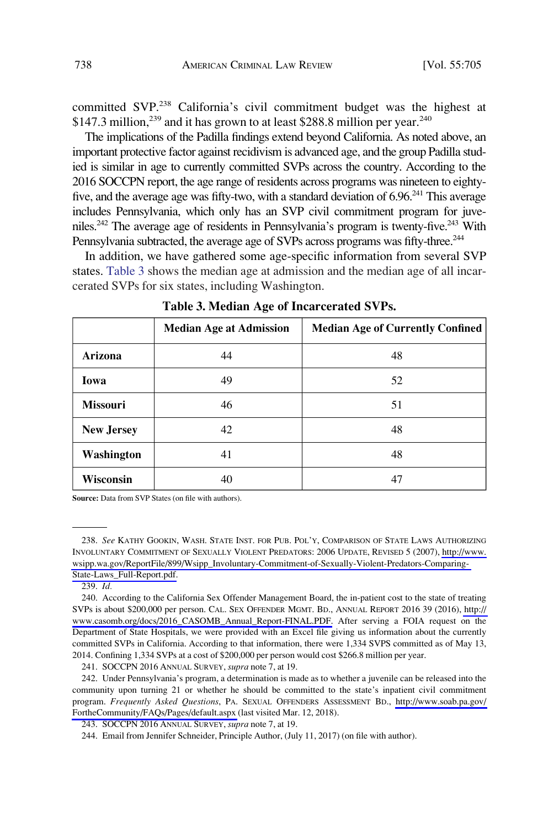committed SVP.<sup>238</sup> California's civil commitment budget was the highest at \$147.3 million,<sup>239</sup> and it has grown to at least \$288.8 million per year.<sup>240</sup>

The implications of the Padilla findings extend beyond California. As noted above, an important protective factor against recidivism is advanced age, and the group Padilla studied is similar in age to currently committed SVPs across the country. According to the 2016 SOCCPN report, the age range of residents across programs was nineteen to eightyfive, and the average age was fifty-two, with a standard deviation of 6.96.<sup>241</sup> This average includes Pennsylvania, which only has an SVP civil commitment program for juveniles.<sup>242</sup> The average age of residents in Pennsylvania's program is twenty-five.<sup>243</sup> With Pennsylvania subtracted, the average age of SVPs across programs was fifty-three.<sup>244</sup>

In addition, we have gathered some age-specific information from several SVP states. Table 3 shows the median age at admission and the median age of all incarcerated SVPs for six states, including Washington.

|                   | <b>Median Age at Admission</b> | <b>Median Age of Currently Confined</b> |
|-------------------|--------------------------------|-----------------------------------------|
| Arizona           | 44                             | 48                                      |
| Iowa              | 49                             | 52                                      |
| <b>Missouri</b>   | 46                             | 51                                      |
| <b>New Jersey</b> | 42                             | 48                                      |
| Washington        | 41                             | 48                                      |
| Wisconsin         | 40                             | 47                                      |

**Table 3. Median Age of Incarcerated SVPs.** 

Source: Data from SVP States (on file with authors).

239. *Id.* 

241. SOCCPN 2016 ANNUAL SURVEY, *supra* note 7, at 19.

*See* KATHY GOOKIN, WASH. STATE INST. FOR PUB. POL'Y, COMPARISON OF STATE LAWS AUTHORIZING 238. INVOLUNTARY COMMITMENT OF SEXUALLY VIOLENT PREDATORS: 2006 UPDATE, REVISED 5 (2007), [http://www.](http://www.wsipp.wa.gov/ReportFile/899/Wsipp_Involuntary-Commitment-of-Sexually-Violent-Predators-Comparing-State-Laws_Full-Report.pdf) [wsipp.wa.gov/ReportFile/899/Wsipp\\_Involuntary-Commitment-of-Sexually-Violent-Predators-Comparing-](http://www.wsipp.wa.gov/ReportFile/899/Wsipp_Involuntary-Commitment-of-Sexually-Violent-Predators-Comparing-State-Laws_Full-Report.pdf)[State-Laws\\_Full-Report.pdf.](http://www.wsipp.wa.gov/ReportFile/899/Wsipp_Involuntary-Commitment-of-Sexually-Violent-Predators-Comparing-State-Laws_Full-Report.pdf)

<sup>240.</sup> According to the California Sex Offender Management Board, the in-patient cost to the state of treating SVPs is about \$200,000 per person. CAL. SEX OFFENDER MGMT. BD., ANNUAL REPORT 2016 39 (2016), [http://](http://www.casomb.org/docs/2016_CASOMB_Annual_Report-FINAL.PDF)  [www.casomb.org/docs/2016\\_CASOMB\\_Annual\\_Report-FINAL.PDF.](http://www.casomb.org/docs/2016_CASOMB_Annual_Report-FINAL.PDF) After serving a FOIA request on the Department of State Hospitals, we were provided with an Excel file giving us information about the currently committed SVPs in California. According to that information, there were 1,334 SVPS committed as of May 13, 2014. Confining 1,334 SVPs at a cost of \$200,000 per person would cost \$266.8 million per year.

<sup>242.</sup> Under Pennsylvania's program, a determination is made as to whether a juvenile can be released into the community upon turning 21 or whether he should be committed to the state's inpatient civil commitment program. *Frequently Asked Questions*, PA. SEXUAL OFFENDERS ASSESSMENT BD., [http://www.soab.pa.gov/](http://www.soab.pa.gov/FortheCommunity/FAQs/Pages/default.aspx)  [FortheCommunity/FAQs/Pages/default.aspx](http://www.soab.pa.gov/FortheCommunity/FAQs/Pages/default.aspx) (last visited Mar. 12, 2018).

<sup>243.</sup> SOCCPN 2016 ANNUAL SURVEY, *supra* note 7, at 19.

<sup>244.</sup> Email from Jennifer Schneider, Principle Author, (July 11, 2017) (on file with author).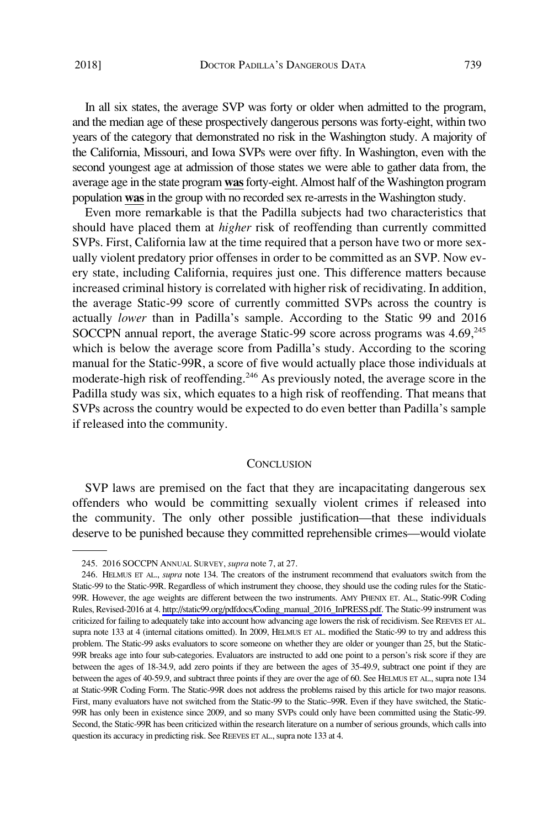In all six states, the average SVP was forty or older when admitted to the program, and the median age of these prospectively dangerous persons was forty-eight, within two years of the category that demonstrated no risk in the Washington study. A majority of the California, Missouri, and Iowa SVPs were over fifty. In Washington, even with the second youngest age at admission of those states we were able to gather data from, the average age in the state program **was** forty-eight. Almost half of the Washington program population **was** in the group with no recorded sex re-arrests in the Washington study.

Even more remarkable is that the Padilla subjects had two characteristics that should have placed them at *higher* risk of reoffending than currently committed SVPs. First, California law at the time required that a person have two or more sexually violent predatory prior offenses in order to be committed as an SVP. Now every state, including California, requires just one. This difference matters because increased criminal history is correlated with higher risk of recidivating. In addition, the average Static-99 score of currently committed SVPs across the country is actually *lower* than in Padilla's sample. According to the Static 99 and 2016 SOCCPN annual report, the average Static-99 score across programs was  $4.69<sup>245</sup>$ which is below the average score from Padilla's study. According to the scoring manual for the Static-99R, a score of five would actually place those individuals at moderate-high risk of reoffending.<sup>246</sup> As previously noted, the average score in the Padilla study was six, which equates to a high risk of reoffending. That means that SVPs across the country would be expected to do even better than Padilla's sample if released into the community.

#### **CONCLUSION**

SVP laws are premised on the fact that they are incapacitating dangerous sex offenders who would be committing sexually violent crimes if released into the community. The only other possible justification—that these individuals deserve to be punished because they committed reprehensible crimes—would violate

<sup>245. 2016</sup> SOCCPN ANNUAL SURVEY, *supra* note 7, at 27.

<sup>246.</sup> HELMUS ET AL., *supra* note 134. The creators of the instrument recommend that evaluators switch from the Static-99 to the Static-99R. Regardless of which instrument they choose, they should use the coding rules for the Static-99R. However, the age weights are different between the two instruments. AMY PHENIX ET. AL., Static-99R Coding Rules, Revised-2016 at 4. [http://static99.org/pdfdocs/Coding\\_manual\\_2016\\_InPRESS.pdf.](http://static99.org/pdfdocs/Coding_manual_2016_InPRESS.pdf) The Static-99 instrument was criticized for failing to adequately take into account how advancing age lowers the risk of recidivism. See REEVES ET AL. supra note 133 at 4 (internal citations omitted). In 2009, HELMUS ET AL. modified the Static-99 to try and address this problem. The Static-99 asks evaluators to score someone on whether they are older or younger than 25, but the Static-99R breaks age into four sub-categories. Evaluators are instructed to add one point to a person's risk score if they are between the ages of 18-34.9, add zero points if they are between the ages of 35-49.9, subtract one point if they are between the ages of 40-59.9, and subtract three points if they are over the age of 60. See HELMUS ET AL., supra note 134 at Static-99R Coding Form. The Static-99R does not address the problems raised by this article for two major reasons. First, many evaluators have not switched from the Static-99 to the Static–99R. Even if they have switched, the Static-99R has only been in existence since 2009, and so many SVPs could only have been committed using the Static-99. Second, the Static-99R has been criticized within the research literature on a number of serious grounds, which calls into question its accuracy in predicting risk. See REEVES ET AL., supra note 133 at 4.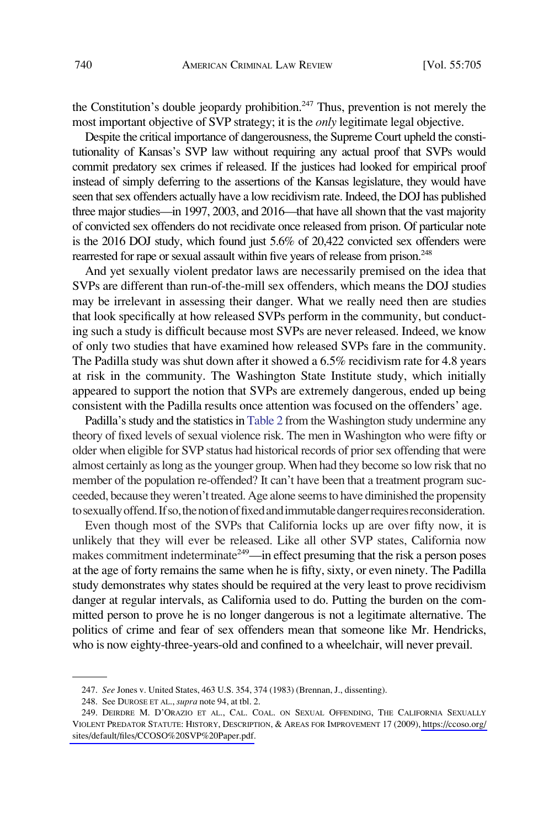the Constitution's double jeopardy prohibition.<sup>247</sup> Thus, prevention is not merely the most important objective of SVP strategy; it is the *only* legitimate legal objective.

Despite the critical importance of dangerousness, the Supreme Court upheld the constitutionality of Kansas's SVP law without requiring any actual proof that SVPs would commit predatory sex crimes if released. If the justices had looked for empirical proof instead of simply deferring to the assertions of the Kansas legislature, they would have seen that sex offenders actually have a low recidivism rate. Indeed, the DOJ has published three major studies—in 1997, 2003, and 2016—that have all shown that the vast majority of convicted sex offenders do not recidivate once released from prison. Of particular note is the 2016 DOJ study, which found just 5.6% of 20,422 convicted sex offenders were rearrested for rape or sexual assault within five years of release from prison.<sup>248</sup>

And yet sexually violent predator laws are necessarily premised on the idea that SVPs are different than run-of-the-mill sex offenders, which means the DOJ studies may be irrelevant in assessing their danger. What we really need then are studies that look specifically at how released SVPs perform in the community, but conducting such a study is difficult because most SVPs are never released. Indeed, we know of only two studies that have examined how released SVPs fare in the community. The Padilla study was shut down after it showed a 6.5% recidivism rate for 4.8 years at risk in the community. The Washington State Institute study, which initially appeared to support the notion that SVPs are extremely dangerous, ended up being consistent with the Padilla results once attention was focused on the offenders' age.

Padilla's study and the statistics in [Table 2](#page-30-0) from the Washington study undermine any theory of fixed levels of sexual violence risk. The men in Washington who were fifty or older when eligible for SVP status had historical records of prior sex offending that were almost certainly as long as the younger group. When had they become so low risk that no member of the population re-offended? It can't have been that a treatment program succeeded, because they weren't treated. Age alone seems to have diminished the propensity to sexually offend. If so, the notion of fixed and immutable danger requires reconsideration.

Even though most of the SVPs that California locks up are over fifty now, it is unlikely that they will ever be released. Like all other SVP states, California now makes commitment indeterminate<sup>249</sup>—in effect presuming that the risk a person poses at the age of forty remains the same when he is fifty, sixty, or even ninety. The Padilla study demonstrates why states should be required at the very least to prove recidivism danger at regular intervals, as California used to do. Putting the burden on the committed person to prove he is no longer dangerous is not a legitimate alternative. The politics of crime and fear of sex offenders mean that someone like Mr. Hendricks, who is now eighty-three-years-old and confined to a wheelchair, will never prevail.

<sup>247.</sup> *See* Jones v. United States, 463 U.S. 354, 374 (1983) (Brennan, J., dissenting).

<sup>248.</sup> See DUROSE ET AL., *supra* note 94, at tbl. 2.

<sup>249.</sup> DEIRDRE M. D'ORAZIO ET AL., CAL. COAL. ON SEXUAL OFFENDING, THE CALIFORNIA SEXUALLY VIOLENT PREDATOR STATUTE: HISTORY, DESCRIPTION, & AREAS FOR IMPROVEMENT 17 (2009), [https://ccoso.org/](https://ccoso.org/sites/default/files/CCOSO%20SVP%20Paper.pdf)  [sites/default/files/CCOSO%20SVP%20Paper.pdf.](https://ccoso.org/sites/default/files/CCOSO%20SVP%20Paper.pdf)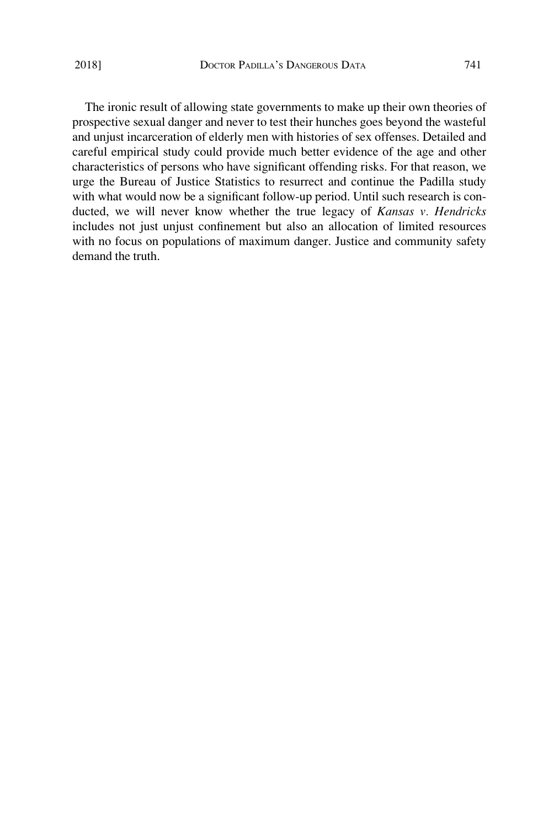The ironic result of allowing state governments to make up their own theories of prospective sexual danger and never to test their hunches goes beyond the wasteful and unjust incarceration of elderly men with histories of sex offenses. Detailed and careful empirical study could provide much better evidence of the age and other characteristics of persons who have significant offending risks. For that reason, we urge the Bureau of Justice Statistics to resurrect and continue the Padilla study with what would now be a significant follow-up period. Until such research is conducted, we will never know whether the true legacy of *Kansas v. Hendricks*  includes not just unjust confinement but also an allocation of limited resources with no focus on populations of maximum danger. Justice and community safety demand the truth.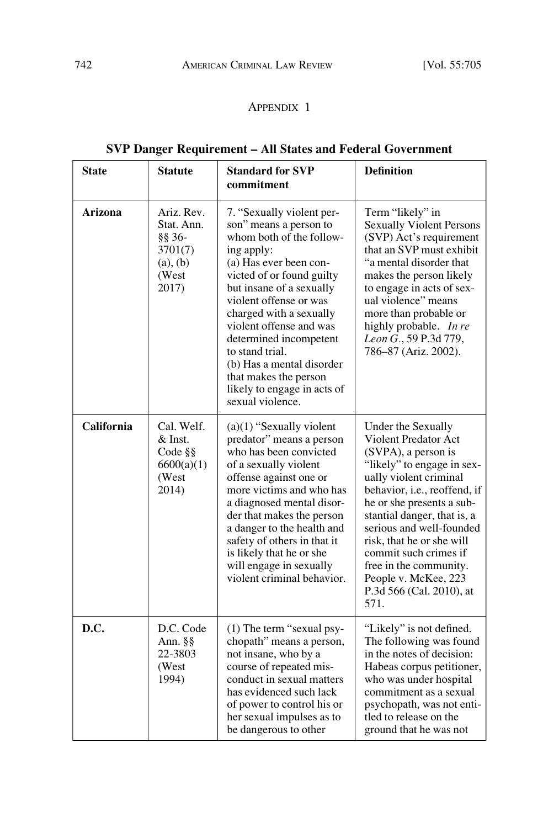#### APPENDIX 1

## **SVP Danger Requirement – All States and Federal Government**

| <b>State</b> | <b>Statute</b>                                                              | <b>Standard for SVP</b><br>commitment                                                                                                                                                                                                                                                                                                                                                                                  | <b>Definition</b>                                                                                                                                                                                                                                                                                                                                                                                    |
|--------------|-----------------------------------------------------------------------------|------------------------------------------------------------------------------------------------------------------------------------------------------------------------------------------------------------------------------------------------------------------------------------------------------------------------------------------------------------------------------------------------------------------------|------------------------------------------------------------------------------------------------------------------------------------------------------------------------------------------------------------------------------------------------------------------------------------------------------------------------------------------------------------------------------------------------------|
| Arizona      | Ariz. Rev.<br>Stat. Ann.<br>§§ 36-<br>3701(7)<br>(a), (b)<br>(West<br>2017) | 7. "Sexually violent per-<br>son" means a person to<br>whom both of the follow-<br>ing apply:<br>(a) Has ever been con-<br>victed of or found guilty<br>but insane of a sexually<br>violent offense or was<br>charged with a sexually<br>violent offense and was<br>determined incompetent<br>to stand trial.<br>(b) Has a mental disorder<br>that makes the person<br>likely to engage in acts of<br>sexual violence. | Term "likely" in<br><b>Sexually Violent Persons</b><br>(SVP) Act's requirement<br>that an SVP must exhibit<br>"a mental disorder that<br>makes the person likely<br>to engage in acts of sex-<br>ual violence" means<br>more than probable or<br>highly probable. In re<br>Leon G., 59 P.3d 779,<br>786-87 (Ariz. 2002).                                                                             |
| California   | Cal. Welf.<br>& Inst.<br>Code §§<br>6600(a)(1)<br>(West<br>2014)            | $(a)(1)$ "Sexually violent"<br>predator" means a person<br>who has been convicted<br>of a sexually violent<br>offense against one or<br>more victims and who has<br>a diagnosed mental disor-<br>der that makes the person<br>a danger to the health and<br>safety of others in that it<br>is likely that he or she<br>will engage in sexually<br>violent criminal behavior.                                           | Under the Sexually<br><b>Violent Predator Act</b><br>(SVPA), a person is<br>"likely" to engage in sex-<br>ually violent criminal<br>behavior, i.e., reoffend, if<br>he or she presents a sub-<br>stantial danger, that is, a<br>serious and well-founded<br>risk, that he or she will<br>commit such crimes if<br>free in the community.<br>People v. McKee, 223<br>P.3d 566 (Cal. 2010), at<br>571. |
| D.C.         | D.C. Code<br>Ann. §§<br>22-3803<br>(West<br>1994)                           | (1) The term "sexual psy-<br>chopath" means a person,<br>not insane, who by a<br>course of repeated mis-<br>conduct in sexual matters<br>has evidenced such lack<br>of power to control his or<br>her sexual impulses as to<br>be dangerous to other                                                                                                                                                                   | "Likely" is not defined.<br>The following was found<br>in the notes of decision:<br>Habeas corpus petitioner,<br>who was under hospital<br>commitment as a sexual<br>psychopath, was not enti-<br>tled to release on the<br>ground that he was not                                                                                                                                                   |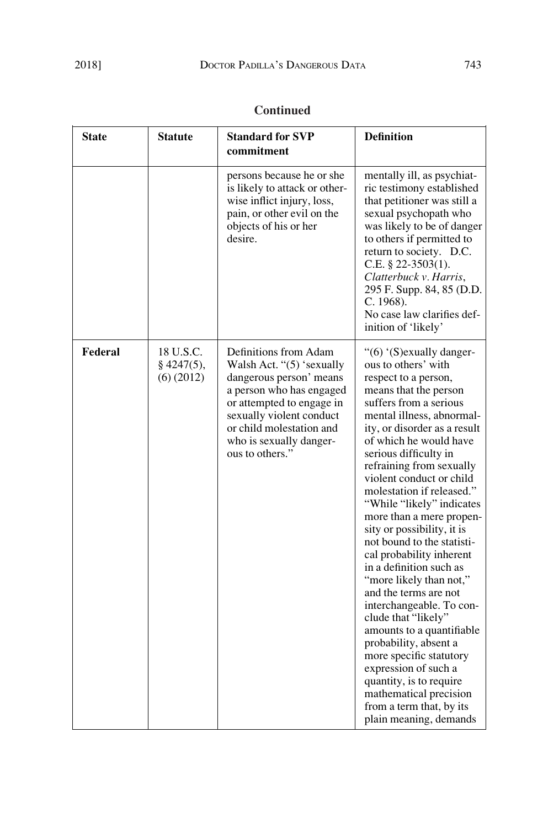| <b>Continued</b> |  |
|------------------|--|
|                  |  |

| <b>State</b> | <b>Statute</b>                         | <b>Standard for SVP</b><br>commitment                                                                                                                                                                                                        | <b>Definition</b>                                                                                                                                                                                                                                                                                                                                                                                                                                                                                                                                                                                                                                                                                                                                                                                                                       |
|--------------|----------------------------------------|----------------------------------------------------------------------------------------------------------------------------------------------------------------------------------------------------------------------------------------------|-----------------------------------------------------------------------------------------------------------------------------------------------------------------------------------------------------------------------------------------------------------------------------------------------------------------------------------------------------------------------------------------------------------------------------------------------------------------------------------------------------------------------------------------------------------------------------------------------------------------------------------------------------------------------------------------------------------------------------------------------------------------------------------------------------------------------------------------|
|              |                                        | persons because he or she<br>is likely to attack or other-<br>wise inflict injury, loss,<br>pain, or other evil on the<br>objects of his or her<br>desire.                                                                                   | mentally ill, as psychiat-<br>ric testimony established<br>that petitioner was still a<br>sexual psychopath who<br>was likely to be of danger<br>to others if permitted to<br>return to society. D.C.<br>C.E. $\S$ 22-3503(1).<br>Clatterbuck v. Harris,<br>295 F. Supp. 84, 85 (D.D.<br>C. 1968).<br>No case law clarifies def-<br>inition of 'likely'                                                                                                                                                                                                                                                                                                                                                                                                                                                                                 |
| Federal      | 18 U.S.C.<br>$§$ 4247(5),<br>(6)(2012) | Definitions from Adam<br>Walsh Act. "(5) 'sexually<br>dangerous person' means<br>a person who has engaged<br>or attempted to engage in<br>sexually violent conduct<br>or child molestation and<br>who is sexually danger-<br>ous to others." | "(6) '(S) exually danger-<br>ous to others' with<br>respect to a person,<br>means that the person<br>suffers from a serious<br>mental illness, abnormal-<br>ity, or disorder as a result<br>of which he would have<br>serious difficulty in<br>refraining from sexually<br>violent conduct or child<br>molestation if released."<br>"While "likely" indicates<br>more than a mere propen-<br>sity or possibility, it is<br>not bound to the statisti-<br>cal probability inherent<br>in a definition such as<br>"more likely than not,"<br>and the terms are not<br>interchangeable. To con-<br>clude that "likely"<br>amounts to a quantifiable<br>probability, absent a<br>more specific statutory<br>expression of such a<br>quantity, is to require<br>mathematical precision<br>from a term that, by its<br>plain meaning, demands |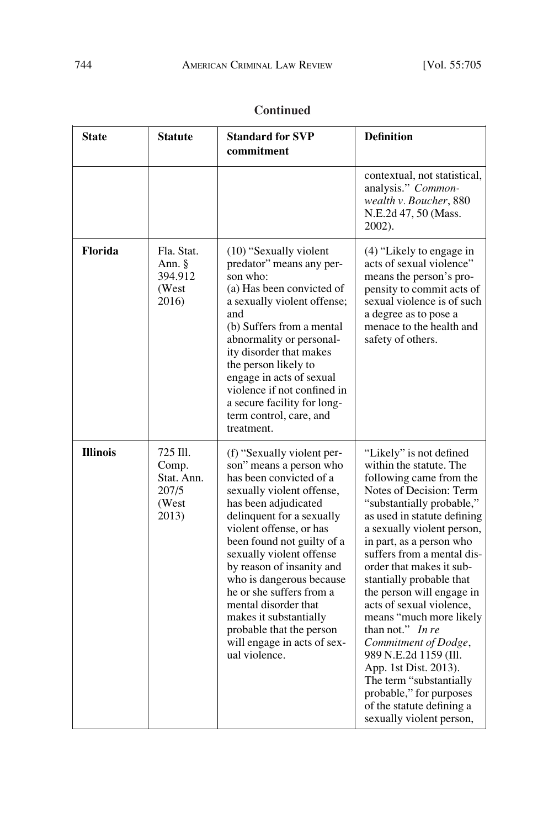| <b>State</b>    | <b>Statute</b>                                             | <b>Standard for SVP</b><br>commitment                                                                                                                                                                                                                                                                                                                                                                                                                                      | <b>Definition</b>                                                                                                                                                                                                                                                                                                                                                                                                                                                                                                                                                                                                     |
|-----------------|------------------------------------------------------------|----------------------------------------------------------------------------------------------------------------------------------------------------------------------------------------------------------------------------------------------------------------------------------------------------------------------------------------------------------------------------------------------------------------------------------------------------------------------------|-----------------------------------------------------------------------------------------------------------------------------------------------------------------------------------------------------------------------------------------------------------------------------------------------------------------------------------------------------------------------------------------------------------------------------------------------------------------------------------------------------------------------------------------------------------------------------------------------------------------------|
|                 |                                                            |                                                                                                                                                                                                                                                                                                                                                                                                                                                                            | contextual, not statistical,<br>analysis." Common-<br>wealth v. Boucher, 880<br>N.E.2d 47, 50 (Mass.<br>2002).                                                                                                                                                                                                                                                                                                                                                                                                                                                                                                        |
| Florida         | Fla. Stat.<br>Ann. §<br>394.912<br>(West<br>2016)          | (10) "Sexually violent"<br>predator" means any per-<br>son who:<br>(a) Has been convicted of<br>a sexually violent offense;<br>and<br>(b) Suffers from a mental<br>abnormality or personal-<br>ity disorder that makes<br>the person likely to<br>engage in acts of sexual<br>violence if not confined in<br>a secure facility for long-<br>term control, care, and<br>treatment.                                                                                          | (4) "Likely to engage in<br>acts of sexual violence"<br>means the person's pro-<br>pensity to commit acts of<br>sexual violence is of such<br>a degree as to pose a<br>menace to the health and<br>safety of others.                                                                                                                                                                                                                                                                                                                                                                                                  |
| <b>Illinois</b> | 725 Ill.<br>Comp.<br>Stat. Ann.<br>207/5<br>(West<br>2013) | (f) "Sexually violent per-<br>son" means a person who<br>has been convicted of a<br>sexually violent offense,<br>has been adjudicated<br>delinquent for a sexually<br>violent offense, or has<br>been found not guilty of a<br>sexually violent offense<br>by reason of insanity and<br>who is dangerous because<br>he or she suffers from a<br>mental disorder that<br>makes it substantially<br>probable that the person<br>will engage in acts of sex-<br>ual violence. | "Likely" is not defined<br>within the statute. The<br>following came from the<br>Notes of Decision: Term<br>"substantially probable,"<br>as used in statute defining<br>a sexually violent person,<br>in part, as a person who<br>suffers from a mental dis-<br>order that makes it sub-<br>stantially probable that<br>the person will engage in<br>acts of sexual violence,<br>means "much more likely<br>than not." In re<br>Commitment of Dodge,<br>989 N.E.2d 1159 (Ill.<br>App. 1st Dist. 2013).<br>The term "substantially<br>probable," for purposes<br>of the statute defining a<br>sexually violent person, |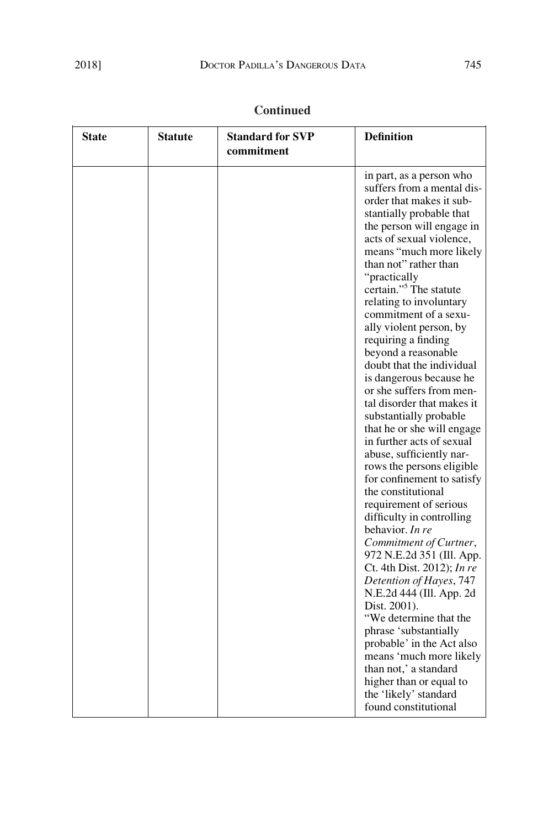|  | <b>Continued</b> |
|--|------------------|
|  |                  |

| "practically<br>requiring a finding<br>the constitutional<br>behavior. In re<br>Dist. 2001).<br>phrase 'substantially | <b>State</b> | Statute | <b>Standard for SVP</b> | <b>Definition</b>                                                                                                                                                                                                                                                                                                                                                                                                                                                                                                                                                                                                                                                                                                                                                                                                                                                                                  |
|-----------------------------------------------------------------------------------------------------------------------|--------------|---------|-------------------------|----------------------------------------------------------------------------------------------------------------------------------------------------------------------------------------------------------------------------------------------------------------------------------------------------------------------------------------------------------------------------------------------------------------------------------------------------------------------------------------------------------------------------------------------------------------------------------------------------------------------------------------------------------------------------------------------------------------------------------------------------------------------------------------------------------------------------------------------------------------------------------------------------|
|                                                                                                                       |              |         |                         |                                                                                                                                                                                                                                                                                                                                                                                                                                                                                                                                                                                                                                                                                                                                                                                                                                                                                                    |
|                                                                                                                       |              |         | commitment              | in part, as a person who<br>suffers from a mental dis-<br>order that makes it sub-<br>stantially probable that<br>the person will engage in<br>acts of sexual violence,<br>means "much more likely<br>than not" rather than<br>certain." <sup>5</sup> The statute<br>relating to involuntary<br>commitment of a sexu-<br>ally violent person, by<br>beyond a reasonable<br>doubt that the individual<br>is dangerous because he<br>or she suffers from men-<br>tal disorder that makes it<br>substantially probable<br>that he or she will engage<br>in further acts of sexual<br>abuse, sufficiently nar-<br>rows the persons eligible<br>for confinement to satisfy<br>requirement of serious<br>difficulty in controlling<br>Commitment of Curtner,<br>972 N.E.2d 351 (Ill. App.<br>Ct. 4th Dist. 2012); In re<br>Detention of Hayes, 747<br>N.E.2d 444 (Ill. App. 2d<br>"We determine that the |
|                                                                                                                       |              |         |                         | probable' in the Act also<br>means 'much more likely<br>than not,' a standard<br>higher than or equal to<br>the 'likely' standard                                                                                                                                                                                                                                                                                                                                                                                                                                                                                                                                                                                                                                                                                                                                                                  |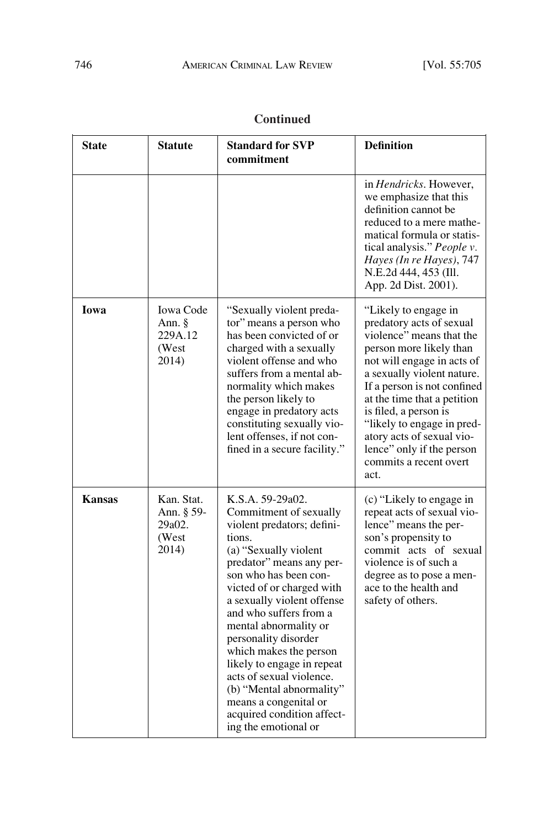| <b>State</b>  | <b>Statute</b>                                          | <b>Standard for SVP</b><br>commitment                                                                                                                                                                                                                                                                                                                                                                                                                                                                 | <b>Definition</b>                                                                                                                                                                                                                                                                                                                                                                    |
|---------------|---------------------------------------------------------|-------------------------------------------------------------------------------------------------------------------------------------------------------------------------------------------------------------------------------------------------------------------------------------------------------------------------------------------------------------------------------------------------------------------------------------------------------------------------------------------------------|--------------------------------------------------------------------------------------------------------------------------------------------------------------------------------------------------------------------------------------------------------------------------------------------------------------------------------------------------------------------------------------|
|               |                                                         |                                                                                                                                                                                                                                                                                                                                                                                                                                                                                                       | in <i>Hendricks</i> . However,<br>we emphasize that this<br>definition cannot be<br>reduced to a mere mathe-<br>matical formula or statis-<br>tical analysis." People v.<br>Hayes (In re Hayes), 747<br>N.E.2d 444, 453 (Ill.<br>App. 2d Dist. 2001).                                                                                                                                |
| Iowa          | <b>Iowa Code</b><br>Ann. §<br>229A.12<br>(West<br>2014) | "Sexually violent preda-<br>tor" means a person who<br>has been convicted of or<br>charged with a sexually<br>violent offense and who<br>suffers from a mental ab-<br>normality which makes<br>the person likely to<br>engage in predatory acts<br>constituting sexually vio-<br>lent offenses, if not con-<br>fined in a secure facility."                                                                                                                                                           | "Likely to engage in<br>predatory acts of sexual<br>violence" means that the<br>person more likely than<br>not will engage in acts of<br>a sexually violent nature.<br>If a person is not confined<br>at the time that a petition<br>is filed, a person is<br>"likely to engage in pred-<br>atory acts of sexual vio-<br>lence" only if the person<br>commits a recent overt<br>act. |
| <b>Kansas</b> | Kan. Stat.<br>Ann. § 59-<br>29a02.<br>(West<br>2014)    | K.S.A. 59-29a02.<br>Commitment of sexually<br>violent predators; defini-<br>tions.<br>(a) "Sexually violent<br>predator" means any per-<br>son who has been con-<br>victed of or charged with<br>a sexually violent offense<br>and who suffers from a<br>mental abnormality or<br>personality disorder<br>which makes the person<br>likely to engage in repeat<br>acts of sexual violence.<br>(b) "Mental abnormality"<br>means a congenital or<br>acquired condition affect-<br>ing the emotional or | (c) "Likely to engage in<br>repeat acts of sexual vio-<br>lence" means the per-<br>son's propensity to<br>commit acts of sexual<br>violence is of such a<br>degree as to pose a men-<br>ace to the health and<br>safety of others.                                                                                                                                                   |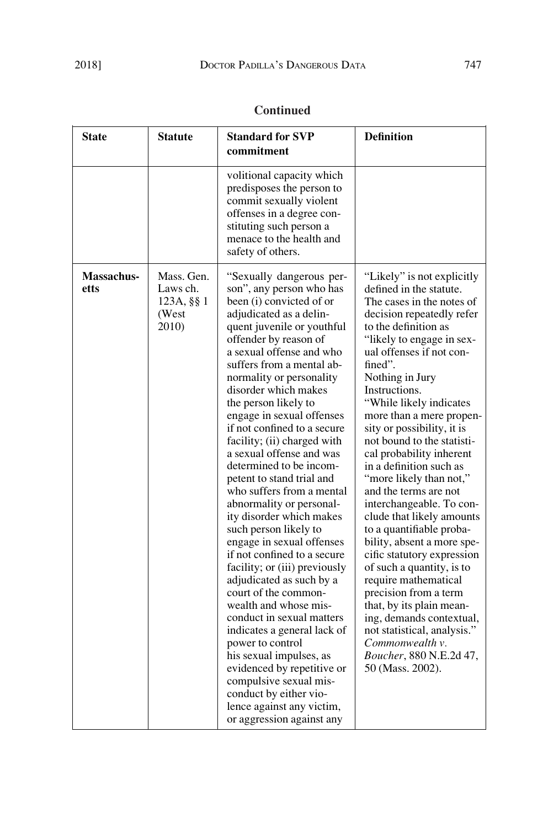| <b>State</b>              | <b>Statute</b>                                         | <b>Standard for SVP</b><br>commitment                                                                                                                                                                                                                                                                                                                                                                                                                                                                                                                                                                                                                                                                                                                                                                                                                                                                                                                                                                                                 | <b>Definition</b>                                                                                                                                                                                                                                                                                                                                                                                                                                                                                                                                                                                                                                                                                                                                                                                                                                                     |
|---------------------------|--------------------------------------------------------|---------------------------------------------------------------------------------------------------------------------------------------------------------------------------------------------------------------------------------------------------------------------------------------------------------------------------------------------------------------------------------------------------------------------------------------------------------------------------------------------------------------------------------------------------------------------------------------------------------------------------------------------------------------------------------------------------------------------------------------------------------------------------------------------------------------------------------------------------------------------------------------------------------------------------------------------------------------------------------------------------------------------------------------|-----------------------------------------------------------------------------------------------------------------------------------------------------------------------------------------------------------------------------------------------------------------------------------------------------------------------------------------------------------------------------------------------------------------------------------------------------------------------------------------------------------------------------------------------------------------------------------------------------------------------------------------------------------------------------------------------------------------------------------------------------------------------------------------------------------------------------------------------------------------------|
|                           |                                                        | volitional capacity which<br>predisposes the person to<br>commit sexually violent<br>offenses in a degree con-<br>stituting such person a<br>menace to the health and<br>safety of others.                                                                                                                                                                                                                                                                                                                                                                                                                                                                                                                                                                                                                                                                                                                                                                                                                                            |                                                                                                                                                                                                                                                                                                                                                                                                                                                                                                                                                                                                                                                                                                                                                                                                                                                                       |
| <b>Massachus-</b><br>etts | Mass. Gen.<br>Laws ch.<br>123A, §§ 1<br>(West<br>2010) | "Sexually dangerous per-<br>son", any person who has<br>been (i) convicted of or<br>adjudicated as a delin-<br>quent juvenile or youthful<br>offender by reason of<br>a sexual offense and who<br>suffers from a mental ab-<br>normality or personality<br>disorder which makes<br>the person likely to<br>engage in sexual offenses<br>if not confined to a secure<br>facility; (ii) charged with<br>a sexual offense and was<br>determined to be incom-<br>petent to stand trial and<br>who suffers from a mental<br>abnormality or personal-<br>ity disorder which makes<br>such person likely to<br>engage in sexual offenses<br>if not confined to a secure<br>facility; or (iii) previously<br>adjudicated as such by a<br>court of the common-<br>wealth and whose mis-<br>conduct in sexual matters<br>indicates a general lack of<br>power to control<br>his sexual impulses, as<br>evidenced by repetitive or<br>compulsive sexual mis-<br>conduct by either vio-<br>lence against any victim,<br>or aggression against any | "Likely" is not explicitly<br>defined in the statute.<br>The cases in the notes of<br>decision repeatedly refer<br>to the definition as<br>"likely to engage in sex-<br>ual offenses if not con-<br>fined".<br>Nothing in Jury<br>Instructions.<br>"While likely indicates<br>more than a mere propen-<br>sity or possibility, it is<br>not bound to the statisti-<br>cal probability inherent<br>in a definition such as<br>"more likely than not,"<br>and the terms are not<br>interchangeable. To con-<br>clude that likely amounts<br>to a quantifiable proba-<br>bility, absent a more spe-<br>cific statutory expression<br>of such a quantity, is to<br>require mathematical<br>precision from a term<br>that, by its plain mean-<br>ing, demands contextual,<br>not statistical, analysis."<br>Commonwealth v.<br>Boucher, 880 N.E.2d 47,<br>50 (Mass. 2002). |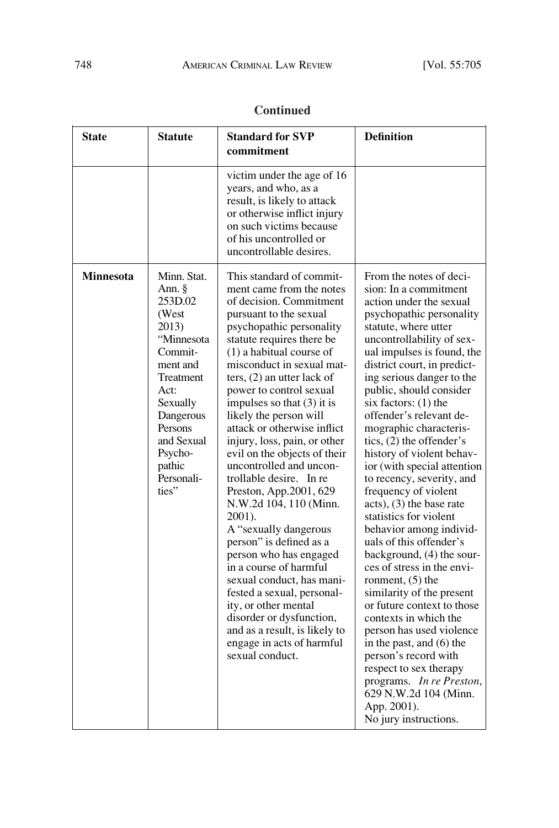| <b>Continued</b> |  |
|------------------|--|
|                  |  |

| <b>State</b>     | <b>Statute</b>                                                                                                                                                                                                | <b>Standard for SVP</b><br>commitment                                                                                                                                                                                                                                                                                                                                                                                                                                                                                                                                                                                                                                                                                                                                                                                                                                         | <b>Definition</b>                                                                                                                                                                                                                                                                                                                                                                                                                                                                                                                                                                                                                                                                                                                                                                                                                                                                                                                                                                                        |
|------------------|---------------------------------------------------------------------------------------------------------------------------------------------------------------------------------------------------------------|-------------------------------------------------------------------------------------------------------------------------------------------------------------------------------------------------------------------------------------------------------------------------------------------------------------------------------------------------------------------------------------------------------------------------------------------------------------------------------------------------------------------------------------------------------------------------------------------------------------------------------------------------------------------------------------------------------------------------------------------------------------------------------------------------------------------------------------------------------------------------------|----------------------------------------------------------------------------------------------------------------------------------------------------------------------------------------------------------------------------------------------------------------------------------------------------------------------------------------------------------------------------------------------------------------------------------------------------------------------------------------------------------------------------------------------------------------------------------------------------------------------------------------------------------------------------------------------------------------------------------------------------------------------------------------------------------------------------------------------------------------------------------------------------------------------------------------------------------------------------------------------------------|
|                  |                                                                                                                                                                                                               | victim under the age of 16<br>years, and who, as a<br>result, is likely to attack<br>or otherwise inflict injury<br>on such victims because<br>of his uncontrolled or<br>uncontrollable desires.                                                                                                                                                                                                                                                                                                                                                                                                                                                                                                                                                                                                                                                                              |                                                                                                                                                                                                                                                                                                                                                                                                                                                                                                                                                                                                                                                                                                                                                                                                                                                                                                                                                                                                          |
| <b>Minnesota</b> | Minn. Stat.<br>Ann. $\S$<br>253D.02<br>(West<br>2013)<br>"Minnesota<br>Commit-<br>ment and<br>Treatment<br>Act:<br>Sexually<br>Dangerous<br>Persons<br>and Sexual<br>Psycho-<br>pathic<br>Personali-<br>ties" | This standard of commit-<br>ment came from the notes<br>of decision. Commitment<br>pursuant to the sexual<br>psychopathic personality<br>statute requires there be<br>$(1)$ a habitual course of<br>misconduct in sexual mat-<br>ters, $(2)$ an utter lack of<br>power to control sexual<br>impulses so that $(3)$ it is<br>likely the person will<br>attack or otherwise inflict<br>injury, loss, pain, or other<br>evil on the objects of their<br>uncontrolled and uncon-<br>trollable desire. In re<br>Preston, App.2001, 629<br>N.W.2d 104, 110 (Minn.<br>2001).<br>A "sexually dangerous<br>person" is defined as a<br>person who has engaged<br>in a course of harmful<br>sexual conduct, has mani-<br>fested a sexual, personal-<br>ity, or other mental<br>disorder or dysfunction,<br>and as a result, is likely to<br>engage in acts of harmful<br>sexual conduct. | From the notes of deci-<br>sion: In a commitment<br>action under the sexual<br>psychopathic personality<br>statute, where utter<br>uncontrollability of sex-<br>ual impulses is found, the<br>district court, in predict-<br>ing serious danger to the<br>public, should consider<br>six factors: (1) the<br>offender's relevant de-<br>mographic characteris-<br>tics, $(2)$ the offender's<br>history of violent behav-<br>ior (with special attention<br>to recency, severity, and<br>frequency of violent<br>$acts)$ , (3) the base rate<br>statistics for violent<br>behavior among individ-<br>uals of this offender's<br>background, (4) the sour-<br>ces of stress in the envi-<br>ronment, $(5)$ the<br>similarity of the present<br>or future context to those<br>contexts in which the<br>person has used violence<br>in the past, and (6) the<br>person's record with<br>respect to sex therapy<br>programs. In re Preston,<br>629 N.W.2d 104 (Minn.<br>App. 2001).<br>No jury instructions. |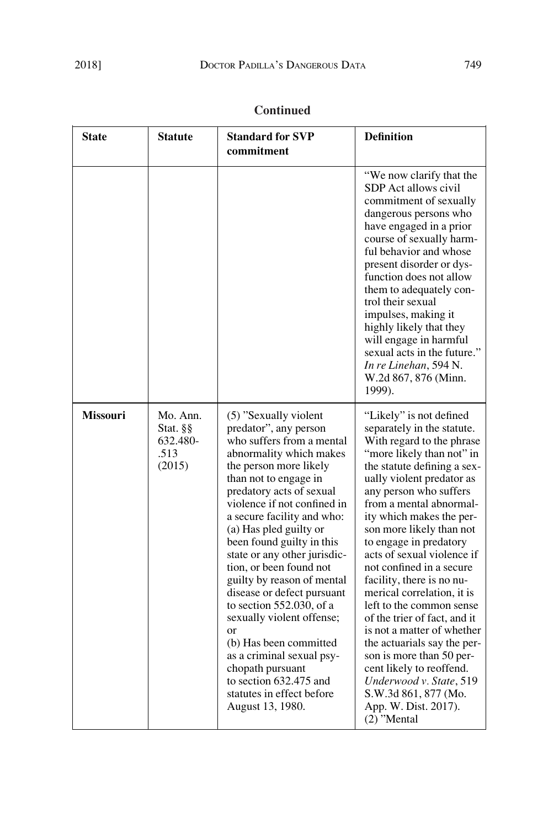| <b>Continued</b> |
|------------------|
|------------------|

| <b>State</b>    | <b>Statute</b>                                     | <b>Standard for SVP</b><br>commitment                                                                                                                                                                                                                                                                                                                                                                                                                                                                                                                                                                                                                  | <b>Definition</b>                                                                                                                                                                                                                                                                                                                                                                                                                                                                                                                                                                                                                                                                                                    |
|-----------------|----------------------------------------------------|--------------------------------------------------------------------------------------------------------------------------------------------------------------------------------------------------------------------------------------------------------------------------------------------------------------------------------------------------------------------------------------------------------------------------------------------------------------------------------------------------------------------------------------------------------------------------------------------------------------------------------------------------------|----------------------------------------------------------------------------------------------------------------------------------------------------------------------------------------------------------------------------------------------------------------------------------------------------------------------------------------------------------------------------------------------------------------------------------------------------------------------------------------------------------------------------------------------------------------------------------------------------------------------------------------------------------------------------------------------------------------------|
|                 |                                                    |                                                                                                                                                                                                                                                                                                                                                                                                                                                                                                                                                                                                                                                        | "We now clarify that the<br>SDP Act allows civil<br>commitment of sexually<br>dangerous persons who<br>have engaged in a prior<br>course of sexually harm-<br>ful behavior and whose<br>present disorder or dys-<br>function does not allow<br>them to adequately con-<br>trol their sexual<br>impulses, making it<br>highly likely that they<br>will engage in harmful<br>sexual acts in the future."<br>In re Linehan, 594 N.<br>W.2d 867, 876 (Minn.<br>1999).                                                                                                                                                                                                                                                    |
| <b>Missouri</b> | Mo. Ann.<br>Stat. §§<br>632.480-<br>.513<br>(2015) | (5) "Sexually violent"<br>predator", any person<br>who suffers from a mental<br>abnormality which makes<br>the person more likely<br>than not to engage in<br>predatory acts of sexual<br>violence if not confined in<br>a secure facility and who:<br>(a) Has pled guilty or<br>been found guilty in this<br>state or any other jurisdic-<br>tion, or been found not<br>guilty by reason of mental<br>disease or defect pursuant<br>to section 552.030, of a<br>sexually violent offense;<br>or<br>(b) Has been committed<br>as a criminal sexual psy-<br>chopath pursuant<br>to section 632.475 and<br>statutes in effect before<br>August 13, 1980. | "Likely" is not defined<br>separately in the statute.<br>With regard to the phrase<br>"more likely than not" in<br>the statute defining a sex-<br>ually violent predator as<br>any person who suffers<br>from a mental abnormal-<br>ity which makes the per-<br>son more likely than not<br>to engage in predatory<br>acts of sexual violence if<br>not confined in a secure<br>facility, there is no nu-<br>merical correlation, it is<br>left to the common sense<br>of the trier of fact, and it<br>is not a matter of whether<br>the actuarials say the per-<br>son is more than 50 per-<br>cent likely to reoffend.<br>Underwood v. State, 519<br>S.W.3d 861, 877 (Mo.<br>App. W. Dist. 2017).<br>$(2)$ "Mental |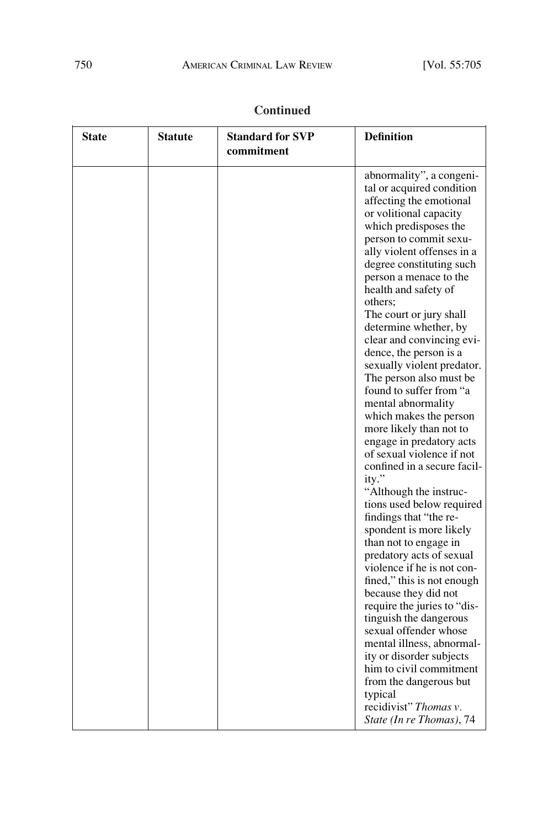| <b>State</b> | <b>Statute</b> | <b>Standard for SVP</b><br>commitment | <b>Definition</b>                                                                                                                                                                                                                                                                                                                                                                                                                                                                                                                                                                                                                                                                                                                                                                                                                                                                                                                                                                                                                                               |
|--------------|----------------|---------------------------------------|-----------------------------------------------------------------------------------------------------------------------------------------------------------------------------------------------------------------------------------------------------------------------------------------------------------------------------------------------------------------------------------------------------------------------------------------------------------------------------------------------------------------------------------------------------------------------------------------------------------------------------------------------------------------------------------------------------------------------------------------------------------------------------------------------------------------------------------------------------------------------------------------------------------------------------------------------------------------------------------------------------------------------------------------------------------------|
|              |                |                                       | abnormality", a congeni-<br>tal or acquired condition<br>affecting the emotional<br>or volitional capacity<br>which predisposes the<br>person to commit sexu-<br>ally violent offenses in a<br>degree constituting such<br>person a menace to the<br>health and safety of<br>others;<br>The court or jury shall<br>determine whether, by<br>clear and convincing evi-<br>dence, the person is a<br>sexually violent predator.<br>The person also must be<br>found to suffer from "a<br>mental abnormality<br>which makes the person<br>more likely than not to<br>engage in predatory acts<br>of sexual violence if not<br>confined in a secure facil-<br>ity."<br>"Although the instruc-<br>tions used below required<br>findings that "the re-<br>spondent is more likely<br>than not to engage in<br>predatory acts of sexual<br>violence if he is not con-<br>fined," this is not enough<br>because they did not<br>require the juries to "dis-<br>tinguish the dangerous<br>sexual offender whose<br>mental illness, abnormal-<br>ity or disorder subjects |
|              |                |                                       | him to civil commitment                                                                                                                                                                                                                                                                                                                                                                                                                                                                                                                                                                                                                                                                                                                                                                                                                                                                                                                                                                                                                                         |

from the dangerous but

typical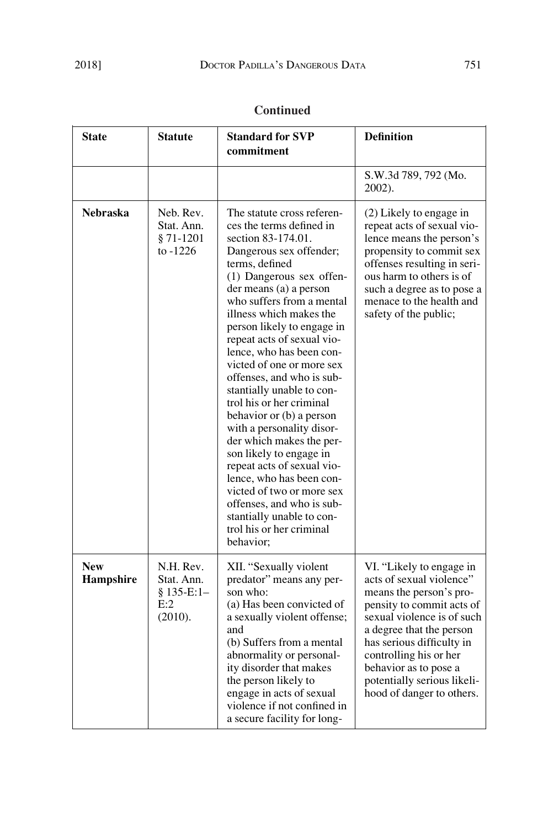| <b>State</b>            | <b>Statute</b>                                          | <b>Standard for SVP</b><br>commitment                                                                                                                                                                                                                                                                                                                                                                                                                                                                                                                                                                                                                                                                                                                        | <b>Definition</b>                                                                                                                                                                                                                                                                                                  |
|-------------------------|---------------------------------------------------------|--------------------------------------------------------------------------------------------------------------------------------------------------------------------------------------------------------------------------------------------------------------------------------------------------------------------------------------------------------------------------------------------------------------------------------------------------------------------------------------------------------------------------------------------------------------------------------------------------------------------------------------------------------------------------------------------------------------------------------------------------------------|--------------------------------------------------------------------------------------------------------------------------------------------------------------------------------------------------------------------------------------------------------------------------------------------------------------------|
|                         |                                                         |                                                                                                                                                                                                                                                                                                                                                                                                                                                                                                                                                                                                                                                                                                                                                              | S.W.3d 789, 792 (Mo.<br>2002).                                                                                                                                                                                                                                                                                     |
| <b>Nebraska</b>         | Neb. Rev.<br>Stat. Ann.<br>$§ 71-1201$<br>to $-1226$    | The statute cross referen-<br>ces the terms defined in<br>section 83-174.01.<br>Dangerous sex offender;<br>terms, defined<br>(1) Dangerous sex offen-<br>der means (a) a person<br>who suffers from a mental<br>illness which makes the<br>person likely to engage in<br>repeat acts of sexual vio-<br>lence, who has been con-<br>victed of one or more sex<br>offenses, and who is sub-<br>stantially unable to con-<br>trol his or her criminal<br>behavior or (b) a person<br>with a personality disor-<br>der which makes the per-<br>son likely to engage in<br>repeat acts of sexual vio-<br>lence, who has been con-<br>victed of two or more sex<br>offenses, and who is sub-<br>stantially unable to con-<br>trol his or her criminal<br>behavior; | (2) Likely to engage in<br>repeat acts of sexual vio-<br>lence means the person's<br>propensity to commit sex<br>offenses resulting in seri-<br>ous harm to others is of<br>such a degree as to pose a<br>menace to the health and<br>safety of the public;                                                        |
| <b>New</b><br>Hampshire | N.H. Rev.<br>Stat. Ann.<br>§ 135-E:1-<br>E:2<br>(2010). | XII. "Sexually violent<br>predator" means any per-<br>son who:<br>(a) Has been convicted of<br>a sexually violent offense;<br>and<br>(b) Suffers from a mental<br>abnormality or personal-<br>ity disorder that makes<br>the person likely to<br>engage in acts of sexual<br>violence if not confined in<br>a secure facility for long-                                                                                                                                                                                                                                                                                                                                                                                                                      | VI. "Likely to engage in<br>acts of sexual violence"<br>means the person's pro-<br>pensity to commit acts of<br>sexual violence is of such<br>a degree that the person<br>has serious difficulty in<br>controlling his or her<br>behavior as to pose a<br>potentially serious likeli-<br>hood of danger to others. |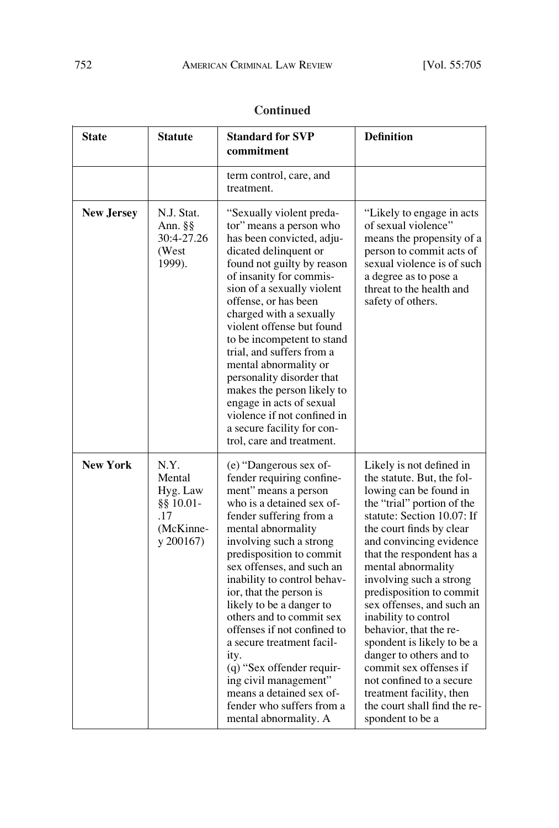| <b>State</b>      | <b>Statute</b>                                                              | <b>Standard for SVP</b><br>commitment                                                                                                                                                                                                                                                                                                                                                                                                                                                                                                                                       | <b>Definition</b>                                                                                                                                                                                                                                                                                                                                                                                                                                                                                                                                                                           |
|-------------------|-----------------------------------------------------------------------------|-----------------------------------------------------------------------------------------------------------------------------------------------------------------------------------------------------------------------------------------------------------------------------------------------------------------------------------------------------------------------------------------------------------------------------------------------------------------------------------------------------------------------------------------------------------------------------|---------------------------------------------------------------------------------------------------------------------------------------------------------------------------------------------------------------------------------------------------------------------------------------------------------------------------------------------------------------------------------------------------------------------------------------------------------------------------------------------------------------------------------------------------------------------------------------------|
|                   |                                                                             | term control, care, and<br>treatment.                                                                                                                                                                                                                                                                                                                                                                                                                                                                                                                                       |                                                                                                                                                                                                                                                                                                                                                                                                                                                                                                                                                                                             |
| <b>New Jersey</b> | N.J. Stat.<br>Ann. §§<br>30:4-27.26<br>(West<br>1999).                      | "Sexually violent preda-<br>tor" means a person who<br>has been convicted, adju-<br>dicated delinquent or<br>found not guilty by reason<br>of insanity for commis-<br>sion of a sexually violent<br>offense, or has been<br>charged with a sexually<br>violent offense but found<br>to be incompetent to stand<br>trial, and suffers from a<br>mental abnormality or<br>personality disorder that<br>makes the person likely to<br>engage in acts of sexual<br>violence if not confined in<br>a secure facility for con-<br>trol, care and treatment.                       | "Likely to engage in acts"<br>of sexual violence"<br>means the propensity of a<br>person to commit acts of<br>sexual violence is of such<br>a degree as to pose a<br>threat to the health and<br>safety of others.                                                                                                                                                                                                                                                                                                                                                                          |
| <b>New York</b>   | N.Y.<br>Mental<br>Hyg. Law<br>$§$ § 10.01-<br>.17<br>(McKinne-<br>y 200167) | (e) "Dangerous sex of-<br>fender requiring confine-<br>ment" means a person<br>who is a detained sex of-<br>fender suffering from a<br>mental abnormality<br>involving such a strong<br>predisposition to commit<br>sex offenses, and such an<br>inability to control behav-<br>ior, that the person is<br>likely to be a danger to<br>others and to commit sex<br>offenses if not confined to<br>a secure treatment facil-<br>ity.<br>(q) "Sex offender requir-<br>ing civil management"<br>means a detained sex of-<br>fender who suffers from a<br>mental abnormality. A | Likely is not defined in<br>the statute. But, the fol-<br>lowing can be found in<br>the "trial" portion of the<br>statute: Section 10.07: If<br>the court finds by clear<br>and convincing evidence<br>that the respondent has a<br>mental abnormality<br>involving such a strong<br>predisposition to commit<br>sex offenses, and such an<br>inability to control<br>behavior, that the re-<br>spondent is likely to be a<br>danger to others and to<br>commit sex offenses if<br>not confined to a secure<br>treatment facility, then<br>the court shall find the re-<br>spondent to be a |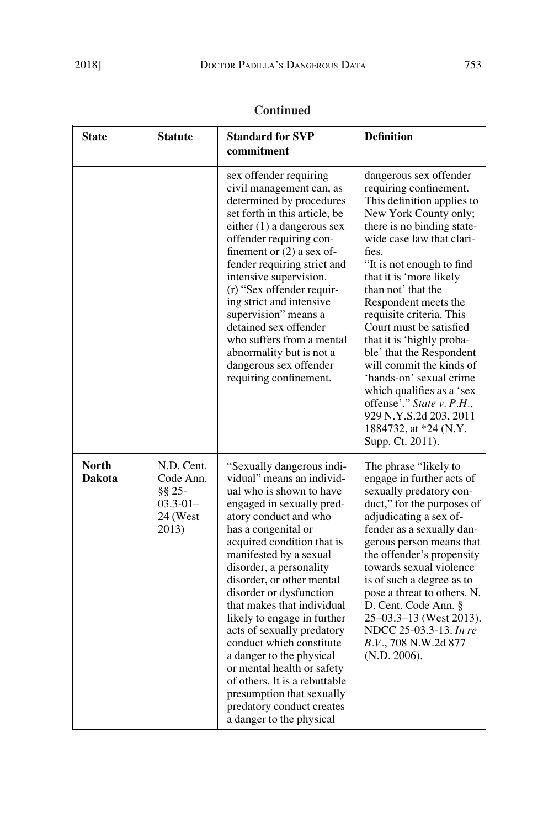| <b>Continued</b> |  |
|------------------|--|
|                  |  |

| <b>State</b>                  | <b>Statute</b>                                                               | <b>Standard for SVP</b><br>commitment                                                                                                                                                                                                                                                                                                                                                                                                                                                                                                                                                                              | <b>Definition</b>                                                                                                                                                                                                                                                                                                                                                                                                                                                                                                                                                                         |
|-------------------------------|------------------------------------------------------------------------------|--------------------------------------------------------------------------------------------------------------------------------------------------------------------------------------------------------------------------------------------------------------------------------------------------------------------------------------------------------------------------------------------------------------------------------------------------------------------------------------------------------------------------------------------------------------------------------------------------------------------|-------------------------------------------------------------------------------------------------------------------------------------------------------------------------------------------------------------------------------------------------------------------------------------------------------------------------------------------------------------------------------------------------------------------------------------------------------------------------------------------------------------------------------------------------------------------------------------------|
|                               |                                                                              | sex offender requiring<br>civil management can, as<br>determined by procedures<br>set forth in this article, be<br>either $(1)$ a dangerous sex<br>offender requiring con-<br>finement or $(2)$ a sex of-<br>fender requiring strict and<br>intensive supervision.<br>(r) "Sex offender requir-<br>ing strict and intensive<br>supervision" means a<br>detained sex offender<br>who suffers from a mental<br>abnormality but is not a<br>dangerous sex offender<br>requiring confinement.                                                                                                                          | dangerous sex offender<br>requiring confinement.<br>This definition applies to<br>New York County only;<br>there is no binding state-<br>wide case law that clari-<br>fies.<br>"It is not enough to find<br>that it is 'more likely<br>than not' that the<br>Respondent meets the<br>requisite criteria. This<br>Court must be satisfied<br>that it is 'highly proba-<br>ble' that the Respondent<br>will commit the kinds of<br>'hands-on' sexual crime<br>which qualifies as a 'sex<br>offense'." State v. P.H.,<br>929 N.Y.S.2d 203, 2011<br>1884732, at *24 (N.Y.<br>Supp. Ct. 2011). |
| <b>North</b><br><b>Dakota</b> | N.D. Cent.<br>Code Ann.<br>$\S\S 25$ -<br>$03.3 - 01 -$<br>24 (West<br>2013) | "Sexually dangerous indi-<br>vidual" means an individ-<br>ual who is shown to have<br>engaged in sexually pred-<br>atory conduct and who<br>has a congenital or<br>acquired condition that is<br>manifested by a sexual<br>disorder, a personality<br>disorder, or other mental<br>disorder or dysfunction<br>that makes that individual<br>likely to engage in further<br>acts of sexually predatory<br>conduct which constitute<br>a danger to the physical<br>or mental health or safety<br>of others. It is a rebuttable<br>presumption that sexually<br>predatory conduct creates<br>a danger to the physical | The phrase "likely to<br>engage in further acts of<br>sexually predatory con-<br>duct," for the purposes of<br>adjudicating a sex of-<br>fender as a sexually dan-<br>gerous person means that<br>the offender's propensity<br>towards sexual violence<br>is of such a degree as to<br>pose a threat to others. N.<br>D. Cent. Code Ann. §<br>$25-03.3-13$ (West 2013).<br>NDCC 25-03.3-13. In re<br><i>B.V.</i> , 708 N.W.2d 877<br>(N.D. 2006).                                                                                                                                         |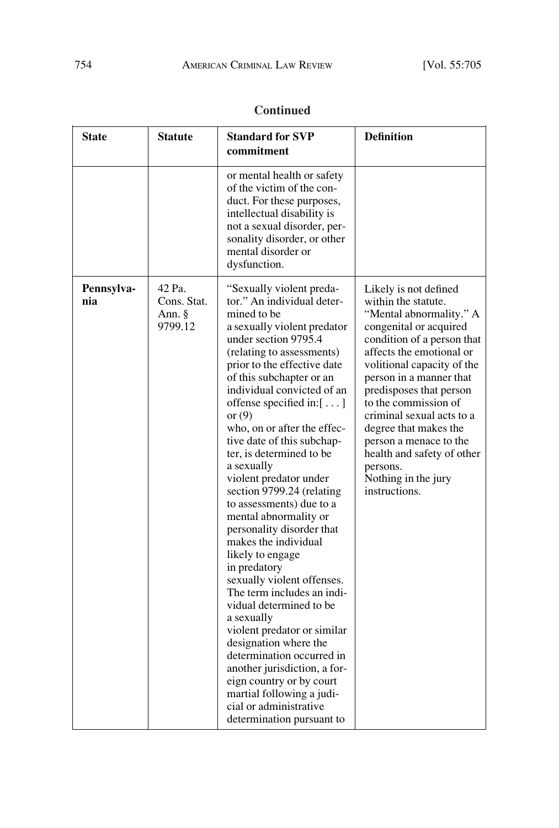| <b>State</b>      | <b>Statute</b>                             | <b>Standard for SVP</b><br>commitment                                                                                                                                                                                                                                                                                                                                                                                                                                                                                                                                                                                                                                                                                                                                                                                                                                                                                                                     | <b>Definition</b>                                                                                                                                                                                                                                                                                                                                                                                                                         |
|-------------------|--------------------------------------------|-----------------------------------------------------------------------------------------------------------------------------------------------------------------------------------------------------------------------------------------------------------------------------------------------------------------------------------------------------------------------------------------------------------------------------------------------------------------------------------------------------------------------------------------------------------------------------------------------------------------------------------------------------------------------------------------------------------------------------------------------------------------------------------------------------------------------------------------------------------------------------------------------------------------------------------------------------------|-------------------------------------------------------------------------------------------------------------------------------------------------------------------------------------------------------------------------------------------------------------------------------------------------------------------------------------------------------------------------------------------------------------------------------------------|
|                   |                                            | or mental health or safety<br>of the victim of the con-<br>duct. For these purposes,<br>intellectual disability is<br>not a sexual disorder, per-<br>sonality disorder, or other<br>mental disorder or<br>dysfunction.                                                                                                                                                                                                                                                                                                                                                                                                                                                                                                                                                                                                                                                                                                                                    |                                                                                                                                                                                                                                                                                                                                                                                                                                           |
| Pennsylva-<br>nia | 42 Pa.<br>Cons. Stat.<br>Ann. §<br>9799.12 | "Sexually violent preda-<br>tor." An individual deter-<br>mined to be<br>a sexually violent predator<br>under section 9795.4<br>(relating to assessments)<br>prior to the effective date<br>of this subchapter or an<br>individual convicted of an<br>offense specified in: $[ \dots ]$<br>or $(9)$<br>who, on or after the effec-<br>tive date of this subchap-<br>ter, is determined to be<br>a sexually<br>violent predator under<br>section 9799.24 (relating<br>to assessments) due to a<br>mental abnormality or<br>personality disorder that<br>makes the individual<br>likely to engage<br>in predatory<br>sexually violent offenses.<br>The term includes an indi-<br>vidual determined to be<br>a sexually<br>violent predator or similar<br>designation where the<br>determination occurred in<br>another jurisdiction, a for-<br>eign country or by court<br>martial following a judi-<br>cial or administrative<br>determination pursuant to | Likely is not defined<br>within the statute.<br>"Mental abnormality." A<br>congenital or acquired<br>condition of a person that<br>affects the emotional or<br>volitional capacity of the<br>person in a manner that<br>predisposes that person<br>to the commission of<br>criminal sexual acts to a<br>degree that makes the<br>person a menace to the<br>health and safety of other<br>persons.<br>Nothing in the jury<br>instructions. |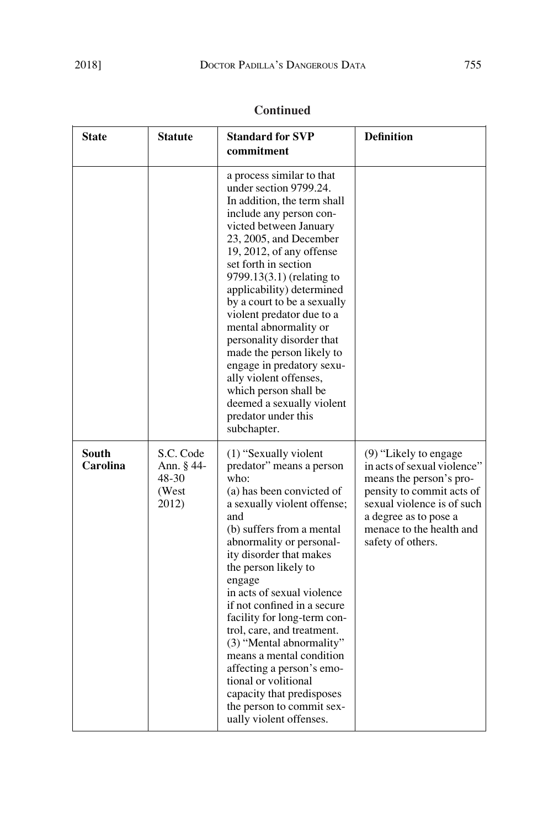| <b>State</b>             | <b>Statute</b>                                     | <b>Standard for SVP</b><br>commitment                                                                                                                                                                                                                                                                                                                                                                                                                                                                                                                                             | <b>Definition</b>                                                                                                                                                                                                       |
|--------------------------|----------------------------------------------------|-----------------------------------------------------------------------------------------------------------------------------------------------------------------------------------------------------------------------------------------------------------------------------------------------------------------------------------------------------------------------------------------------------------------------------------------------------------------------------------------------------------------------------------------------------------------------------------|-------------------------------------------------------------------------------------------------------------------------------------------------------------------------------------------------------------------------|
|                          |                                                    | a process similar to that<br>under section 9799.24.<br>In addition, the term shall<br>include any person con-<br>victed between January<br>23, 2005, and December<br>19, 2012, of any offense<br>set forth in section<br>9799.13(3.1) (relating to<br>applicability) determined<br>by a court to be a sexually<br>violent predator due to a<br>mental abnormality or<br>personality disorder that<br>made the person likely to<br>engage in predatory sexu-<br>ally violent offenses,<br>which person shall be<br>deemed a sexually violent<br>predator under this<br>subchapter. |                                                                                                                                                                                                                         |
| <b>South</b><br>Carolina | S.C. Code<br>Ann. § 44-<br>48-30<br>(West<br>2012) | (1) "Sexually violent"<br>predator" means a person<br>who:<br>(a) has been convicted of<br>a sexually violent offense;<br>and<br>(b) suffers from a mental<br>abnormality or personal-<br>ity disorder that makes<br>the person likely to<br>engage<br>in acts of sexual violence<br>if not confined in a secure<br>facility for long-term con-<br>trol, care, and treatment.<br>(3) "Mental abnormality"<br>means a mental condition<br>affecting a person's emo-<br>tional or volitional<br>capacity that predisposes<br>the person to commit sex-<br>ually violent offenses.   | $(9)$ "Likely to engage"<br>in acts of sexual violence"<br>means the person's pro-<br>pensity to commit acts of<br>sexual violence is of such<br>a degree as to pose a<br>menace to the health and<br>safety of others. |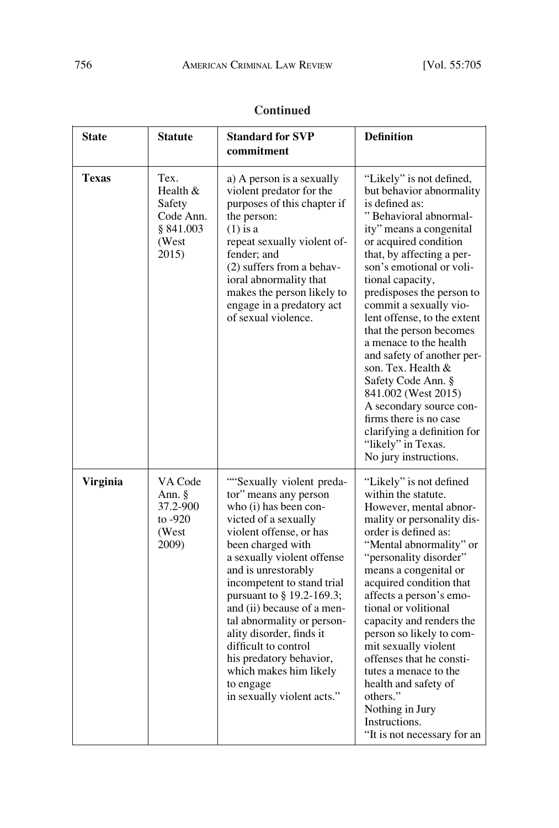| <b>State</b>    | <b>Statute</b>                                                         | <b>Standard for SVP</b><br>commitment                                                                                                                                                                                                                                                                                                                                                                                                                                              | <b>Definition</b>                                                                                                                                                                                                                                                                                                                                                                                                                                                                                                                                                                                               |
|-----------------|------------------------------------------------------------------------|------------------------------------------------------------------------------------------------------------------------------------------------------------------------------------------------------------------------------------------------------------------------------------------------------------------------------------------------------------------------------------------------------------------------------------------------------------------------------------|-----------------------------------------------------------------------------------------------------------------------------------------------------------------------------------------------------------------------------------------------------------------------------------------------------------------------------------------------------------------------------------------------------------------------------------------------------------------------------------------------------------------------------------------------------------------------------------------------------------------|
| <b>Texas</b>    | Tex.<br>Health &<br>Safety<br>Code Ann.<br>§ 841.003<br>(West<br>2015) | a) A person is a sexually<br>violent predator for the<br>purposes of this chapter if<br>the person:<br>$(1)$ is a<br>repeat sexually violent of-<br>fender; and<br>(2) suffers from a behav-<br>ioral abnormality that<br>makes the person likely to<br>engage in a predatory act<br>of sexual violence.                                                                                                                                                                           | "Likely" is not defined,<br>but behavior abnormality<br>is defined as:<br>"Behavioral abnormal-<br>ity" means a congenital<br>or acquired condition<br>that, by affecting a per-<br>son's emotional or voli-<br>tional capacity,<br>predisposes the person to<br>commit a sexually vio-<br>lent offense, to the extent<br>that the person becomes<br>a menace to the health<br>and safety of another per-<br>son. Tex. Health &<br>Safety Code Ann. §<br>841.002 (West 2015)<br>A secondary source con-<br>firms there is no case<br>clarifying a definition for<br>"likely" in Texas.<br>No jury instructions. |
| <b>Virginia</b> | VA Code<br>Ann. §<br>37.2-900<br>to $-920$<br>(West<br>2009)           | "Sexually violent preda-<br>tor" means any person<br>who (i) has been con-<br>victed of a sexually<br>violent offense, or has<br>been charged with<br>a sexually violent offense<br>and is unrestorably<br>incompetent to stand trial<br>pursuant to § 19.2-169.3;<br>and (ii) because of a men-<br>tal abnormality or person-<br>ality disorder, finds it<br>difficult to control<br>his predatory behavior,<br>which makes him likely<br>to engage<br>in sexually violent acts." | "Likely" is not defined<br>within the statute.<br>However, mental abnor-<br>mality or personality dis-<br>order is defined as:<br>"Mental abnormality" or<br>"personality disorder"<br>means a congenital or<br>acquired condition that<br>affects a person's emo-<br>tional or volitional<br>capacity and renders the<br>person so likely to com-<br>mit sexually violent<br>offenses that he consti-<br>tutes a menace to the<br>health and safety of<br>others."<br>Nothing in Jury<br>Instructions.<br>"It is not necessary for an                                                                          |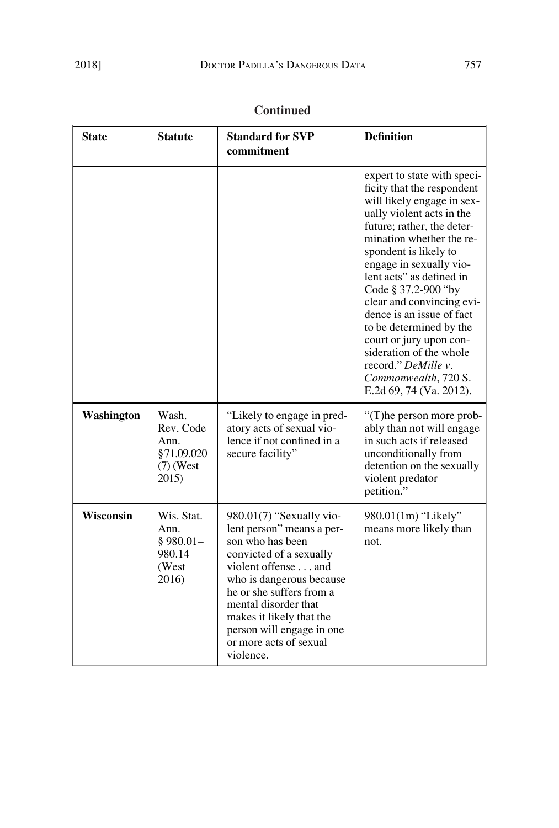| <b>State</b> | <b>Statute</b>                                                   | <b>Standard for SVP</b>                                                                                                                                                                                                                                                                                     | <b>Definition</b>                                                                                                                                                                                                                                                                                                                                                                                                                                                                                          |
|--------------|------------------------------------------------------------------|-------------------------------------------------------------------------------------------------------------------------------------------------------------------------------------------------------------------------------------------------------------------------------------------------------------|------------------------------------------------------------------------------------------------------------------------------------------------------------------------------------------------------------------------------------------------------------------------------------------------------------------------------------------------------------------------------------------------------------------------------------------------------------------------------------------------------------|
|              |                                                                  | commitment                                                                                                                                                                                                                                                                                                  |                                                                                                                                                                                                                                                                                                                                                                                                                                                                                                            |
|              |                                                                  |                                                                                                                                                                                                                                                                                                             | expert to state with speci-<br>ficity that the respondent<br>will likely engage in sex-<br>ually violent acts in the<br>future; rather, the deter-<br>mination whether the re-<br>spondent is likely to<br>engage in sexually vio-<br>lent acts" as defined in<br>Code § 37.2-900 "by<br>clear and convincing evi-<br>dence is an issue of fact<br>to be determined by the<br>court or jury upon con-<br>sideration of the whole<br>record." DeMille v.<br>Commonwealth, 720 S.<br>E.2d 69, 74 (Va. 2012). |
| Washington   | Wash.<br>Rev. Code<br>Ann.<br>§71.09.020<br>$(7)$ (West<br>2015) | "Likely to engage in pred-<br>atory acts of sexual vio-<br>lence if not confined in a<br>secure facility"                                                                                                                                                                                                   | "(T) he person more prob-<br>ably than not will engage<br>in such acts if released<br>unconditionally from<br>detention on the sexually<br>violent predator<br>petition."                                                                                                                                                                                                                                                                                                                                  |
| Wisconsin    | Wis. Stat.<br>Ann.<br>$§$ 980.01-<br>980.14<br>(West<br>2016)    | 980.01(7) "Sexually vio-<br>lent person" means a per-<br>son who has been<br>convicted of a sexually<br>violent offense and<br>who is dangerous because<br>he or she suffers from a<br>mental disorder that<br>makes it likely that the<br>person will engage in one<br>or more acts of sexual<br>violence. | 980.01(1m) "Likely"<br>means more likely than<br>not.                                                                                                                                                                                                                                                                                                                                                                                                                                                      |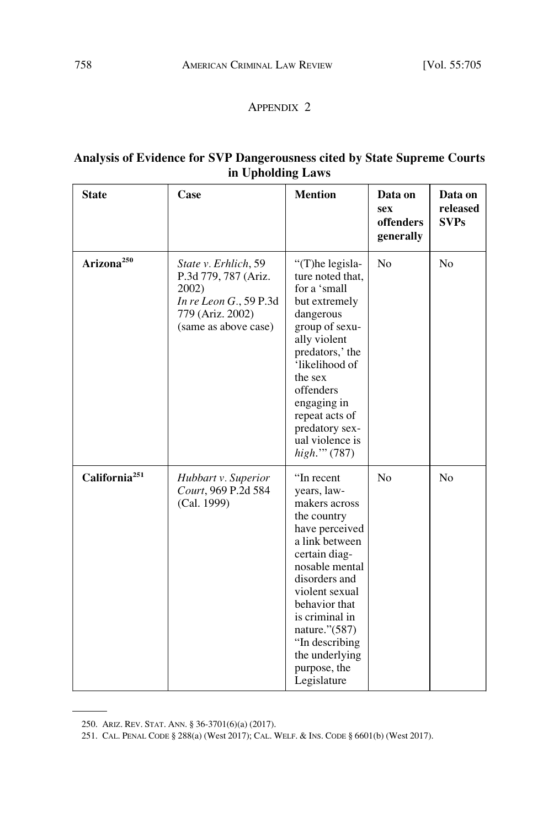### APPENDIX 2

#### **Analysis of Evidence for SVP Dangerousness cited by State Supreme Courts in Upholding Laws**

| <b>State</b>              | Case                                                                                                                        | <b>Mention</b>                                                                                                                                                                                                                                                                              | Data on<br><b>sex</b><br>offenders<br>generally | Data on<br>released<br><b>SVPs</b> |
|---------------------------|-----------------------------------------------------------------------------------------------------------------------------|---------------------------------------------------------------------------------------------------------------------------------------------------------------------------------------------------------------------------------------------------------------------------------------------|-------------------------------------------------|------------------------------------|
| Arizona <sup>250</sup>    | State v. Erhlich, 59<br>P.3d 779, 787 (Ariz.<br>2002)<br>In re Leon G., 59 P.3d<br>779 (Ariz. 2002)<br>(same as above case) | "(T)he legisla-<br>ture noted that,<br>for a 'small<br>but extremely<br>dangerous<br>group of sexu-<br>ally violent<br>predators,' the<br>'likelihood of<br>the sex<br>offenders<br>engaging in<br>repeat acts of<br>predatory sex-<br>ual violence is<br>high." (787)                      | N <sub>o</sub>                                  | No                                 |
| California <sup>251</sup> | Hubbart v. Superior<br>Court, 969 P.2d 584<br>(Cal. 1999)                                                                   | "In recent"<br>years, law-<br>makers across<br>the country<br>have perceived<br>a link between<br>certain diag-<br>nosable mental<br>disorders and<br>violent sexual<br>behavior that<br>is criminal in<br>nature."(587)<br>"In describing<br>the underlying<br>purpose, the<br>Legislature | N <sub>o</sub>                                  | N <sub>o</sub>                     |

<sup>250.</sup> ARIZ. REV. STAT. ANN. § 36-3701(6)(a) (2017).

<sup>251.</sup> CAL. PENAL CODE § 288(a) (West 2017); CAL. WELF. & INS. CODE § 6601(b) (West 2017).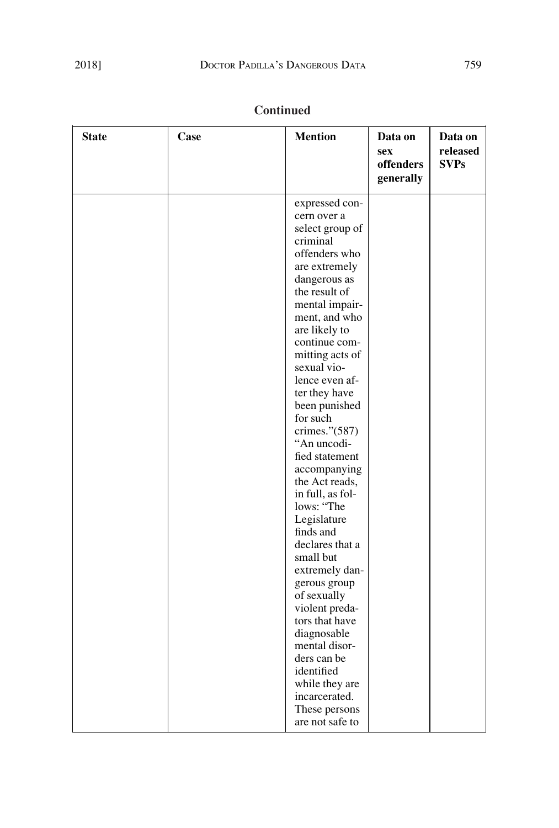| <b>State</b> | Case | <b>Mention</b>            | Data on<br><b>sex</b><br>offenders<br>generally | Data on<br>released<br><b>SVPs</b> |
|--------------|------|---------------------------|-------------------------------------------------|------------------------------------|
|              |      | expressed con-            |                                                 |                                    |
|              |      | cern over a               |                                                 |                                    |
|              |      | select group of           |                                                 |                                    |
|              |      | criminal                  |                                                 |                                    |
|              |      | offenders who             |                                                 |                                    |
|              |      | are extremely             |                                                 |                                    |
|              |      | dangerous as              |                                                 |                                    |
|              |      | the result of             |                                                 |                                    |
|              |      | mental impair-            |                                                 |                                    |
|              |      | ment, and who             |                                                 |                                    |
|              |      | are likely to             |                                                 |                                    |
|              |      | continue com-             |                                                 |                                    |
|              |      | mitting acts of           |                                                 |                                    |
|              |      | sexual vio-               |                                                 |                                    |
|              |      | lence even af-            |                                                 |                                    |
|              |      | ter they have             |                                                 |                                    |
|              |      | been punished<br>for such |                                                 |                                    |
|              |      | crimes."(587)             |                                                 |                                    |
|              |      | "An uncodi-               |                                                 |                                    |
|              |      | fied statement            |                                                 |                                    |
|              |      | accompanying              |                                                 |                                    |
|              |      | the Act reads,            |                                                 |                                    |
|              |      | in full, as fol-          |                                                 |                                    |
|              |      | lows: "The                |                                                 |                                    |
|              |      | Legislature               |                                                 |                                    |
|              |      | finds and                 |                                                 |                                    |
|              |      | declares that a           |                                                 |                                    |
|              |      | small but                 |                                                 |                                    |
|              |      | extremely dan-            |                                                 |                                    |
|              |      | gerous group              |                                                 |                                    |
|              |      | of sexually               |                                                 |                                    |
|              |      | violent preda-            |                                                 |                                    |
|              |      | tors that have            |                                                 |                                    |
|              |      | diagnosable               |                                                 |                                    |
|              |      | mental disor-             |                                                 |                                    |
|              |      | ders can be               |                                                 |                                    |
|              |      | identified                |                                                 |                                    |
|              |      | while they are            |                                                 |                                    |
|              |      | incarcerated.             |                                                 |                                    |
|              |      | These persons             |                                                 |                                    |
|              |      | are not safe to           |                                                 |                                    |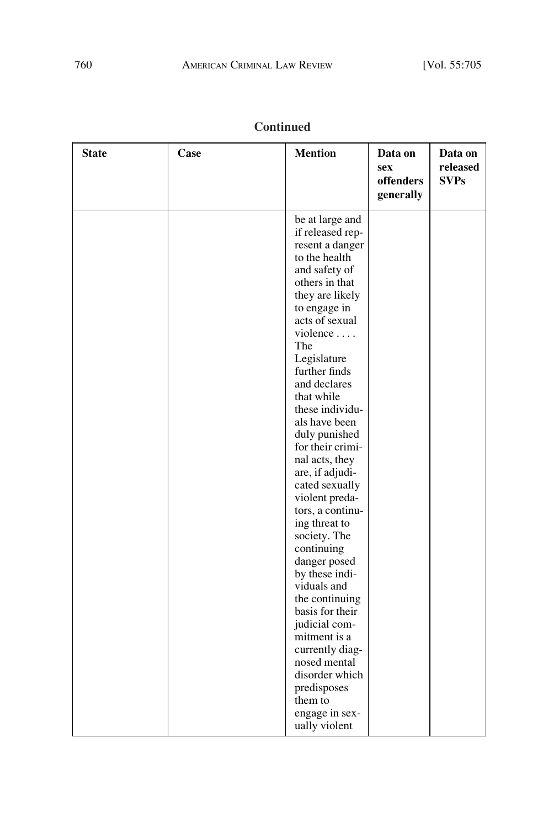| <b>State</b> | Case | <b>Mention</b>                                                                                                                                                                                                                                                                                                                                                                                                                                                                                                                                                                                                                                                              | Data on<br><b>sex</b><br>offenders<br>generally | Data on<br>released<br><b>SVPs</b> |
|--------------|------|-----------------------------------------------------------------------------------------------------------------------------------------------------------------------------------------------------------------------------------------------------------------------------------------------------------------------------------------------------------------------------------------------------------------------------------------------------------------------------------------------------------------------------------------------------------------------------------------------------------------------------------------------------------------------------|-------------------------------------------------|------------------------------------|
|              |      | be at large and<br>if released rep-<br>resent a danger<br>to the health<br>and safety of<br>others in that<br>they are likely<br>to engage in<br>acts of sexual<br>violence<br>The<br>Legislature<br>further finds<br>and declares<br>that while<br>these individu-<br>als have been<br>duly punished<br>for their crimi-<br>nal acts, they<br>are, if adjudi-<br>cated sexually<br>violent preda-<br>tors, a continu-<br>ing threat to<br>society. The<br>continuing<br>danger posed<br>by these indi-<br>viduals and<br>the continuing<br>basis for their<br>judicial com-<br>mitment is a<br>currently diag-<br>nosed mental<br>disorder which<br>predisposes<br>them to |                                                 |                                    |
|              |      | engage in sex-<br>ually violent                                                                                                                                                                                                                                                                                                                                                                                                                                                                                                                                                                                                                                             |                                                 |                                    |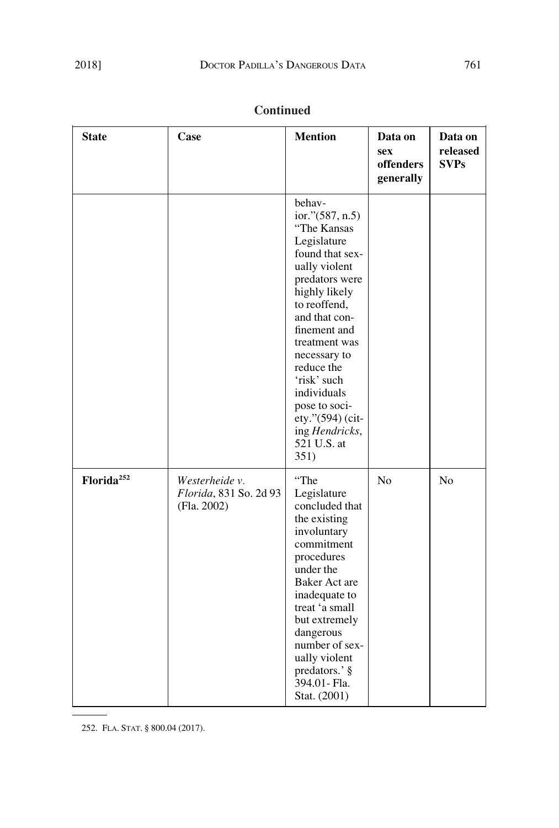| <b>State</b>           | Case                                                    | <b>Mention</b>                                                                                                                                                                                                                                                                                                                             | Data on<br>sex<br>offenders<br>generally | Data on<br>released<br><b>SVPs</b> |
|------------------------|---------------------------------------------------------|--------------------------------------------------------------------------------------------------------------------------------------------------------------------------------------------------------------------------------------------------------------------------------------------------------------------------------------------|------------------------------------------|------------------------------------|
|                        |                                                         | behav-<br>ior."(587, n.5)<br>"The Kansas<br>Legislature<br>found that sex-<br>ually violent<br>predators were<br>highly likely<br>to reoffend,<br>and that con-<br>finement and<br>treatment was<br>necessary to<br>reduce the<br>'risk' such<br>individuals<br>pose to soci-<br>ety."(594) (cit-<br>ing Hendricks,<br>521 U.S. at<br>351) |                                          |                                    |
| Florida <sup>252</sup> | Westerheide v.<br>Florida, 831 So. 2d 93<br>(Fla. 2002) | "The<br>Legislature<br>concluded that<br>the existing<br>involuntary<br>commitment<br>procedures<br>under the<br>Baker Act are<br>inadequate to<br>treat 'a small<br>but extremely<br>dangerous<br>number of sex-<br>ually violent<br>predators.' §<br>394.01- Fla.<br>Stat. (2001)                                                        | N <sub>o</sub>                           | N <sub>o</sub>                     |

252. FLA. STAT. § 800.04 (2017).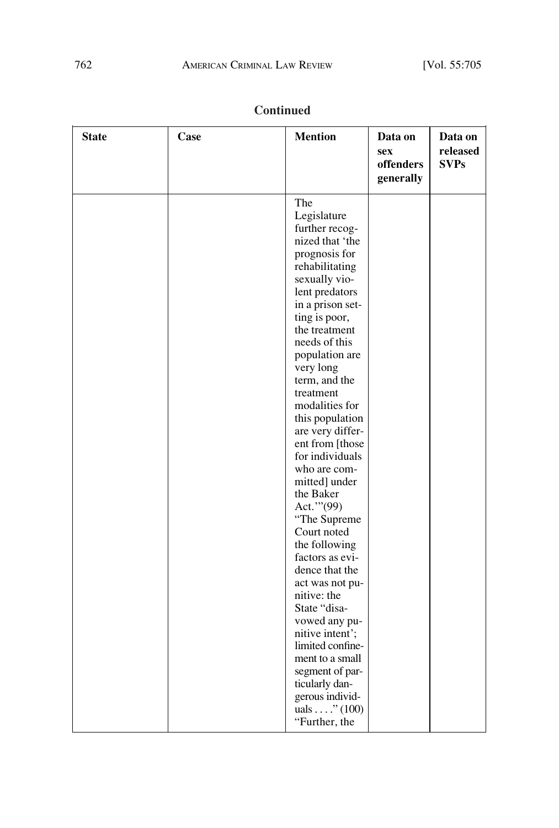$\overline{\phantom{0}}$ 

| <b>State</b> | Case | <b>Mention</b>                                                                                                                                                                                                                                                                                                                                                                                                                                                                                                                                                                       | Data on<br>sex<br>offenders<br>generally | Data on<br>released<br><b>SVPs</b> |
|--------------|------|--------------------------------------------------------------------------------------------------------------------------------------------------------------------------------------------------------------------------------------------------------------------------------------------------------------------------------------------------------------------------------------------------------------------------------------------------------------------------------------------------------------------------------------------------------------------------------------|------------------------------------------|------------------------------------|
|              |      | The<br>Legislature<br>further recog-<br>nized that 'the<br>prognosis for<br>rehabilitating<br>sexually vio-<br>lent predators<br>in a prison set-<br>ting is poor,<br>the treatment<br>needs of this<br>population are<br>very long<br>term, and the<br>treatment<br>modalities for<br>this population<br>are very differ-<br>ent from [those<br>for individuals<br>who are com-<br>mitted] under<br>the Baker<br>Act." (99)<br>"The Supreme<br>Court noted<br>the following<br>factors as evi-<br>dence that the<br>act was not pu-<br>nitive: the<br>State "disa-<br>vowed any pu- |                                          |                                    |
|              |      | nitive intent';<br>limited confine-<br>ment to a small<br>segment of par-<br>ticularly dan-<br>gerous individ-<br>uals $\ldots$ ." (100)<br>"Further, the                                                                                                                                                                                                                                                                                                                                                                                                                            |                                          |                                    |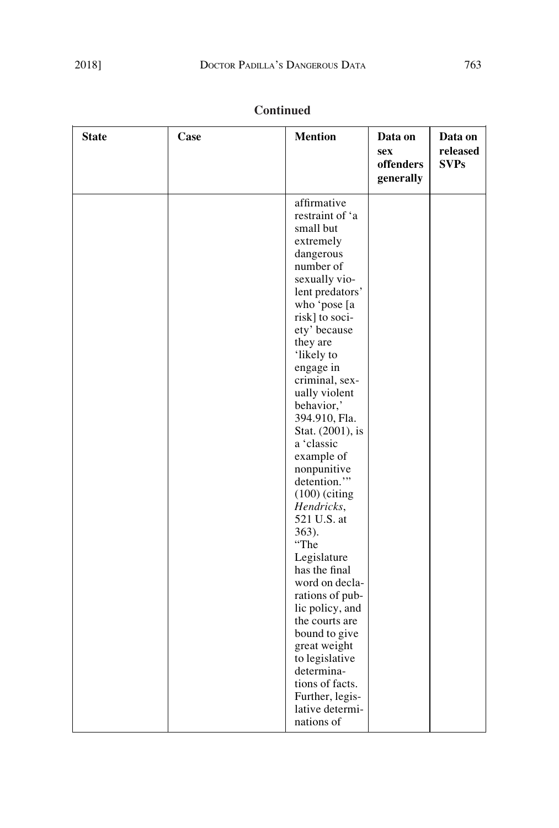| <b>State</b> | Case | <b>Mention</b>                                                                                                                                                                                                                                                                                                                                                                                                                                                                                                                                                                                                                                                       | Data on<br><b>sex</b><br>offenders<br>generally | Data on<br>released<br><b>SVPs</b> |
|--------------|------|----------------------------------------------------------------------------------------------------------------------------------------------------------------------------------------------------------------------------------------------------------------------------------------------------------------------------------------------------------------------------------------------------------------------------------------------------------------------------------------------------------------------------------------------------------------------------------------------------------------------------------------------------------------------|-------------------------------------------------|------------------------------------|
|              |      | affirmative<br>restraint of 'a<br>small but<br>extremely<br>dangerous<br>number of<br>sexually vio-<br>lent predators'<br>who 'pose [a<br>risk] to soci-<br>ety' because<br>they are<br>'likely to<br>engage in<br>criminal, sex-<br>ually violent<br>behavior,'<br>394.910, Fla.<br>Stat. (2001), is<br>a 'classic<br>example of<br>nonpunitive<br>detention."<br>$(100)$ (citing<br>Hendricks,<br>521 U.S. at<br>363).<br>"The<br>Legislature<br>has the final<br>word on decla-<br>rations of pub-<br>lic policy, and<br>the courts are<br>bound to give<br>great weight<br>to legislative<br>determina-<br>tions of facts.<br>Further, legis-<br>lative determi- |                                                 |                                    |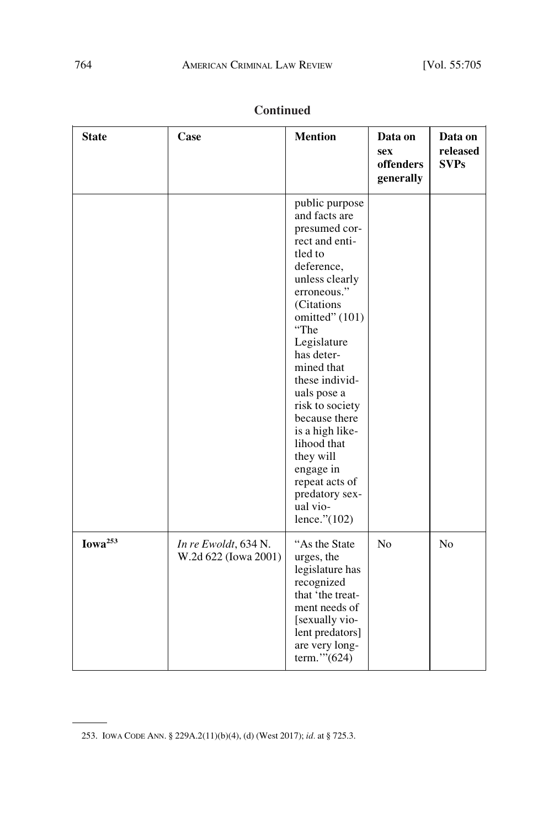| <b>State</b>        | Case                                         | <b>Mention</b>                                                                                                                                                                                                                                                                                                                                                                                                      | Data on<br><b>sex</b><br>offenders<br>generally | Data on<br>released<br><b>SVPs</b> |
|---------------------|----------------------------------------------|---------------------------------------------------------------------------------------------------------------------------------------------------------------------------------------------------------------------------------------------------------------------------------------------------------------------------------------------------------------------------------------------------------------------|-------------------------------------------------|------------------------------------|
|                     |                                              | public purpose<br>and facts are<br>presumed cor-<br>rect and enti-<br>tled to<br>deference,<br>unless clearly<br>erroneous."<br>(Citations<br>omitted" (101)<br>"The<br>Legislature<br>has deter-<br>mined that<br>these individ-<br>uals pose a<br>risk to society<br>because there<br>is a high like-<br>lihood that<br>they will<br>engage in<br>repeat acts of<br>predatory sex-<br>ual vio-<br>lence." $(102)$ |                                                 |                                    |
| Iowa <sup>253</sup> | In re Ewoldt, 634 N.<br>W.2d 622 (Iowa 2001) | "As the State"<br>urges, the<br>legislature has<br>recognized<br>that 'the treat-<br>ment needs of<br>[sexually vio-<br>lent predators]<br>are very long-<br>term." $(624)$                                                                                                                                                                                                                                         | N <sub>o</sub>                                  | N <sub>o</sub>                     |

<sup>253.</sup> IOWA CODE ANN. § 229A.2(11)(b)(4), (d) (West 2017); *id.* at § 725.3.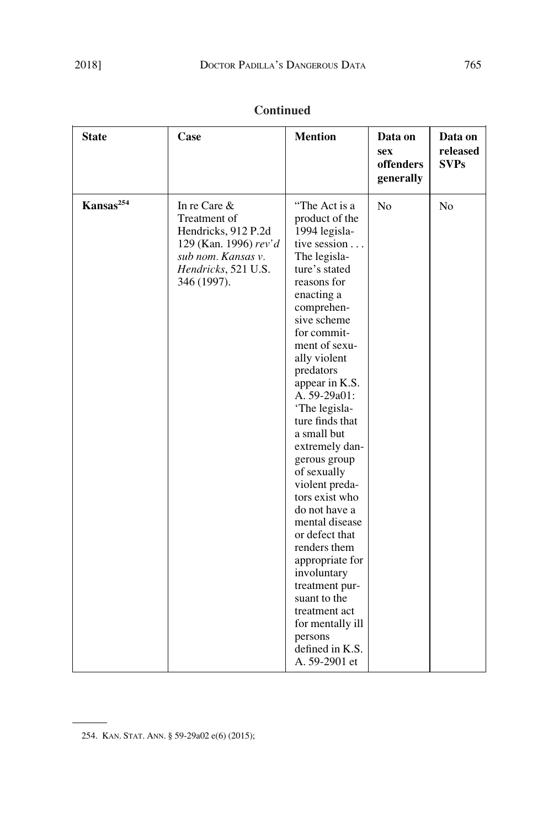| <b>State</b>          | Case                                                                                                                                        | <b>Mention</b>                                                                                                                                                                                                                                                                                                                                                                                                                                                                                                                                                                                                                  | Data on<br><b>sex</b><br>offenders<br>generally | Data on<br>released<br><b>SVPs</b> |
|-----------------------|---------------------------------------------------------------------------------------------------------------------------------------------|---------------------------------------------------------------------------------------------------------------------------------------------------------------------------------------------------------------------------------------------------------------------------------------------------------------------------------------------------------------------------------------------------------------------------------------------------------------------------------------------------------------------------------------------------------------------------------------------------------------------------------|-------------------------------------------------|------------------------------------|
| Kansas <sup>254</sup> | In re Care $\&$<br>Treatment of<br>Hendricks, 912 P.2d<br>129 (Kan. 1996) rev'd<br>sub nom. Kansas v.<br>Hendricks, 521 U.S.<br>346 (1997). | "The Act is a<br>product of the<br>1994 legisla-<br>tive session<br>The legisla-<br>ture's stated<br>reasons for<br>enacting a<br>comprehen-<br>sive scheme<br>for commit-<br>ment of sexu-<br>ally violent<br>predators<br>appear in K.S.<br>A. 59-29a01:<br>'The legisla-<br>ture finds that<br>a small but<br>extremely dan-<br>gerous group<br>of sexually<br>violent preda-<br>tors exist who<br>do not have a<br>mental disease<br>or defect that<br>renders them<br>appropriate for<br>involuntary<br>treatment pur-<br>suant to the<br>treatment act<br>for mentally ill<br>persons<br>defined in K.S.<br>A. 59-2901 et | N <sub>o</sub>                                  | N <sub>o</sub>                     |

 $\overline{\phantom{a}}$ 

<sup>254.</sup> KAN. STAT. ANN. § 59-29a02 e(6) (2015);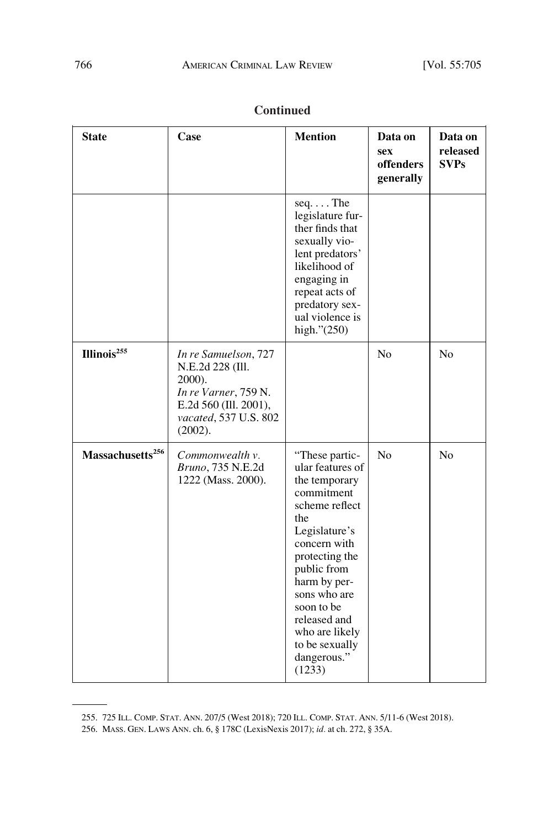| <b>State</b>                 | Case                                                                                                                                    | <b>Mention</b>                                                                                                                                                                                                                                                                          | Data on<br><b>sex</b><br>offenders<br>generally | Data on<br>released<br><b>SVPs</b> |
|------------------------------|-----------------------------------------------------------------------------------------------------------------------------------------|-----------------------------------------------------------------------------------------------------------------------------------------------------------------------------------------------------------------------------------------------------------------------------------------|-------------------------------------------------|------------------------------------|
|                              |                                                                                                                                         | $seq. \ldots$ The<br>legislature fur-<br>ther finds that<br>sexually vio-<br>lent predators'<br>likelihood of<br>engaging in<br>repeat acts of<br>predatory sex-<br>ual violence is<br>high." $(250)$                                                                                   |                                                 |                                    |
| Illinois <sup>255</sup>      | In re Samuelson, 727<br>N.E.2d 228 (Ill.<br>2000).<br>In re Varner, 759 N.<br>E.2d 560 (Ill. 2001),<br>vacated, 537 U.S. 802<br>(2002). |                                                                                                                                                                                                                                                                                         | N <sub>o</sub>                                  | No                                 |
| Massachusetts <sup>256</sup> | Commonwealth v.<br>Bruno, 735 N.E.2d<br>1222 (Mass. 2000).                                                                              | "These partic-<br>ular features of<br>the temporary<br>commitment<br>scheme reflect<br>the<br>Legislature's<br>concern with<br>protecting the<br>public from<br>harm by per-<br>sons who are<br>soon to be<br>released and<br>who are likely<br>to be sexually<br>dangerous."<br>(1233) | N <sub>o</sub>                                  | N <sub>o</sub>                     |

<sup>255. 725</sup> ILL. COMP. STAT. ANN. 207/5 (West 2018); 720 ILL. COMP. STAT. ANN. 5/11-6 (West 2018).

<sup>256.</sup> MASS. GEN. LAWS ANN. ch. 6, § 178C (LexisNexis 2017); *id.* at ch. 272, § 35A.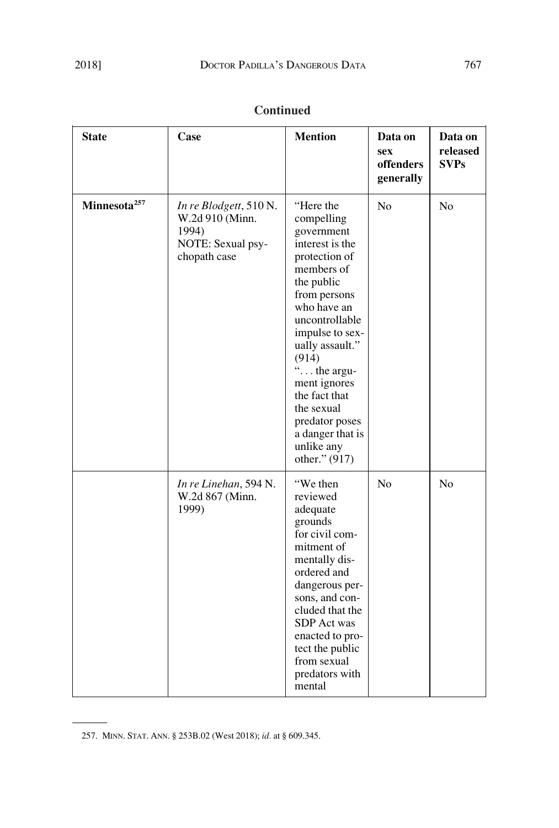| <b>State</b>             | Case                                                                                    | <b>Mention</b>                                                                                                                                                                                                                                                                                                                           | Data on<br>sex<br>offenders<br>generally | Data on<br>released<br><b>SVPs</b> |
|--------------------------|-----------------------------------------------------------------------------------------|------------------------------------------------------------------------------------------------------------------------------------------------------------------------------------------------------------------------------------------------------------------------------------------------------------------------------------------|------------------------------------------|------------------------------------|
| Minnesota <sup>257</sup> | In re Blodgett, 510 N.<br>W.2d 910 (Minn.<br>1994)<br>NOTE: Sexual psy-<br>chopath case | "Here the<br>compelling<br>government<br>interest is the<br>protection of<br>members of<br>the public<br>from persons<br>who have an<br>uncontrollable<br>impulse to sex-<br>ually assault."<br>(914)<br>" the argu-<br>ment ignores<br>the fact that<br>the sexual<br>predator poses<br>a danger that is<br>unlike any<br>other." (917) | No                                       | N <sub>o</sub>                     |
|                          | In re Linehan, 594 N.<br>W.2d 867 (Minn.<br>1999)                                       | "We then<br>reviewed<br>adequate<br>grounds<br>for civil com-<br>mitment of<br>mentally dis-<br>ordered and<br>dangerous per-<br>sons, and con-<br>cluded that the<br>SDP Act was<br>enacted to pro-<br>tect the public<br>from sexual<br>predators with<br>mental                                                                       | No                                       | No                                 |

 $\sim 100$ 

<sup>257.</sup> MINN. STAT. ANN. § 253B.02 (West 2018); *id.* at § 609.345.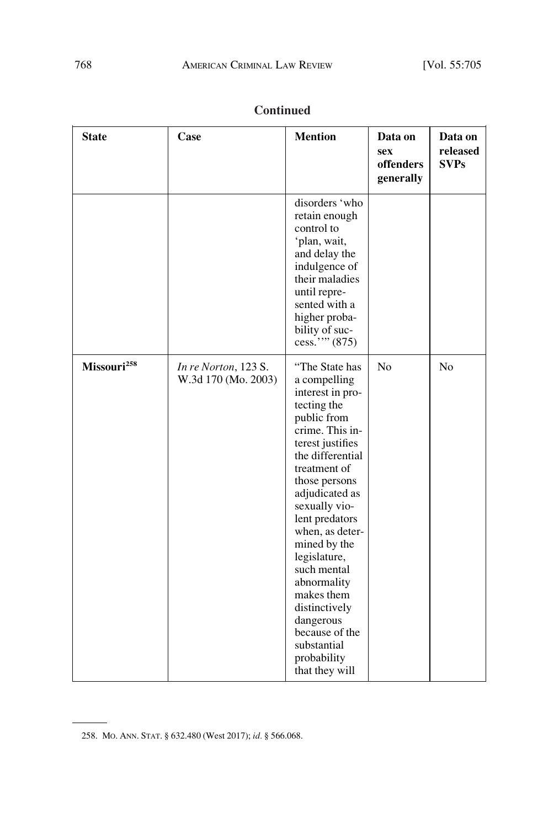| <b>State</b>            | Case                                        | <b>Mention</b>                                                                                                                                                                                                                                                                                                                                                                                                                   | Data on<br><b>sex</b><br>offenders<br>generally | Data on<br>released<br><b>SVPs</b> |
|-------------------------|---------------------------------------------|----------------------------------------------------------------------------------------------------------------------------------------------------------------------------------------------------------------------------------------------------------------------------------------------------------------------------------------------------------------------------------------------------------------------------------|-------------------------------------------------|------------------------------------|
|                         |                                             | disorders 'who<br>retain enough<br>control to<br>'plan, wait,<br>and delay the<br>indulgence of<br>their maladies<br>until repre-<br>sented with a<br>higher proba-<br>bility of suc-<br>cess."" (875)                                                                                                                                                                                                                           |                                                 |                                    |
| Missouri <sup>258</sup> | In re Norton, 123 S.<br>W.3d 170 (Mo. 2003) | "The State has<br>a compelling<br>interest in pro-<br>tecting the<br>public from<br>crime. This in-<br>terest justifies<br>the differential<br>treatment of<br>those persons<br>adjudicated as<br>sexually vio-<br>lent predators<br>when, as deter-<br>mined by the<br>legislature,<br>such mental<br>abnormality<br>makes them<br>distinctively<br>dangerous<br>because of the<br>substantial<br>probability<br>that they will | N <sub>o</sub>                                  | N <sub>o</sub>                     |

<sup>258.</sup> MO. ANN. STAT. § 632.480 (West 2017); *id.* § 566.068.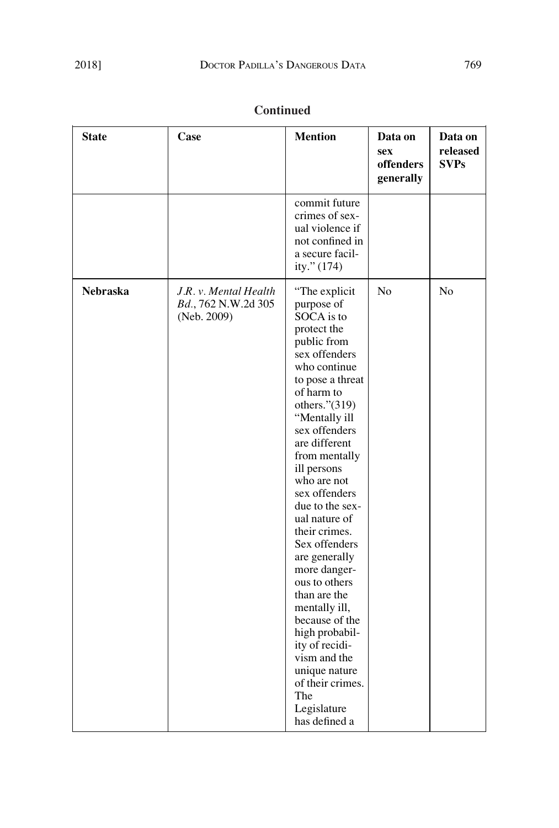| <b>State</b>    | Case                                                        | <b>Mention</b>                                                                                                                                                                                                                                                                                                                                                                                                                                                                                                                                                                               | Data on<br><b>sex</b><br>offenders<br>generally | Data on<br>released<br><b>SVPs</b> |
|-----------------|-------------------------------------------------------------|----------------------------------------------------------------------------------------------------------------------------------------------------------------------------------------------------------------------------------------------------------------------------------------------------------------------------------------------------------------------------------------------------------------------------------------------------------------------------------------------------------------------------------------------------------------------------------------------|-------------------------------------------------|------------------------------------|
|                 |                                                             | commit future<br>crimes of sex-<br>ual violence if<br>not confined in<br>a secure facil-<br>ity." (174)                                                                                                                                                                                                                                                                                                                                                                                                                                                                                      |                                                 |                                    |
| <b>Nebraska</b> | J.R. v. Mental Health<br>Bd., 762 N.W.2d 305<br>(Neb. 2009) | "The explicit<br>purpose of<br>SOCA is to<br>protect the<br>public from<br>sex offenders<br>who continue<br>to pose a threat<br>of harm to<br>others." $(319)$<br>"Mentally ill<br>sex offenders<br>are different<br>from mentally<br>ill persons<br>who are not<br>sex offenders<br>due to the sex-<br>ual nature of<br>their crimes.<br>Sex offenders<br>are generally<br>more danger-<br>ous to others<br>than are the<br>mentally ill,<br>because of the<br>high probabil-<br>ity of recidi-<br>vism and the<br>unique nature<br>of their crimes.<br>The<br>Legislature<br>has defined a | No                                              | N <sub>o</sub>                     |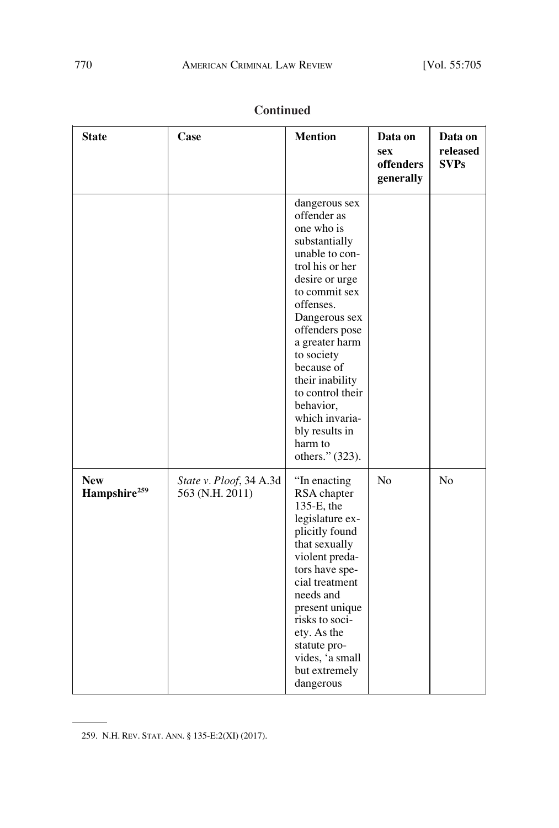| <b>State</b>                           | Case                                       | <b>Mention</b>                                                                                                                                                                                                                                                                                                                                          | Data on<br><b>sex</b><br>offenders<br>generally | Data on<br>released<br><b>SVPs</b> |
|----------------------------------------|--------------------------------------------|---------------------------------------------------------------------------------------------------------------------------------------------------------------------------------------------------------------------------------------------------------------------------------------------------------------------------------------------------------|-------------------------------------------------|------------------------------------|
|                                        |                                            | dangerous sex<br>offender as<br>one who is<br>substantially<br>unable to con-<br>trol his or her<br>desire or urge<br>to commit sex<br>offenses.<br>Dangerous sex<br>offenders pose<br>a greater harm<br>to society<br>because of<br>their inability<br>to control their<br>behavior,<br>which invaria-<br>bly results in<br>harm to<br>others." (323). |                                                 |                                    |
| <b>New</b><br>Hampshire <sup>259</sup> | State v. Ploof, 34 A.3d<br>563 (N.H. 2011) | "In enacting<br>RSA chapter<br>$135-E$ , the<br>legislature ex-<br>plicitly found<br>that sexually<br>violent preda-<br>tors have spe-<br>cial treatment<br>needs and<br>present unique<br>risks to soci-<br>ety. As the<br>statute pro-<br>vides, 'a small<br>but extremely<br>dangerous                                                               | No                                              | N <sub>o</sub>                     |

 $\sim$  100  $\mu$ 

<sup>259.</sup> N.H. REV. STAT. ANN. § 135-E:2(XI) (2017).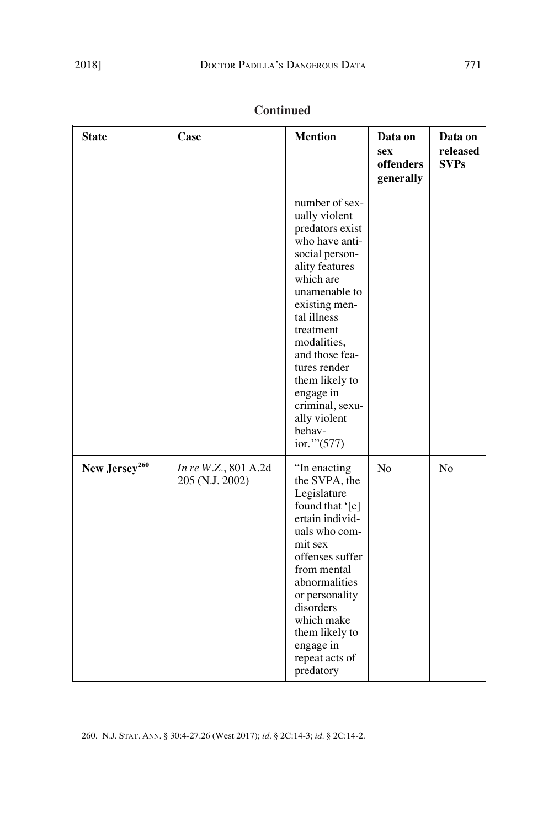| <b>State</b>              | Case                                    | <b>Mention</b>                                                                                                                                                                                                                                                                                                                  | Data on<br><b>sex</b><br>offenders<br>generally | Data on<br>released<br><b>SVPs</b> |
|---------------------------|-----------------------------------------|---------------------------------------------------------------------------------------------------------------------------------------------------------------------------------------------------------------------------------------------------------------------------------------------------------------------------------|-------------------------------------------------|------------------------------------|
|                           |                                         | number of sex-<br>ually violent<br>predators exist<br>who have anti-<br>social person-<br>ality features<br>which are<br>unamenable to<br>existing men-<br>tal illness<br>treatment<br>modalities,<br>and those fea-<br>tures render<br>them likely to<br>engage in<br>criminal, sexu-<br>ally violent<br>behav-<br>ior." (577) |                                                 |                                    |
| New Jersey <sup>260</sup> | In re W.Z., 801 A.2d<br>205 (N.J. 2002) | "In enacting<br>the SVPA, the<br>Legislature<br>found that '[c]<br>ertain individ-<br>uals who com-<br>mit sex<br>offenses suffer<br>from mental<br>abnormalities<br>or personality<br>disorders<br>which make<br>them likely to<br>engage in<br>repeat acts of<br>predatory                                                    | N <sub>o</sub>                                  | N <sub>o</sub>                     |

<sup>260.</sup> N.J. STAT. ANN. § 30:4-27.26 (West 2017); *id.* § 2C:14-3; *id.* § 2C:14-2.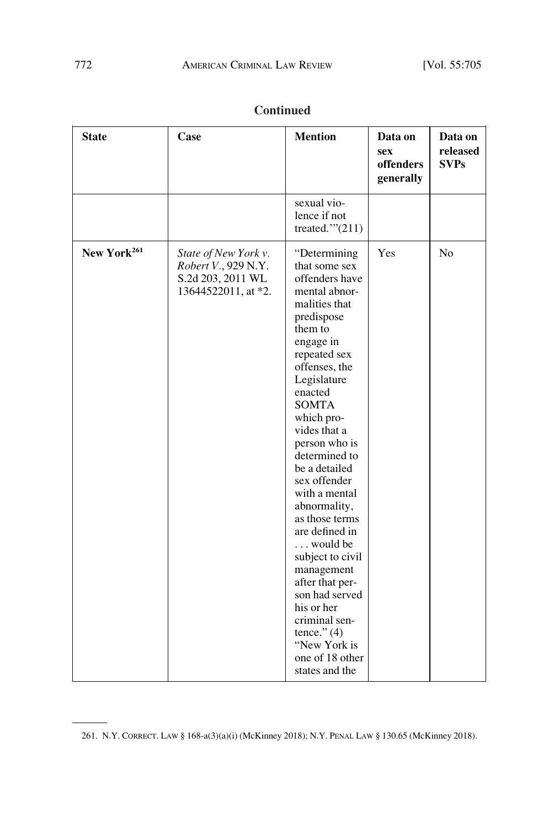| <b>State</b>            | Case                                                                                    | <b>Mention</b>                                                                                                                                                                                                                                                                                                                                                                                                                                                                                                                                                   | Data on<br>sex<br>offenders<br>generally | Data on<br>released<br><b>SVPs</b> |
|-------------------------|-----------------------------------------------------------------------------------------|------------------------------------------------------------------------------------------------------------------------------------------------------------------------------------------------------------------------------------------------------------------------------------------------------------------------------------------------------------------------------------------------------------------------------------------------------------------------------------------------------------------------------------------------------------------|------------------------------------------|------------------------------------|
|                         |                                                                                         | sexual vio-<br>lence if not<br>treated." $(211)$                                                                                                                                                                                                                                                                                                                                                                                                                                                                                                                 |                                          |                                    |
| New York <sup>261</sup> | State of New York v.<br>Robert V., 929 N.Y.<br>S.2d 203, 2011 WL<br>13644522011, at *2. | "Determining<br>that some sex<br>offenders have<br>mental abnor-<br>malities that<br>predispose<br>them to<br>engage in<br>repeated sex<br>offenses, the<br>Legislature<br>enacted<br><b>SOMTA</b><br>which pro-<br>vides that a<br>person who is<br>determined to<br>be a detailed<br>sex offender<br>with a mental<br>abnormality,<br>as those terms<br>are defined in<br>would be<br>subject to civil<br>management<br>after that per-<br>son had served<br>his or her<br>criminal sen-<br>tence." $(4)$<br>"New York is<br>one of 18 other<br>states and the | Yes                                      | N <sub>o</sub>                     |

<sup>261.</sup> N.Y. CORRECT. LAW § 168-a(3)(a)(i) (McKinney 2018); N.Y. PENAL LAW § 130.65 (McKinney 2018).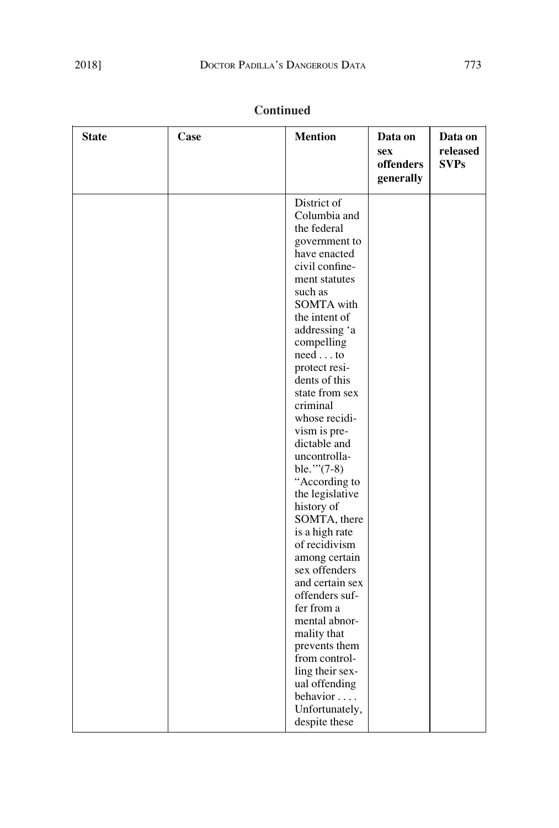| <b>State</b> | Case | <b>Mention</b>                                                                                                                                                                                                                                                                                                                                                                                                                                                                                                                | Data on<br><b>sex</b><br>offenders<br>generally | Data on<br>released<br><b>SVPs</b> |
|--------------|------|-------------------------------------------------------------------------------------------------------------------------------------------------------------------------------------------------------------------------------------------------------------------------------------------------------------------------------------------------------------------------------------------------------------------------------------------------------------------------------------------------------------------------------|-------------------------------------------------|------------------------------------|
|              |      | District of<br>Columbia and<br>the federal<br>government to<br>have enacted<br>civil confine-<br>ment statutes<br>such as<br><b>SOMTA</b> with<br>the intent of<br>addressing 'a<br>compelling<br>$need \dots to$<br>protect resi-<br>dents of this<br>state from sex<br>criminal<br>whose recidi-<br>vism is pre-<br>dictable and<br>uncontrolla-<br>ble." $(7-8)$<br>"According to<br>the legislative<br>history of<br>SOMTA, there<br>is a high rate<br>of recidivism<br>among certain<br>sex offenders<br>and certain sex |                                                 |                                    |
|              |      | offenders suf-<br>fer from a<br>mental abnor-<br>mality that<br>prevents them<br>from control-<br>ling their sex-<br>ual offending<br>behavior<br>Unfortunately,<br>despite these                                                                                                                                                                                                                                                                                                                                             |                                                 |                                    |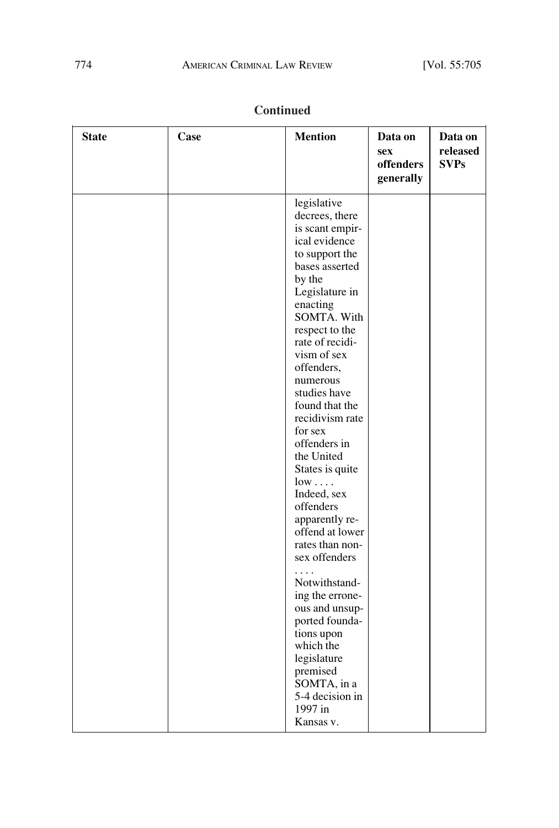| <b>State</b> | Case | <b>Mention</b>                                                                                                                                                                                                                                                                                                                                                                                                                                                                                                                                                                                                                                                             | Data on<br><b>sex</b><br>offenders<br>generally | Data on<br>released<br><b>SVPs</b> |
|--------------|------|----------------------------------------------------------------------------------------------------------------------------------------------------------------------------------------------------------------------------------------------------------------------------------------------------------------------------------------------------------------------------------------------------------------------------------------------------------------------------------------------------------------------------------------------------------------------------------------------------------------------------------------------------------------------------|-------------------------------------------------|------------------------------------|
|              |      | legislative<br>decrees, there<br>is scant empir-<br>ical evidence<br>to support the<br>bases asserted<br>by the<br>Legislature in<br>enacting<br>SOMTA. With<br>respect to the<br>rate of recidi-<br>vism of sex<br>offenders,<br>numerous<br>studies have<br>found that the<br>recidivism rate<br>for sex<br>offenders in<br>the United<br>States is quite<br>$low \ldots$ .<br>Indeed, sex<br>offenders<br>apparently re-<br>offend at lower<br>rates than non-<br>sex offenders<br>Notwithstand-<br>ing the errone-<br>ous and unsup-<br>ported founda-<br>tions upon<br>which the<br>legislature<br>premised<br>SOMTA, in a<br>5-4 decision in<br>1997 in<br>Kansas v. |                                                 |                                    |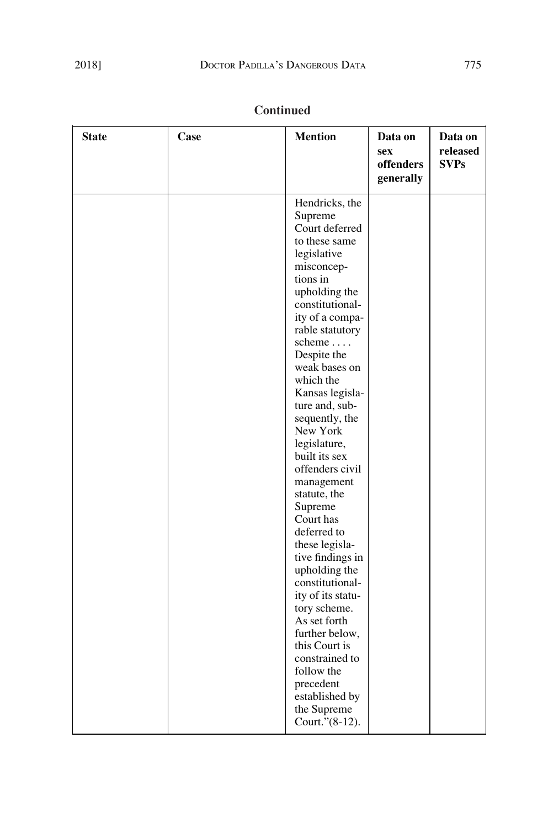| <b>State</b> | Case | <b>Mention</b>                                                                                                                                                                                                                                                                                                                                                                                                                                                                                                                                                                                       | Data on<br><b>sex</b><br>offenders<br>generally | Data on<br>released<br><b>SVPs</b> |
|--------------|------|------------------------------------------------------------------------------------------------------------------------------------------------------------------------------------------------------------------------------------------------------------------------------------------------------------------------------------------------------------------------------------------------------------------------------------------------------------------------------------------------------------------------------------------------------------------------------------------------------|-------------------------------------------------|------------------------------------|
|              |      | Hendricks, the<br>Supreme<br>Court deferred<br>to these same<br>legislative<br>misconcep-<br>tions in<br>upholding the<br>constitutional-<br>ity of a compa-<br>rable statutory<br>scheme<br>Despite the<br>weak bases on<br>which the<br>Kansas legisla-<br>ture and, sub-<br>sequently, the<br>New York<br>legislature,<br>built its sex<br>offenders civil<br>management<br>statute, the<br>Supreme<br>Court has<br>deferred to<br>these legisla-<br>tive findings in<br>upholding the<br>constitutional-<br>ity of its statu-<br>tory scheme.<br>As set forth<br>further below,<br>this Court is |                                                 |                                    |
|              |      | constrained to<br>follow the<br>precedent<br>established by<br>the Supreme<br>Court."(8-12).                                                                                                                                                                                                                                                                                                                                                                                                                                                                                                         |                                                 |                                    |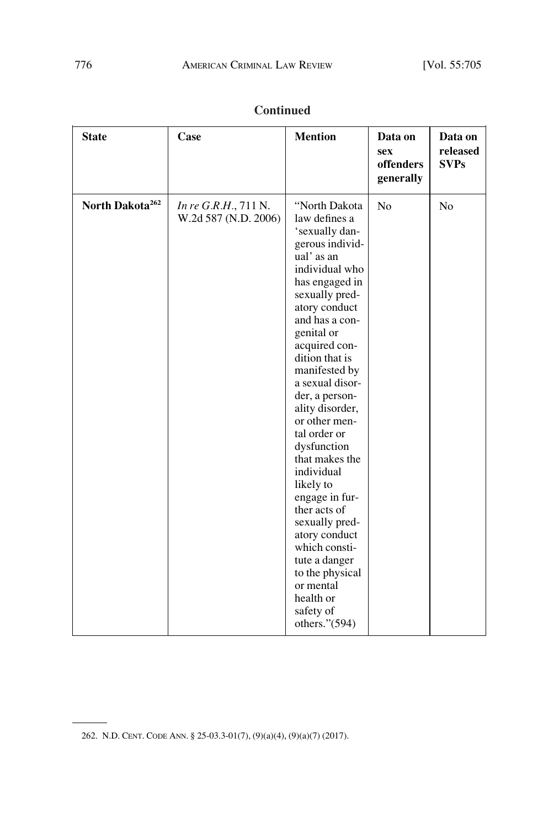| <b>State</b>                | Case                                         | <b>Mention</b>                                                                                                                                                                                                                                                                                                                                                                                                                                                                                                                                                                         | Data on<br><b>sex</b><br>offenders<br>generally | Data on<br>released<br><b>SVPs</b> |
|-----------------------------|----------------------------------------------|----------------------------------------------------------------------------------------------------------------------------------------------------------------------------------------------------------------------------------------------------------------------------------------------------------------------------------------------------------------------------------------------------------------------------------------------------------------------------------------------------------------------------------------------------------------------------------------|-------------------------------------------------|------------------------------------|
| North Dakota <sup>262</sup> | In re G.R.H., 711 N.<br>W.2d 587 (N.D. 2006) | "North Dakota<br>law defines a<br>'sexually dan-<br>gerous individ-<br>ual' as an<br>individual who<br>has engaged in<br>sexually pred-<br>atory conduct<br>and has a con-<br>genital or<br>acquired con-<br>dition that is<br>manifested by<br>a sexual disor-<br>der, a person-<br>ality disorder,<br>or other men-<br>tal order or<br>dysfunction<br>that makes the<br>individual<br>likely to<br>engage in fur-<br>ther acts of<br>sexually pred-<br>atory conduct<br>which consti-<br>tute a danger<br>to the physical<br>or mental<br>health or<br>safety of<br>others." $(594)$ | No                                              | N <sub>o</sub>                     |

<sup>262.</sup> N.D. CENT. CODE ANN. § 25-03.3-01(7), (9)(a)(4), (9)(a)(7) (2017).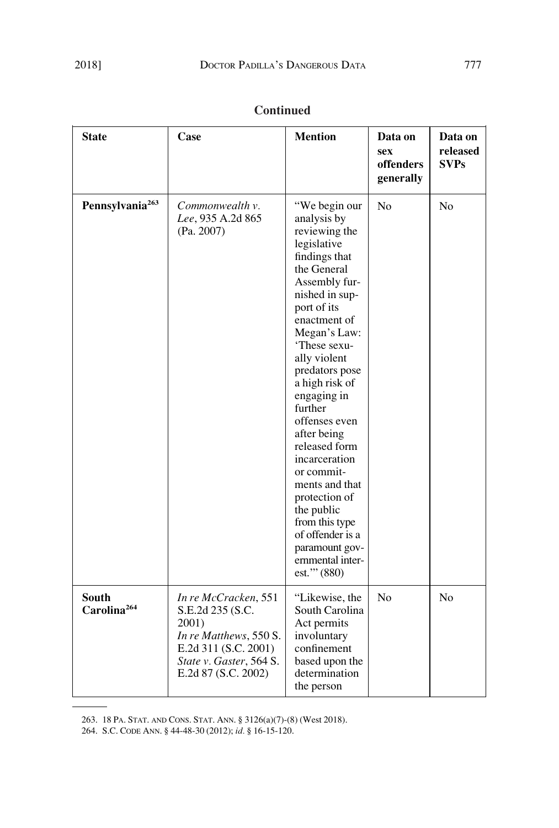| <b>State</b>                            | Case                                                                                                                                                  | <b>Mention</b>                                                                                                                                                                                                                                                                                                                                                                                                                                                                                            | Data on<br>sex<br>offenders<br>generally | Data on<br>released<br><b>SVPs</b> |
|-----------------------------------------|-------------------------------------------------------------------------------------------------------------------------------------------------------|-----------------------------------------------------------------------------------------------------------------------------------------------------------------------------------------------------------------------------------------------------------------------------------------------------------------------------------------------------------------------------------------------------------------------------------------------------------------------------------------------------------|------------------------------------------|------------------------------------|
| Pennsylvania <sup>263</sup>             | Commonwealth v.<br>Lee, 935 A.2d 865<br>(Pa. 2007)                                                                                                    | "We begin our<br>analysis by<br>reviewing the<br>legislative<br>findings that<br>the General<br>Assembly fur-<br>nished in sup-<br>port of its<br>enactment of<br>Megan's Law:<br>'These sexu-<br>ally violent<br>predators pose<br>a high risk of<br>engaging in<br>further<br>offenses even<br>after being<br>released form<br>incarceration<br>or commit-<br>ments and that<br>protection of<br>the public<br>from this type<br>of offender is a<br>paramount gov-<br>ernmental inter-<br>est."' (880) | N <sub>0</sub>                           | N <sub>0</sub>                     |
| <b>South</b><br>Carolina <sup>264</sup> | In re McCracken, 551<br>S.E.2d 235 (S.C.<br>2001)<br>In re Matthews, 550 S.<br>E.2d 311 (S.C. 2001)<br>State v. Gaster, 564 S.<br>E.2d 87 (S.C. 2002) | "Likewise, the<br>South Carolina<br>Act permits<br>involuntary<br>confinement<br>based upon the<br>determination<br>the person                                                                                                                                                                                                                                                                                                                                                                            | N <sub>0</sub>                           | N <sub>0</sub>                     |

263. 18 PA. STAT. AND CONS. STAT. ANN. § 3126(a)(7)-(8) (West 2018).

264. S.C. CODE ANN. § 44-48-30 (2012); *id.* § 16-15-120.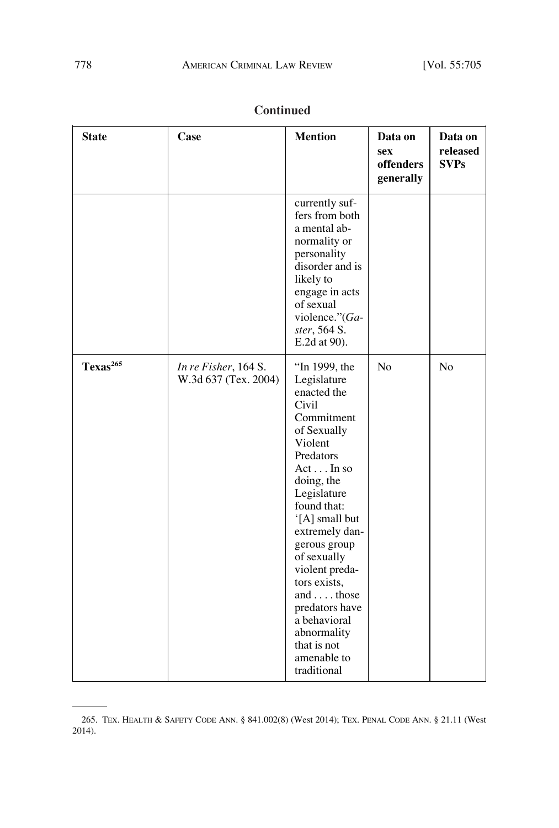| <b>State</b>         | Case                                         | <b>Mention</b>                                                                                                                                                                                                                                                                                                                                                                    | Data on<br><b>sex</b><br>offenders<br>generally | Data on<br>released<br><b>SVPs</b> |
|----------------------|----------------------------------------------|-----------------------------------------------------------------------------------------------------------------------------------------------------------------------------------------------------------------------------------------------------------------------------------------------------------------------------------------------------------------------------------|-------------------------------------------------|------------------------------------|
|                      |                                              | currently suf-<br>fers from both<br>a mental ab-<br>normality or<br>personality<br>disorder and is<br>likely to<br>engage in acts<br>of sexual<br>violence."(Ga-<br>ster, 564 S.<br>E.2d at 90).                                                                                                                                                                                  |                                                 |                                    |
| Texas <sup>265</sup> | In re Fisher, 164 S.<br>W.3d 637 (Tex. 2004) | "In 1999, the<br>Legislature<br>enacted the<br>Civil<br>Commitment<br>of Sexually<br>Violent<br>Predators<br>ActIn so<br>doing, the<br>Legislature<br>found that:<br>'[A] small but<br>extremely dan-<br>gerous group<br>of sexually<br>violent preda-<br>tors exists,<br>and those<br>predators have<br>a behavioral<br>abnormality<br>that is not<br>amenable to<br>traditional | No                                              | N <sub>o</sub>                     |

<sup>265.</sup> TEX. HEALTH & SAFETY CODE ANN. § 841.002(8) (West 2014); TEX. PENAL CODE ANN. § 21.11 (West 2014).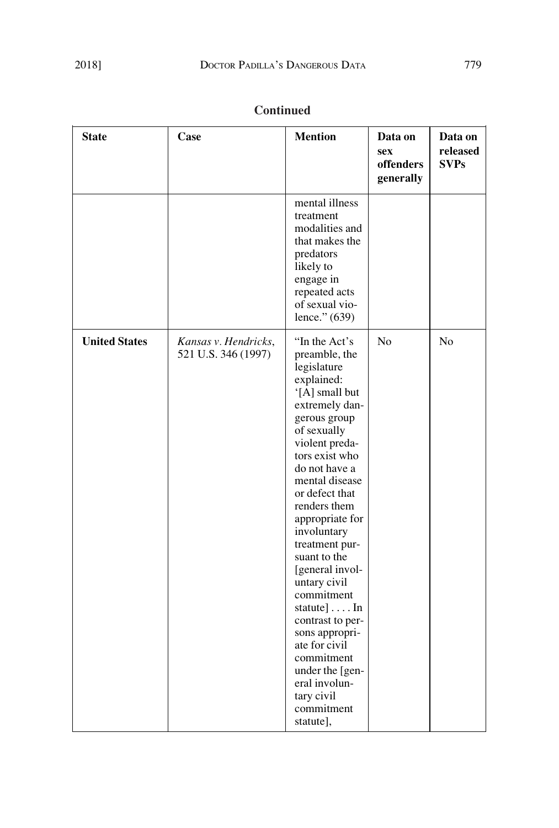| <b>State</b>         | Case                                        | <b>Mention</b>                                                                                                                                                                                                                                                                                                                                                                                                                                                                                                                        | Data on<br><b>sex</b><br>offenders<br>generally | Data on<br>released<br><b>SVPs</b> |
|----------------------|---------------------------------------------|---------------------------------------------------------------------------------------------------------------------------------------------------------------------------------------------------------------------------------------------------------------------------------------------------------------------------------------------------------------------------------------------------------------------------------------------------------------------------------------------------------------------------------------|-------------------------------------------------|------------------------------------|
|                      |                                             | mental illness<br>treatment<br>modalities and<br>that makes the<br>predators<br>likely to<br>engage in<br>repeated acts<br>of sexual vio-<br>lence." (639)                                                                                                                                                                                                                                                                                                                                                                            |                                                 |                                    |
| <b>United States</b> | Kansas v. Hendricks,<br>521 U.S. 346 (1997) | "In the Act's<br>preamble, the<br>legislature<br>explained:<br>'[A] small but<br>extremely dan-<br>gerous group<br>of sexually<br>violent preda-<br>tors exist who<br>do not have a<br>mental disease<br>or defect that<br>renders them<br>appropriate for<br>involuntary<br>treatment pur-<br>suant to the<br>[general invol-<br>untary civil<br>commitment<br>statute] $\dots$ In<br>contrast to per-<br>sons appropri-<br>ate for civil<br>commitment<br>under the [gen-<br>eral involun-<br>tary civil<br>commitment<br>statute], | No                                              | No                                 |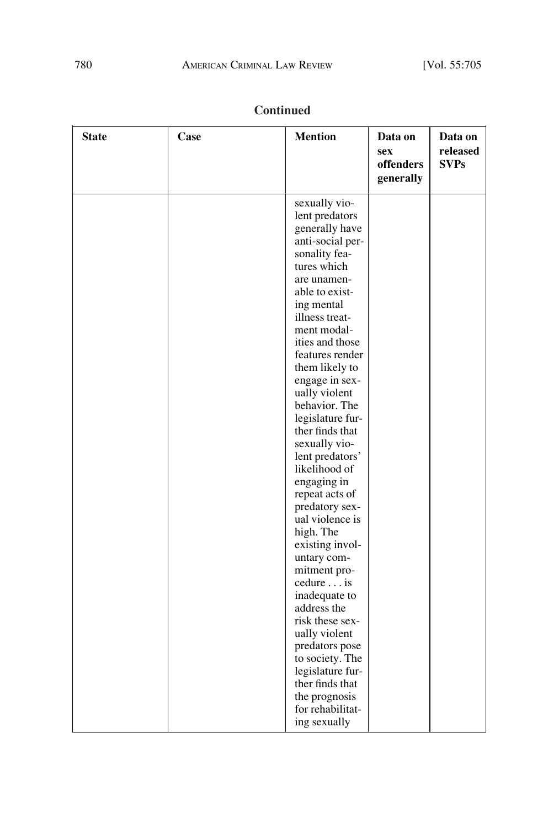| <b>State</b> | Case | <b>Mention</b>                    | Data on<br>sex<br>offenders<br>generally | Data on<br>released<br><b>SVPs</b> |
|--------------|------|-----------------------------------|------------------------------------------|------------------------------------|
|              |      | sexually vio-                     |                                          |                                    |
|              |      | lent predators                    |                                          |                                    |
|              |      | generally have                    |                                          |                                    |
|              |      | anti-social per-                  |                                          |                                    |
|              |      | sonality fea-                     |                                          |                                    |
|              |      | tures which                       |                                          |                                    |
|              |      | are unamen-<br>able to exist-     |                                          |                                    |
|              |      | ing mental                        |                                          |                                    |
|              |      | illness treat-                    |                                          |                                    |
|              |      | ment modal-                       |                                          |                                    |
|              |      | ities and those                   |                                          |                                    |
|              |      | features render                   |                                          |                                    |
|              |      | them likely to                    |                                          |                                    |
|              |      | engage in sex-                    |                                          |                                    |
|              |      | ually violent                     |                                          |                                    |
|              |      | behavior. The                     |                                          |                                    |
|              |      | legislature fur-                  |                                          |                                    |
|              |      | ther finds that                   |                                          |                                    |
|              |      | sexually vio-                     |                                          |                                    |
|              |      | lent predators'                   |                                          |                                    |
|              |      | likelihood of<br>engaging in      |                                          |                                    |
|              |      | repeat acts of                    |                                          |                                    |
|              |      | predatory sex-                    |                                          |                                    |
|              |      | ual violence is                   |                                          |                                    |
|              |      | high. The                         |                                          |                                    |
|              |      | existing invol-                   |                                          |                                    |
|              |      | untary com-                       |                                          |                                    |
|              |      | mitment pro-                      |                                          |                                    |
|              |      | cedure is                         |                                          |                                    |
|              |      | inadequate to                     |                                          |                                    |
|              |      | address the                       |                                          |                                    |
|              |      | risk these sex-                   |                                          |                                    |
|              |      | ually violent                     |                                          |                                    |
|              |      | predators pose<br>to society. The |                                          |                                    |
|              |      | legislature fur-                  |                                          |                                    |
|              |      | ther finds that                   |                                          |                                    |
|              |      | the prognosis                     |                                          |                                    |
|              |      | for rehabilitat-                  |                                          |                                    |
|              |      | ing sexually                      |                                          |                                    |
|              |      |                                   |                                          |                                    |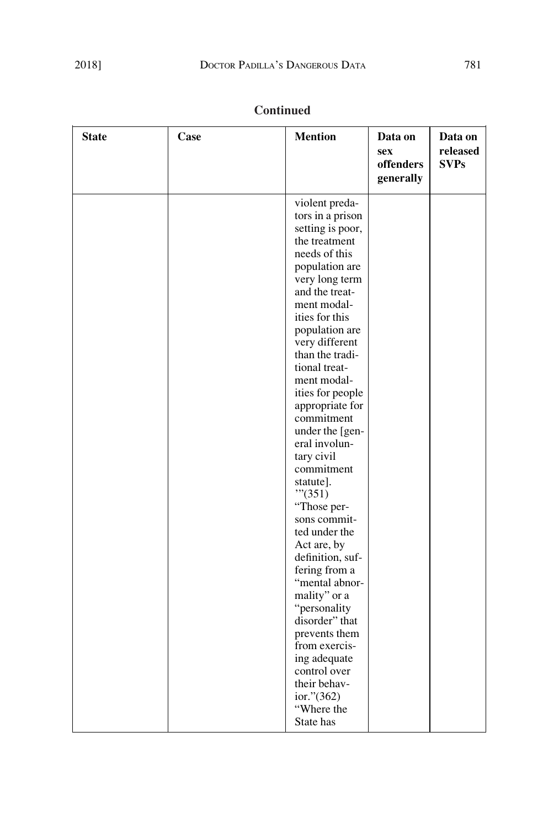| <b>State</b> | Case | <b>Mention</b>                                                                                                                                                                                                                                                                                                                                                                                                                                                                                                                                                                                                                                                                                                             | Data on<br><b>sex</b><br>offenders<br>generally | Data on<br>released<br><b>SVPs</b> |
|--------------|------|----------------------------------------------------------------------------------------------------------------------------------------------------------------------------------------------------------------------------------------------------------------------------------------------------------------------------------------------------------------------------------------------------------------------------------------------------------------------------------------------------------------------------------------------------------------------------------------------------------------------------------------------------------------------------------------------------------------------------|-------------------------------------------------|------------------------------------|
|              |      | violent preda-<br>tors in a prison<br>setting is poor,<br>the treatment<br>needs of this<br>population are<br>very long term<br>and the treat-<br>ment modal-<br>ities for this<br>population are<br>very different<br>than the tradi-<br>tional treat-<br>ment modal-<br>ities for people<br>appropriate for<br>commitment<br>under the [gen-<br>eral involun-<br>tary civil<br>commitment<br>statute].<br>"''(351)<br>"Those per-<br>sons commit-<br>ted under the<br>Act are, by<br>definition, suf-<br>fering from a<br>"mental abnor-<br>mality" or a<br>"personality<br>disorder" that<br>prevents them<br>from exercis-<br>ing adequate<br>control over<br>their behav-<br>ior." $(362)$<br>"Where the<br>State has |                                                 |                                    |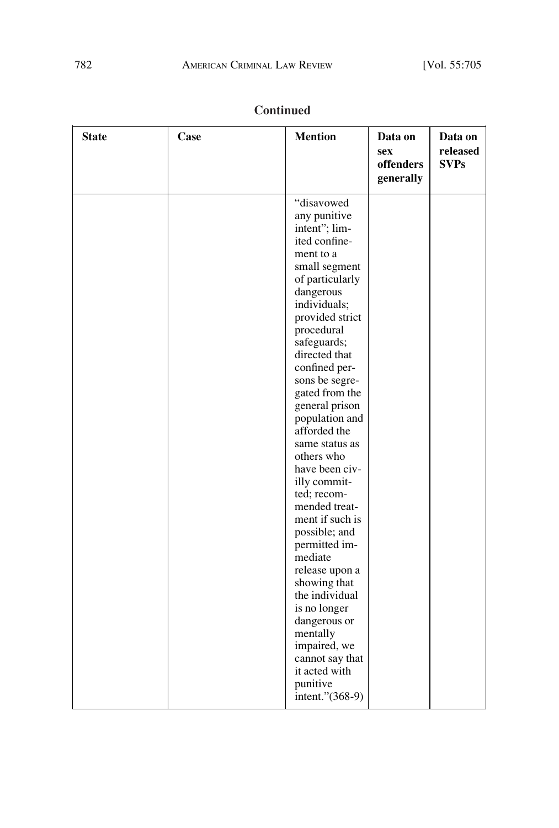| "disavowed<br>any punitive<br>intent"; lim-<br>ited confine-<br>ment to a<br>small segment<br>of particularly<br>dangerous<br>individuals;<br>provided strict<br>procedural<br>safeguards;<br>directed that<br>confined per-<br>sons be segre-<br>gated from the<br>general prison<br>population and<br>afforded the<br>same status as<br>others who<br>have been civ-<br>illy commit-<br>ted; recom-<br>mended treat-<br>ment if such is<br>possible; and<br>permitted im- | <b>State</b> | Case | <b>Mention</b> | Data on<br><b>sex</b><br>offenders<br>generally | Data on<br>released<br><b>SVPs</b> |
|-----------------------------------------------------------------------------------------------------------------------------------------------------------------------------------------------------------------------------------------------------------------------------------------------------------------------------------------------------------------------------------------------------------------------------------------------------------------------------|--------------|------|----------------|-------------------------------------------------|------------------------------------|
| release upon a<br>showing that<br>the individual<br>is no longer<br>dangerous or<br>mentally<br>impaired, we<br>cannot say that<br>it acted with<br>punitive<br>intent."(368-9)                                                                                                                                                                                                                                                                                             |              |      | mediate        |                                                 |                                    |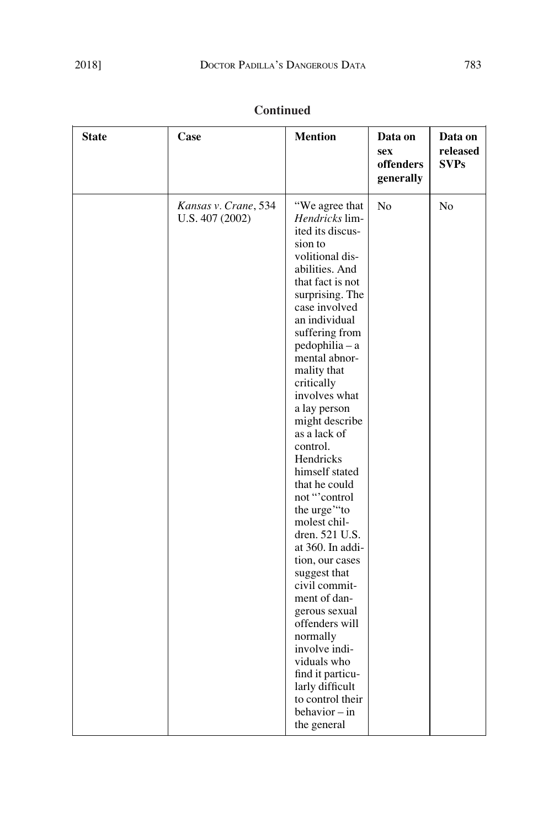| <b>State</b> | Case                                    | <b>Mention</b>                                                                                                                                                                                                                                                                                                                                                                                                                                                                                                                                                                                                                                                                                                              | Data on<br>sex<br>offenders<br>generally | Data on<br>released<br><b>SVPs</b> |
|--------------|-----------------------------------------|-----------------------------------------------------------------------------------------------------------------------------------------------------------------------------------------------------------------------------------------------------------------------------------------------------------------------------------------------------------------------------------------------------------------------------------------------------------------------------------------------------------------------------------------------------------------------------------------------------------------------------------------------------------------------------------------------------------------------------|------------------------------------------|------------------------------------|
|              | Kansas v. Crane, 534<br>U.S. 407 (2002) | "We agree that<br><i>Hendricks</i> lim-<br>ited its discus-<br>sion to<br>volitional dis-<br>abilities. And<br>that fact is not<br>surprising. The<br>case involved<br>an individual<br>suffering from<br>$pedophilia - a$<br>mental abnor-<br>mality that<br>critically<br>involves what<br>a lay person<br>might describe<br>as a lack of<br>control.<br>Hendricks<br>himself stated<br>that he could<br>not "control<br>the urge"to<br>molest chil-<br>dren. 521 U.S.<br>at 360. In addi-<br>tion, our cases<br>suggest that<br>civil commit-<br>ment of dan-<br>gerous sexual<br>offenders will<br>normally<br>involve indi-<br>viduals who<br>find it particu-<br>larly difficult<br>to control their<br>behavior – in | No                                       | No                                 |

the general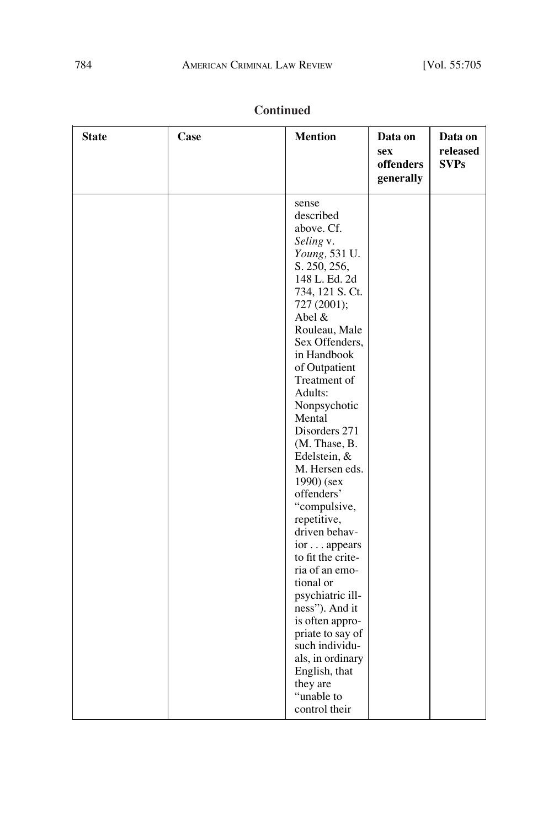$\overline{\phantom{0}}$ 

| <b>State</b> | Case | <b>Mention</b>                                                                                                                                                                                                                                                                                                                                                                                                                                                                                                                                                                                                                                                        | Data on<br><b>sex</b><br>offenders<br>generally | Data on<br>released<br><b>SVPs</b> |
|--------------|------|-----------------------------------------------------------------------------------------------------------------------------------------------------------------------------------------------------------------------------------------------------------------------------------------------------------------------------------------------------------------------------------------------------------------------------------------------------------------------------------------------------------------------------------------------------------------------------------------------------------------------------------------------------------------------|-------------------------------------------------|------------------------------------|
|              |      | sense<br>described<br>above. Cf.<br>Seling v.<br>Young, 531 U.<br>S. 250, 256,<br>148 L. Ed. 2d<br>734, 121 S. Ct.<br>727 (2001);<br>Abel &<br>Rouleau, Male<br>Sex Offenders,<br>in Handbook<br>of Outpatient<br>Treatment of<br>Adults:<br>Nonpsychotic<br>Mental<br>Disorders 271<br>(M. Thase, B.<br>Edelstein, &<br>M. Hersen eds.<br>1990) (sex<br>offenders'<br>"compulsive,<br>repetitive,<br>driven behav-<br>ior appears<br>to fit the crite-<br>ria of an emo-<br>tional or<br>psychiatric ill-<br>ness"). And it<br>is often appro-<br>priate to say of<br>such individu-<br>als, in ordinary<br>English, that<br>they are<br>"unable to<br>control their |                                                 |                                    |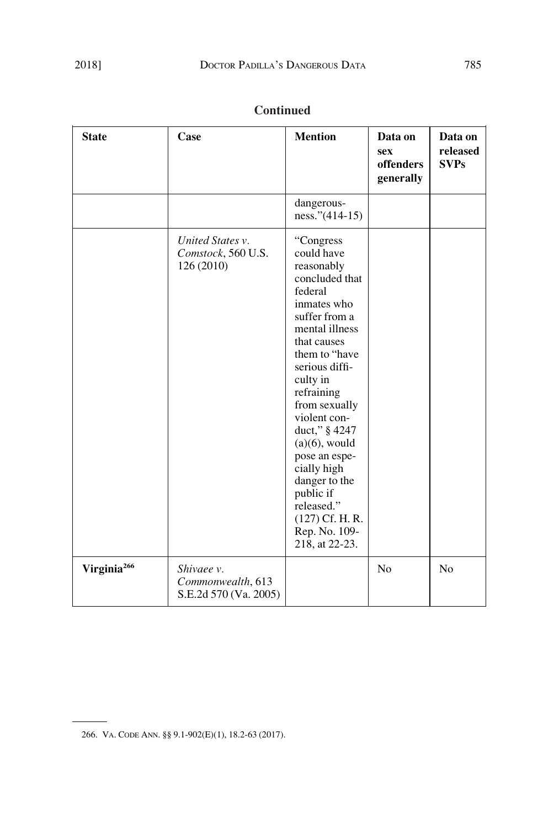| <b>State</b>            | Case                                                     | <b>Mention</b>                                                                                                                                                                                                                                                                                                                                                                                              | Data on<br><b>sex</b><br>offenders<br>generally | Data on<br>released<br><b>SVPs</b> |
|-------------------------|----------------------------------------------------------|-------------------------------------------------------------------------------------------------------------------------------------------------------------------------------------------------------------------------------------------------------------------------------------------------------------------------------------------------------------------------------------------------------------|-------------------------------------------------|------------------------------------|
|                         |                                                          | dangerous-<br>ness." $(414-15)$                                                                                                                                                                                                                                                                                                                                                                             |                                                 |                                    |
|                         | United States v.<br>Comstock, 560 U.S.<br>126 (2010)     | "Congress<br>could have<br>reasonably<br>concluded that<br>federal<br>inmates who<br>suffer from a<br>mental illness<br>that causes<br>them to "have"<br>serious diffi-<br>culty in<br>refraining<br>from sexually<br>violent con-<br>duct," § 4247<br>$(a)(6)$ , would<br>pose an espe-<br>cially high<br>danger to the<br>public if<br>released."<br>$(127)$ Cf. H. R.<br>Rep. No. 109-<br>218, at 22-23. |                                                 |                                    |
| Virginia <sup>266</sup> | Shivaee v.<br>Commonwealth, 613<br>S.E.2d 570 (Va. 2005) |                                                                                                                                                                                                                                                                                                                                                                                                             | No                                              | No                                 |

<sup>266.</sup> VA. CODE ANN. §§ 9.1-902(E)(1), 18.2-63 (2017).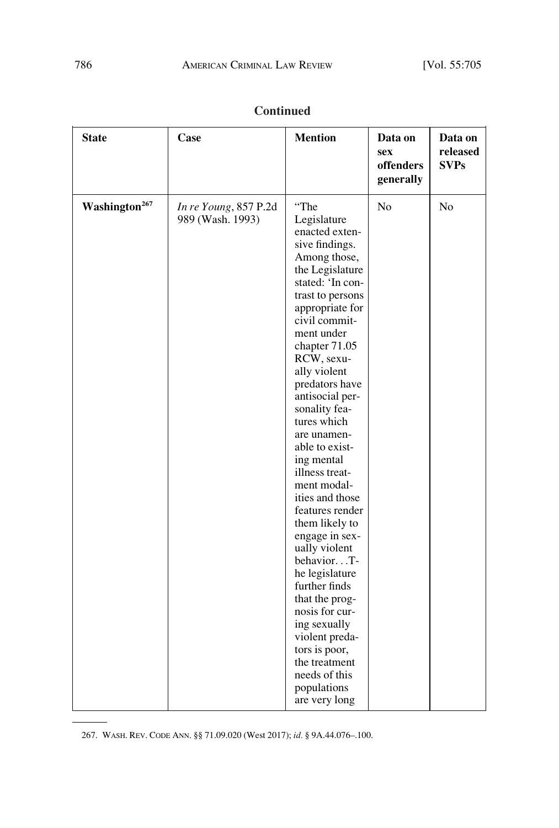| <b>State</b>              | Case                                      | <b>Mention</b>                                                                                                                                                                                                                                                                                                                                                                                                                                                                                                                                                                                                                                                                                | Data on<br><b>sex</b><br>offenders<br>generally | Data on<br>released<br><b>SVPs</b> |
|---------------------------|-------------------------------------------|-----------------------------------------------------------------------------------------------------------------------------------------------------------------------------------------------------------------------------------------------------------------------------------------------------------------------------------------------------------------------------------------------------------------------------------------------------------------------------------------------------------------------------------------------------------------------------------------------------------------------------------------------------------------------------------------------|-------------------------------------------------|------------------------------------|
| Washington <sup>267</sup> | In re Young, 857 P.2d<br>989 (Wash. 1993) | "The<br>Legislature<br>enacted exten-<br>sive findings.<br>Among those,<br>the Legislature<br>stated: 'In con-<br>trast to persons<br>appropriate for<br>civil commit-<br>ment under<br>chapter 71.05<br>RCW, sexu-<br>ally violent<br>predators have<br>antisocial per-<br>sonality fea-<br>tures which<br>are unamen-<br>able to exist-<br>ing mental<br>illness treat-<br>ment modal-<br>ities and those<br>features render<br>them likely to<br>engage in sex-<br>ually violent<br>behaviorT-<br>he legislature<br>further finds<br>that the prog-<br>nosis for cur-<br>ing sexually<br>violent preda-<br>tors is poor,<br>the treatment<br>needs of this<br>populations<br>are very long | N <sub>o</sub>                                  | N <sub>o</sub>                     |

267. WASH. REV. CODE ANN. §§ 71.09.020 (West 2017); *id.* § 9A.44.076–.100.